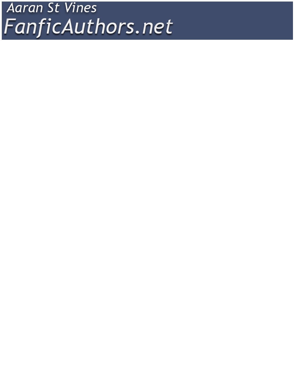# **Aaran St Vines** FanficAuthors.net

- 
- 
- 
- -
	-
	-
	-
- - -
- -
	-
- 
- 
- -
	-
	-
- 
- 
- 
- 
- 
- 
- - -
		-
		-
- -
- 
- 
- - -
		- -
	-
	-
	- -
		-
		-
		-
		-
- 
- 
- 
- 
- 
- 
- -
- -
	- -
- 
- 
- 
- 
- 
- 
- 
- 
- 
- 
- 
- 
- 
- 
- 
- 
- 
- 
- 
- 
- 
- 
- 
- 
- 
- 
-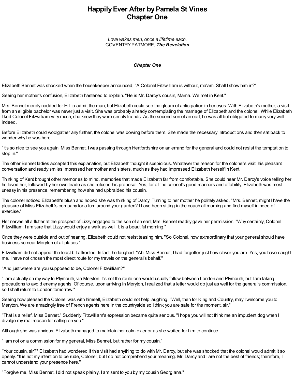## **HappilyEver After byPamela St Vines Chapter One**

*Love wakes men, once a lifetime each.* COVENTRYPATMORE, *The Revelation*

#### *Chapter One*

Elizabeth Bennet was shocked when the housekeeper announced, "A Colonel Fitzwilliam is without, ma'am. Shall I show him in?"

Seeing her mother's confusion, Elizabeth hastened to explain. "He is Mr. Darcy's cousin, Mama. We met in Kent."

Mrs. Bennet merely nodded for Hill to admit the man, but Elizabeth could see the gleam of anticipation in her eyes. With Elizabeth's mother, a visit from an eligible bachelor was never just a visit. She was probably already contemplating the marriage of Elizabeth and the colonel. While Elizabeth liked Colonel Fitzwilliam very much, she knew they were simply friends. As the second son of an earl, he was all but obligated to marry very well indeed.

Before Elizabeth could woolgather any further, the colonel was bowing before them. She made the necessary introductions and then sat back to wonder why he was here.

"It's so nice to see you again, Miss Bennet. Iwas passing through Hertfordshire on an errand for the general and could not resist the temptation to stop in."

The other Bennet ladies accepted this explanation, but Elizabeth thought it suspicious. Whatever the reason for the colonel's visit, his pleasant conversation and ready smiles impressed her mother and sisters, much as they had impressed Elizabeth herself in Kent.

Thinking of Kent brought other memories to mind, memories that made Elizabeth far from comfortable. She could hear Mr. Darcy's voice telling her he loved her, followed by her own tirade as she refused his proposal. Yes, for all the colonel's good manners and affability, Elizabeth was most uneasy in his presence, remembering how she had upbraided his cousin.

The colonel noticed Elizabeth's blush and hoped she was thinking of Darcy. Turning to her mother he politely asked, "Mrs. Bennet, might I have the pleasure of Miss Elizabeth's company for a turn around your garden? I have been sitting in the coach all morning and find myself in need of exercise."

Her nerves all a flutter at the prospect of Lizzy engaged to the son of an earl, Mrs. Bennet readily gave her permission. "Why certainly, Colonel Fitzwilliam. I am sure that Lizzy would enjoy a walk as well. It is a beautiful morning."

Once they were outside and out of hearing, Elizabeth could not resist teasing him, "So Colonel, how extraordinary that your general should have business so near Meryton of all places."

Fitzwilliam did not appear the least bit affronted. In fact, he laughed. "Ah, Miss Bennet, I had forgotten just how clever you are. Yes, you have caught me. I have not chosen the most direct route for my travels on the general's behalf."

"And just where are you supposed to be, Colonel Fitzwilliam?"

"I am actually on my way to Plymouth, via Meryton. It's not the route one would usually follow between London and Plymouth, but I am taking precautions to avoid enemy agents. Of course, upon arriving in Meryton, Irealized that a letter would do just as well for the general's commission, so I shall return to London tomorrow."

Seeing how pleased the Colonel was with himself, Elizabeth could not help laughing. "Well, then for King and Country, may Iwelcome you to Meryton. We are amazingly free of French agents here in the countryside so I think you are safe for the moment, sir."

"That is a relief, Miss Bennet." Suddenly Fitzwilliam's expression became quite serious. "I hope you will not think me an impudent dog when I divulge my real reason for calling on you."

Although she was anxious, Elizabeth managed to maintain her calm exterior as she waited for him to continue.

"I am not on a commission for my general, Miss Bennet, but rather for my cousin."

"Your cousin, sir?" Elizabeth had wondered if this visit had anything to do with Mr. Darcy, but she was shocked that the colonel would admit it so openly. "It is not my intention to be rude, Colonel, but I do not comprehend your meaning. Mr. Darcy and I are not the best of friends; therefore, I cannot understand your presence here."

"Forgive me, Miss Bennet. I did not speak plainly. I am sent to you by my cousinGeorgiana."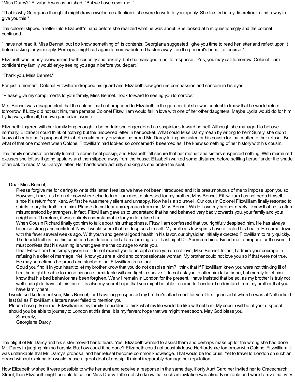"Miss Darcy?" Elizabeth was astonished. "But we have never met."

"That is why Georgiana thought it might draw unwelcome attention if she were to write to you openly. She trusted in my discretion to find a way to give you this."

The colonel slipped a letter into Elizabeth's hand before she realized what he was about. She looked at him questioningly and the colonel continued.

"I have not read it, Miss Bennet, but I do know something of its contents. Georgiana suggested I give you time to read her letter and reflect upon it before asking for your reply. Perhaps Imight call again tomorrow before I hasten away-- on the general's behalf, of course."

Elizabeth was nearly overwhelmed with curiosity and anxiety, but she managed a polite response. "Yes, you may call tomorrow, Colonel. I am confident my family would enjoy seeing you again before you depart."

"Thank you, Miss Bennet."

For just a moment, Colonel Fitzwilliam dropped his guard and Elizabeth saw genuine compassion and concern in his eyes.

"Please give my compliments to your family, Miss Bennet. I look forward to seeing you tomorrow."

Mrs. Bennet was disappointed that the colonel had not proposed to Elizabeth in the garden, but she was content to know that he would return tomorrow. If Lizzy did not suit him, then perhaps Colonel Fitzwilliam would fall in love with one of her other daughters. Maybe Lydia would do for him. Lydia was, after all, her own particular favorite.

Elizabeth lingered with her family long enough to be certain she engendered no suspicions toward herself. Although she managed to behave normally, Elizabeth could think of nothing but the unopened letter in her pocket. What could Miss Darcy mean by writing to her? Surely, she didn't know of her brother's proposal. Elizabeth could hardly envision the proud Mr. Darcy telling his sister, or his cousin for that matter, of her refusal. But what of that one moment when Colonel Fitzwilliam had looked so concerned? It seemed as if he knew something of her history with his cousin.

The family conversation finally turned to some local gossip, and Elizabeth felt secure that her mother and sisters suspected nothing. With murmured excuses she left as if going upstairs and then slipped away from the house. Elizabeth walked some distance before settling herself under the shade of an oak to read Miss Darcy's letter. Her hands were actually shaking as she broke the seal.

### Dear Miss Bennet,

Please forgive me for daring to write this letter. Irealize we have not been introduced and it is presumptuous of me to impose upon you so. However, Imust as I do not know where else to turn. I am most distressed for my brother, Miss Bennet. Fitzwilliam has not been himself since his return from Kent. At first he was merely silent and unhappy. Now he is also unwell. Our cousin Colonel Fitzwilliam finally resorted to spirits to pry the truth from him. Please do not fear any reproach from me, Miss Bennet. While I love my brother dearly, I know that he is often misunderstood by strangers. In fact, Fitzwilliam gave us to understand that he had behaved very badly towards you, your family and your neighbors. Therefore, it was entirely understandable for you to refuse him.

When Cousin Richard finally got him to talk about his unhappiness, Fitzwilliam confessed that you rightfully despised him. He has always been so strong and confident. Now it would seem that he despises himself. My brother's low spirits have affected his health. He came down with the fever several weeks ago. With youth and general good health in his favor, our physician initially expected Fitzwilliam to rally quickly. The fearful truth is that his condition has deteriorated at an alarming rate. Last night Dr. Abercrombie advised me to prepare for the worst. I must confess that his warning is what gave me the courage to write you.

I fear Fitzwilliam has simply given up. I do not expect you to accept a man you do not love, Miss Bennet. In fact, I admire your courage in refusing his offer of marriage. Yet I know you are a kind and compassionate woman. My brother could not love you so if that were not true. He may sometimes be proud and stubborn, but Fitzwilliam is no fool.

Could you find it in your heart to let my brother know that you do not despise him? I think that if Fitzwilliam knew you were not thinking ill of him, he might be able to rouse his once formidable will and fight to survive. I do not ask you to offer him false hope, but merely to let him know that his bad behavior has been forgiven. We will remain in London for the present. I have insisted that be so, as my brother is truly not well enough to travel at this time. It is also my secret hope that you might be able to come to London. I understand from my brother that you have family here.

Iwould so like to meet you, Miss Bennet, for I have long suspected my brother's attachment for you. I first guessed it when he was at Netherfield last fall as Fitzwilliam's letters never failed to mention you.

Please have pity on me. Fitzwilliam is my family. I shudder to think what my life would be like without him. My cousin will be at your disposal should you be able to journey to London at this time. It is my fervent hope that we might meet soon. May God bless you.

Sincerely,

Georgiana Darcy

The plight of Mr. Darcy and his sister moved her to tears. Yes, Elizabeth wanted to assist them and perhaps make up for the wrong she had done Mr. Darcy in judging him so harshly. But how could it be done? Elizabeth could not possibly leave Hertfordshire tomorrow with Colonel Fitzwilliam. It was unthinkable that Mr. Darcy's proposal and her refusal become common knowledge. That would be too cruel. Yet to travel to London on such an errand without explanation would cause a great deal of gossip. It might irreparably damage her reputation.

How Elizabeth wished it were possible to write her aunt and receive a response in the same day. If only Aunt Gardiner invited her to Gracechurch Street, then Elizabeth might be able to call on Miss Darcy. Little did she know that such an invitation was already en route and would arrive that very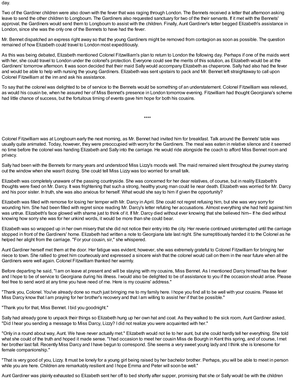day.

Two of the Gardiner children were also down with the fever that was raging through London. The Bennets received a letter that afternoon asking leave to send the other children to Longbourn. The Gardiners also requested sanctuary for two of the their servants. If it met with the Bennets' approval, the Gardiners would send them to Longbourn to assist with the children. Finally, Aunt Gardiner's letter begged Elizabeth's assistance in London, since she was the only one of the Bennets to have had the fever.

Mr. Bennet dispatched an express right away so that the young Gardiners might be removed from contagion as soon as possible. The question remained of how Elizabeth could travel to London most expeditiously.

As this was being debated, Elizabeth mentioned Colonel Fitzwilliam's plan to return to London the following day. Perhaps if one of the maids went with her, she could travel to London under the colonel's protection. Everyone could see the merits of this solution, as Elizabeth would be at the Gardiners' tomorrow afternoon. It was soon decided that their maid Sally would accompany Elizabeth as chaperone. Sally had also had the fever and would be able to help with nursing the young Gardiners. Elizabeth was sent upstairs to pack and Mr. Bennet left straightaway to call upon Colonel Fitzwilliam at the inn and ask his assistance.

To say that the colonel was delighted to be of service to the Bennets would be something of an understatement. Colonel Fitzwilliam was relieved, as would his cousin be, when he assured her of Miss Bennet's presence in London tomorrow evening. Fitzwilliam had thought Georgiana's scheme had little chance of success, but the fortuitous timing of events gave him hope for both his cousins.

\*\*\*\*

Colonel Fitzwilliam was at Longbourn early the next morning, as Mr. Bennet had invited him for breakfast. Talk around the Bennets' table was usually quite animated. Today, however, they were preoccupied with worry for the Gardiners. The meal was eaten in relative silence and it seemed no time before the colonel was handing Elizabeth and Sally into the carriage. He would ride alongside the coach to afford Miss Bennet room and privacy.

Sally had been with the Bennets for many years and understood Miss Lizzy's moods well. The maid remained silent throughout the journey staring out the window when she wasn't dozing. She could tell Miss Lizzy was too worried for small talk.

Elizabeth was completely unaware of the passing countryside. She was concerned for her dear relatives, of course, but in reality Elizabeth's thoughts were fixed on Mr. Darcy. It was frightening that such a strong, healthy young man could lie near death. Elizabeth was worried for Mr. Darcy and his poor sister. In truth, she was also anxious for herself. What would she say to him if given the opportunity?

Elizabeth was filled with remorse for losing her temper with Mr. Darcy in April. She could not regret refusing him, but she was very sorry for wounding him. She had been filled with regret since reading Mr. Darcy's letter refuting her accusations. Almost everything she had held against him was untrue. Elizabeth's face glowed with shame just to think of it. If Mr. Darcy died without ever knowing that she believed him-- If he died without knowing how sorry she was for her unkind words, it would be more than she could bear.

Elizabeth was so wrapped up in her own misery that she did not notice their entry into the city. Her reverie continued uninterrupted until the carriage stopped in front of the Gardiners' home. Elizabeth had written a note to Georgiana late last night. She surreptitiously handed it to the Colonel as he helped her alight from the carriage. "For your cousin, sir," she whispered.

Aunt Gardiner herself met them at the door. Her fatigue was evident; however, she was extremely grateful to Colonel Fitzwilliam for bringing her niece to town. She rallied to greet him courteously and expressed a sincere wish that the colonel would call on them in the near future when all the Gardiners were well again. Colonel Fitzwilliam thanked her warmly.

Before departing he said, "I am on leave at present and will be staying with my cousins, Miss Bennet. As Imentioned Darcy himself has the fever and I hope to be of service to Georgiana during his illness. Iwould also be delighted to be of assistance to you if the occasion should arise. Please feel free to send word at any time you have need of me. Here is my cousins' address."

"Thank you, Colonel. You've already done so much just bringing me to my family here. I hope you find all to be well with your cousins. Please let Miss Darcy know that I am praying for her brother's recovery and that I am willing to assist her if that be possible."

"Thank you for that, Miss Bennet. I bid you goodnight."

Sally had already gone to unpack their things so Elizabeth hung up her own hat and coat. As they walked to the sick room, Aunt Gardiner asked, "Did I hear you sending a message to Miss Darcy, Lizzy? I did not realize you were acquainted with her."

"Only in a round about way, Aunt. We have never actually met." Elizabeth would not lie to her aunt, but she could hardly tell her everything. She told what she could of the truth and hoped it made sense. "I had occasion to meet her cousin Miss de Bourgh in Kent this spring, and of course, Imet her brother last fall. Recently Miss Darcy and I have begun to correspond. She seems a very sweet young lady and I think she is lonesome for female companionship."

"That is very good of you, Lizzy. It must be lonely for a young girl being raised by her bachelor brother. Perhaps, you will be able to meet in person while you are here. Children are remarkably resilient and I hope Emma and Peter will soon be well."

Aunt Gardiner was plainly exhausted so Elizabeth sent her off to bed shortly after supper, promising that she or Sally would be with the children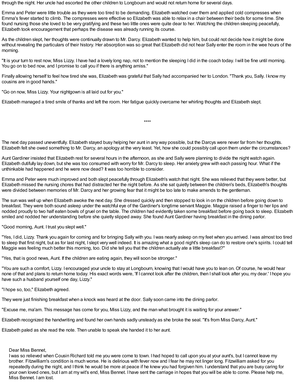through the night. Her uncle had escorted the other children to Longbourn and would not return home for several days.

Emma and Peter were little trouble as they were too tired to be demanding. Elizabeth watched over them and applied cold compresses when Emma's fever started to climb. The compresses were effective so Elizabeth was able to relax in a chair between their beds for some time. She found nursing those she loved to be very gratifying and these two little ones were quite dear to her. Watching the children sleeping peacefully, Elizabeth took encouragement that perhaps the disease was already running its course.

As the children slept, her thoughts were continually drawn to Mr. Darcy. Elizabeth wanted to help him, but could not decide how it might be done without revealing the particulars of their history. Her absorption was so great that Elizabeth did not hear Sally enter the room in the wee hours of the morning.

"It is your turn to rest now, Miss Lizzy. I have had a lovely long nap, not to mention the sleeping I did in the coach today. Iwill be fine until morning. You go on to bed now, and I promise to call you if there is anything amiss."

Finally allowing herself to feel how tired she was, Elizabeth was grateful that Sally had accompanied her to London. "Thank you, Sally. I know my cousins are in good hands."

"Go on now, Miss Lizzy. Your nightgown is all laid out for you."

Elizabeth managed a tired smile of thanks and left the room. Her fatigue quickly overcame her whirling thoughts and Elizabeth slept.

The next day passed uneventfully. Elizabeth stayed busy helping her aunt in any way possible, but the Darcys were never far from her thoughts. Elizabeth felt she owed something to Mr. Darcy, an apology at the very least. Yet, how she could possibly call upon them under the circumstances?

\*\*\*\*

Aunt Gardiner insisted that Elizabeth rest for several hours in the afternoon, as she and Sally were planning to divide the night watch again. Elizabeth dutifully lay down, but she was too consumed with worry for Mr. Darcy to sleep. Her anxiety grew with each passing hour. What if the unthinkable had happened and he were now dead? It was too horrible to consider.

Emma and Peter were much improved and both slept peacefully through Elizabeth's watch that night. She was relieved that they were better, but Elizabeth missed the nursing chores that had distracted her the night before. As she sat quietly between the children's beds, Elizabeth's thoughts were divided between memories of Mr. Darcy and her growing fear that it might be too late to make amends to the gentleman.

The sun was well up when Elizabeth awoke the next day. She dressed quickly and then stopped to look in on the children before going down to breakfast. They were both sound asleep under the watchful eye of the Gardiner's longtime servant Maggie. Maggie raised a finger to her lips and nodded proudly to two half eaten bowls of gruel on the table. The children had evidently taken some breakfast before going back to sleep. Elizabeth smiled and nodded her understanding before she quietly slipped away. She found Aunt Gardiner having breakfast in the dining parlor.

"Good morning, Aunt. I trust you slept well."

"Yes, I did, Lizzy. Thank you again for coming and for bringing Sally with you. Iwas nearly asleep on my feet when you arrived. Iwas almost too tired to sleep that first night, but as for last night, I slept very well indeed. It is amazing what a good night's sleep can do to restore one's spirits. I could tell Maggie was feeling much better this morning, too. Did she tell you that the children actually ate a little breakfast?"

"Yes, that is good news, Aunt. If the children are eating again, they will soon be stronger."

"You are such a comfort, Lizzy. I encouraged your uncle to stay at Longbourn, knowing that Iwould have you to lean on. Of course, he would hear none of that and plans to return home today. His exact words were, 'If I cannot look after the children, then I shall look after you, my dear.' I hope you have such a husband yourself one day, Lizzy."

"I hope so, too," Elizabeth agreed.

They were just finishing breakfast when a knock was heard at the door. Sally soon came into the dining parlor.

"Excuse me, ma'am. This message has come for you, Miss Lizzy, and the man what brought it is waiting for your answer."

Elizabeth recognized the handwriting and found her own hands sadly unsteady as she broke the seal. "It's from Miss Darcy, Aunt."

Elizabeth paled as she read the note. Then unable to speak she handed it to her aunt.

Dear Miss Bennet,

Iwas so relieved when Cousin Richard told me you were come to town. I had hoped to call upon you at your aunt's, but I cannot leave my brother. Fitzwilliam's condition is much worse. He is delirious with fever now and I fear he may not linger long. Fitzwilliam asked for you repeatedly during the night, and I think he would be more at peace if he knew you had forgiven him. I understand that you are busy caring for your own loved ones, but I am at my wit's end, Miss Bennet. I have sent the carriage in hopes that you will be able to come. Please help me, Miss Bennet. I am lost.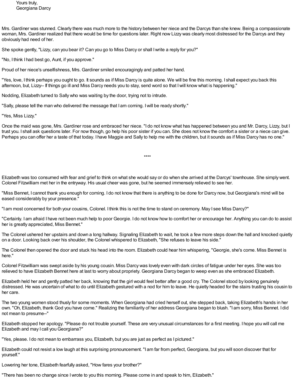Yours truly, Georgiana Darcy

Mrs. Gardiner was stunned. Clearly there was much more to the history between her niece and the Darcys than she knew. Being a compassionate woman, Mrs. Gardiner realized that there would be time for questions later. Right now Lizzy was clearly most distressed for the Darcys and they obviously had need of her.

She spoke gently, "Lizzy, can you bear it? Can you go to Miss Darcy or shall Iwrite a reply for you?"

"No, I think I had best go, Aunt, if you approve."

Proud of her niece's unselfishness, Mrs. Gardiner smiled encouragingly and patted her hand.

"Yes, love, I think perhaps you ought to go. It sounds as if Miss Darcy is quite alone. We will be fine this morning. I shall expect you back this afternoon, but, Lizzy-- If things go ill and Miss Darcy needs you to stay, send word so that Iwill know what is happening."

Nodding, Elizabeth turned to Sally who was waiting by the door, trying not to intrude.

"Sally, please tell the man who delivered the message that I am coming. Iwill be ready shortly."

"Yes, Miss Lizzy."

Once the maid was gone, Mrs. Gardiner rose and embraced her niece. "I do not know what has happened between you and Mr. Darcy, Lizzy, but I trust you. I shall ask questions later. For now though, go help his poor sister if you can. She does not know the comfort a sister or a niece can give. Perhaps you can offer her a taste of that today. I have Maggie and Sally to help me with the children, but it sounds as if Miss Darcy has no one."

\*\*\*\*

Elizabeth was too consumed with fear and grief to think on what she would say or do when she arrived at the Darcys' townhouse. She simply went. Colonel Fitzwilliam met her in the entryway. His usual cheer was gone, but he seemed immensely relieved to see her.

"Miss Bennet, I cannot thank you enough for coming. I do not know that there is anything to be done for Darcy now, but Georgiana's mind will be eased considerably by your presence."

"I am most concerned for both your cousins, Colonel. I think this is not the time to stand on ceremony. May I see Miss Darcy?"

"Certainly. I am afraid I have not been much help to poor Georgie. I do not know how to comfort her or encourage her. Anything you can do to assist her is greatly appreciated, Miss Bennet."

The Colonel ushered her upstairs and down a long hallway. Signaling Elizabeth to wait, he took a few more steps down the hall and knocked quietly on a door. Looking back over his shoulder, the Colonel whispered to Elizabeth, "She refuses to leave his side."

The Colonel then opened the door and stuck his head into the room. Elizabeth could hear him whispering, "Georgie, she's come. Miss Bennet is here."

Colonel Fitzwilliam was swept aside by his young cousin. Miss Darcy was lovely even with dark circles of fatigue under her eyes. She was too relieved to have Elizabeth Bennet here at last to worry about propriety. Georgiana Darcy began to weep even as she embraced Elizabeth.

Elizabeth held her and gently patted her back, knowing that the girl would feel better after a good cry. The Colonel stood by looking genuinely distressed. He was uncertain of what to do until Elizabeth gestured with a nod for him to leave. He quietly headed for the stairs trusting his cousin to her care.

The two young women stood thusly for some moments. When Georgiana had cried herself out, she stepped back, taking Elizabeth's hands in her own. "Oh, Elizabeth, thank God you have come." Realizing the familiarity of her address Georgiana began to blush. "I am sorry, Miss Bennet. I did not mean to presume--"

Elizabeth stopped her apology. "Please do not trouble yourself. These are very unusual circumstances for a first meeting. I hope you will call me Elizabeth and may I call you Georgiana?"

"Yes, please. I do not mean to embarrass you, Elizabeth, but you are just as perfect as I pictured."

Elizabeth could not resist a low laugh at this surprising pronouncement. "I am far from perfect, Georgiana, but you will soon discover that for yourself."

Lowering her tone, Elizabeth fearfully asked, "How fares your brother?"

"There has been no change since Iwrote to you this morning. Please come in and speak to him, Elizabeth."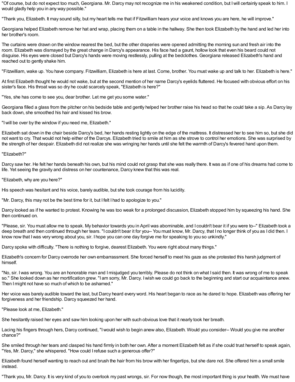"Of course, but do not expect too much, Georgiana. Mr. Darcy may not recognize me in his weakened condition, but Iwill certainly speak to him. I would gladly help you in any way possible."

"Thank you, Elizabeth. It may sound silly, but my heart tells me that if Fitzwilliam hears your voice and knows you are here, he will improve."

Georgiana helped Elizabeth remove her hat and wrap, placing them on a table in the hallway. She then took Elizabeth by the hand and led her into her brother's room.

The curtains were drawn on the window nearest the bed, but the other draperies were opened admitting the morning sun and fresh air into the room. Elizabeth was dismayed by the great change in Darcy's appearance. His face had a gaunt, hollow look that even his beard could not disguise. His eyes were closed but Darcy's hands were moving restlessly, pulling at the bedclothes. Georgiana released Elizabeth's hand and reached out to gently shake him.

"Fitzwilliam, wake up. You have company. Fitzwilliam, Elizabeth is here at last. Come, brother. You must wake up and talk to her. Elizabeth is here."

At first Elizabeth thought he would not wake, but at the second mention of her name Darcy's eyelids fluttered. He focused with obvious effort on his sister's face. His throat was so dry he could scarcely speak, "Elizabeth is here?"

"Yes, she has come to see you, dear brother. Let me get you some water."

Georgiana filled a glass from the pitcher on his bedside table and gently helped her brother raise his head so that he could take a sip. As Darcy lay back down, she smoothed his hair and kissed his brow.

"Iwill be over by the window if you need me, Elizabeth."

Elizabeth sat down in the chair beside Darcy's bed, her hands resting lightly on the edge of the mattress. It distressed her to see him so, but she did not want to cry. That would not help either of the Darcys. Elizabeth tried to smile at him as she strove to control her emotions. She was surprised by the strength of her despair. Elizabeth did not realize she was wringing her hands until she felt the warmth of Darcy's fevered hand upon them.

#### "Elizabeth?"

Darcy saw her. He felt her hands beneath his own, but his mind could not grasp that she was really there. It was as if one of his dreams had come to life. Yet seeing the gravity and distress on her countenance, Darcy knew that this was real.

"Elizabeth, why are you here?"

His speech was hesitant and his voice, barely audible, but she took courage from his lucidity.

"Mr. Darcy, this may not be the best time for it, but I felt I had to apologize to you."

Darcy looked as if he wanted to protest. Knowing he was too weak for a prolonged discussion, Elizabeth stopped him by squeezing his hand. She then continued on.

"Please, sir. You must allow me to speak. My behavior towards you in April was abominable, and I couldn't bear it if you were to--" Elizabeth took a deep breath and then continued through her tears. "I couldn't bear it for you-- You must know, Mr. Darcy, that I no longer think of you as I did then. I know now that Iwas very wrong about you, sir. I hope you can one day forgive me for speaking to you so unkindly."

Darcy spoke with difficulty. "There is nothing to forgive, dearest Elizabeth. You were right about many things."

Elizabeth's concern for Darcy overrode her own embarrassment. She forced herself to meet his gaze as she protested this harsh judgment of himself.

"No, sir. Iwas wrong. You are an honorable man and Imisjudged you terribly. Please do not think on what I said then. It was wrong of me to speak so." She looked down as her mortification grew. "I am sorry, Mr. Darcy. Iwish we could go back to the beginning and start our acquaintance anew. Then Imight not have so much of which to be ashamed."

Her voice was barely audible toward the last, but Darcy heard every word. His heart began to race as he dared to hope. Elizabeth was offering her forgiveness and her friendship. Darcy squeezed her hand.

"Please look at me, Elizabeth."

She hesitantly raised her eyes and saw him looking upon her with such obvious love that it nearly took her breath.

Lacing his fingers through hers, Darcy continued, "Iwould wish to begin anew also, Elizabeth. Would you consider-- Would you give me another chance?"

She smiled through her tears and clasped his hand firmly in both her own. After a moment Elizabeth felt as if she could trust herself to speak again, "Yes, Mr. Darcy," she whispered. "How could Irefuse such a generous offer?"

Elizabeth found herself wanting to reach out and brush the hair from his brow with her fingertips, but she dare not. She offered him a small smile instead.

"Thank you, Mr. Darcy. It is very kind of you to overlook my past wrongs, sir. For now though, the most important thing is your health. We must have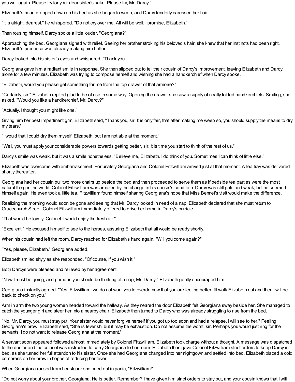you well again. Please try for your dear sister's sake. Please try, Mr. Darcy."

Elizabeth's head dropped down on his bed as she began to weep, and Darcy tenderly caressed her hair.

"It is alright, dearest," he whispered. "Do not cry over me. All will be well. I promise, Elizabeth."

Then rousing himself, Darcy spoke a little louder, "Georgiana?"

Approaching the bed, Georgiana sighed with relief. Seeing her brother stroking his beloved's hair, she knew that her instincts had been right. Elizabeth's presence was already making him better.

Darcy looked into his sister's eyes and whispered, "Thank you."

Georgiana gave him a radiant smile in response. She then slipped out to tell their cousin of Darcy's improvement, leaving Elizabeth and Darcy alone for a few minutes. Elizabeth was trying to compose herself and wishing she had a handkerchief when Darcy spoke.

"Elizabeth, would you please get something for me from the top drawer of that armoire?"

"Certainly, sir," Elizabeth replied glad to be of use in some way. Opening the drawer she saw a supply of neatly folded handkerchiefs. Smiling, she asked, "Would you like a handkerchief, Mr. Darcy?"

"Actually, I thought you might like one."

Giving him her best impertinent grin, Elizabeth said, "Thank you, sir. It is only fair, that after making me weep so, you should supply the means to dry my tears."

"Iwould that I could dry them myself, Elizabeth, but I am not able at the moment."

"Well, you must apply your considerable powers towards getting better, sir. It is time you start to think of the rest of us."

Darcy's smile was weak, but it was a smile nonetheless. "Believe me, Elizabeth. I do think of you. Sometimes I can think of little else."

Elizabeth was overcome with embarrassment. FortunatelyGeorgiana and Colonel Fitzwilliam arrived just at that moment. A tea tray was delivered shortly thereafter.

Georgiana had her cousin pull two more chairs up beside the bed and then proceeded to serve them as if bedside tea parties were the most natural thing in the world. Colonel Fitzwilliam was amazed by the change in his cousin's condition. Darcy was still pale and weak, but he seemed himself again. He even took a little tea. Fitzwilliam found himself sharing Georgiana's hope that Miss Bennet's visit would make the difference.

Realizing the morning would soon be gone and seeing that Mr. Darcy looked in need of a nap, Elizabeth declared that she must return to Gracechurch Street. Colonel Fitzwilliam immediately offered to drive her home in Darcy's curricle.

"That would be lovely, Colonel. Iwould enjoy the fresh air."

"Excellent." He excused himself to see to the horses, assuring Elizabeth that all would be ready shortly.

When his cousin had left the room, Darcy reached for Elizabeth's hand again. "Will you come again?"

"Yes, please, Elizabeth." Georgiana added.

Elizabeth smiled shyly as she responded, "Of course, if you wish it."

Both Darcys were pleased and relieved by her agreement.

"Now Imust be going, and perhaps you should be thinking of a nap, Mr. Darcy," Elizabeth gently encouraged him.

Georgiana instantly agreed. "Yes, Fitzwilliam, we do not want you to overdo now that you are feeling better. I'll walk Elizabeth out and then Iwill be back to check on you."

Arm in arm the two young women headed toward the hallway. As they neared the door Elizabeth felt Georgiana sway beside her. She managed to catch the younger girl and steer her into a nearby chair. Elizabeth then turned to Darcy who was already struggling to rise from the bed.

"No, Mr. Darcy, you must stay put. Your sister would never forgive herself if you got up too soon and had a relapse. Iwill see to her." Feeling Georgiana's brow, Elizabeth said, "She is feverish, but it may be exhaustion. Do not assume the worst, sir. Perhaps you would just ring for the servants. I do not want to release Georgiana at the moment."

A servant soon appeared followed almost immediately by Colonel Fitzwilliam. Elizabeth took charge without a thought. A message was dispatched to the doctor and the colonel was instructed to carry Georgiana to her room. Elizabeth then gave Colonel Fitzwilliam strict orders to keep Darcy in bed, as she turned her full attention to his sister. Once she had Georgiana changed into her nightgown and settled into bed, Elizabeth placed a cold compress on her brow in hopes of reducing her fever.

WhenGeorgiana roused from her stupor she cried out in panic, "Fitzwilliam!"

"Do not worry about your brother, Georgiana. He is better. Remember? I have given him strict orders to stay put, and your cousin knows that Iwill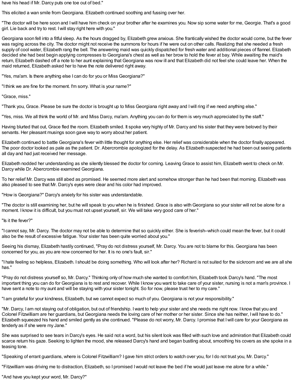have his head if Mr. Darcy puts one toe out of bed."

This elicited a wan smile from Georgiana. Elizabeth continued soothing and fussing over her.

"The doctor will be here soon and Iwill have him check on your brother after he examines you. Now sip some water for me, Georgie. That's a good girl. Lie back and try to rest. Iwill stay right here with you."

Georgiana soon fell into a fitful sleep. As the hours dragged by, Elizabeth grew anxious. She frantically wished the doctor would come, but the fever was raging across the city. The doctor might not receive the summons for hours if he were out on other calls. Realizing that she needed a fresh supply of cool water, Elizabeth rang the bell. The answering maid was quickly dispatched for fresh water and additional pieces of flannel. Elizabeth decided she had best begin applying compresses to Georgiana's chest as well as her brow to hold the fever at bay. While awaiting the maid's return, Elizabeth dashed off a note to her aunt explaining that Georgiana was now ill and that Elizabeth did not feel she could leave her. When the maid returned, Elizabeth asked her to have the note delivered right away.

"Yes, ma'am. Is there anything else I can do for you or Miss Georgiana?"

"I think we are fine for the moment. I'm sorry. What is your name?"

"Grace, miss."

"Thank you, Grace. Please be sure the doctor is brought up to Miss Georgiana right away and Iwill ring if we need anything else."

"Yes, miss. We all think the world of Mr. and Miss Darcy, ma'am. Anything you can do for them is very much appreciated by the staff."

Having blurted that out, Grace fled the room. Elizabeth smiled. It spoke very highly of Mr. Darcy and his sister that they were beloved by their servants. Her pleasant musings soon gave way to worry about her patient.

Elizabeth continued to battle Georgiana's fever with little thought for anything else. Her relief was considerable when the doctor finally appeared. The poor doctor looked as pale as the patient. Dr. Abercrombie apologized for the delay. As Elizabeth suspected he had been out seeing patients all day and had just received her message.

Elizabeth nodded her understanding as she silently blessed the doctor for coming. Leaving Grace to assist him, Elizabeth went to check on Mr. Darcy while Dr. Abercrombie examined Georgiana.

To her relief Mr. Darcy was still abed as promised. He seemed more alert and somehow stronger than he had been that morning. Elizabeth was also pleased to see that Mr. Darcy's eyes were clear and his color had improved.

"How is Georgiana?" Darcy's anxiety for his sister was understandable.

"The doctor is still examining her, but he will speak to you when he is finished. Grace is also with Georgiana so your sister will not be alone for a moment. I know it is difficult, but you must not upset yourself, sir. We will take very good care of her."

"Is it the fever?"

"I cannot say, Mr. Darcy. The doctor may not be able to determine that so quickly either. She is feverish--which could mean the fever, but it could also be the result of excessive fatigue. Your sister has been quite worried about you."

Seeing his dismay, Elizabeth hastily continued, "Pray do not distress yourself, Mr. Darcy. You are not to blame for this. Georgiana has been concerned for you, as you are now concerned for her. It is no one's fault, sir."

"I hate feeling so helpless, Elizabeth. I should be doing something. Who will look after her? Richard is not suited for the sickroom and we are all she has."

"Pray do not distress yourself so, Mr. Darcy." Thinking only of how much she wanted to comfort him, Elizabeth took Darcy's hand. "The most important thing you can do for Georgiana is to rest and recover. While I know you want to take care of your sister, nursing is not a man's province. I have sent a note to my aunt and will be staying with your sister tonight. So for now, please trust her to my care."

"I am grateful for your kindness, Elizabeth, but we cannot expect so much of you. Georgiana is not your responsibility."

"Mr. Darcy, I am not staying out of obligation, but out of friendship. Iwant to help your sister and she needs me right now. I know that you and Colonel Fitzwilliam are her guardians, but Georgiana needs the loving care of her mother or her sister. Since she has neither, Iwill have to do." Elizabeth squeezed his hand and smiled gently as she continued. "Please do not worry, Mr. Darcy. I promise that Iwill care for your Georgiana as tenderly as if she were my Jane."

She was surprised to see tears in Darcy's eyes. He said not a word, but his silent look was filled with such love and admiration that Elizabeth could scarce return his gaze. Seeking to lighten the mood, she released Darcy's hand and began bustling about, smoothing his covers as she spoke in a teasing tone.

"Speaking of errant guardians, where is Colonel Fitzwilliam? I gave him strict orders to watch over you, for I do not trust you, Mr. Darcy."

"Fitzwilliam was driving me to distraction, Elizabeth, so I promised Iwould not leave the bed if he would just leave me alone for a while."

"And have you kept your word, Mr. Darcy?"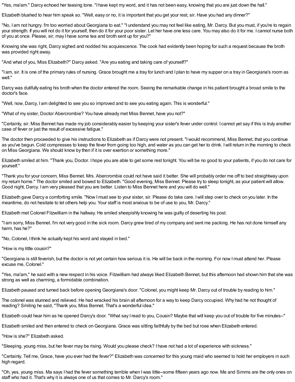"Yes, ma'am." Darcy echoed her teasing tone. "I have kept my word, and it has not been easy, knowing that you are just down the hall."

Elizabeth blushed to hear him speak so. "Well, easy or no, it is important that you get your rest, sir. Have you had any dinner?"

"No, I am not hungry. I'm too worried about Georgiana to eat." "I understand you may not feel like eating, Mr. Darcy. But you must, if you're to regain your strength. If you will not do it for yourself, then do it for your poor sister. Let her have one less care. You may also do it for me. I cannot nurse both of you at once. Please, sir, may I have some tea and broth sent up for you?"

Knowing she was right, Darcy sighed and nodded his acquiescence. The cook had evidently been hoping for such a request because the broth was provided right away.

"And what of you, Miss Elizabeth?" Darcy asked. "Are you eating and taking care of yourself?"

"I am, sir. It is one of the primary rules of nursing. Grace brought me a tray for lunch and I plan to have my supper on a tray inGeorgiana's room as well."

Darcy was dutifully eating his broth when the doctor entered the room. Seeing the remarkable change in his patient brought a broad smile to the doctor's face.

"Well, now, Darcy, I am delighted to see you so improved and to see you eating again. This is wonderful."

"What of my sister, Doctor Abercrombie? You have already met Miss Bennet, have you not?"

"Certainly, sir. Miss Bennet has made my job considerably easier by keeping your sister's fever under control. I cannot yet say if this is truly another case of fever or just the result of excessive fatigue."

The doctor then proceeded to give his instructions to Elizabeth as if Darcy were not present. "Iwould recommend, Miss Bennet, that you continue as you've begun. Cold compresses to keep the fever from going too high, and water as you can get her to drink. Iwill return in the morning to check on Miss Georgiana. We should know by then if it is over exertion or something more."

Elizabeth smiled at him. "Thank you, Doctor. I hope you are able to get some rest tonight. You will be no good to your patients, if you do not care for yourself."

"Thank you for your concern, Miss Bennet. Mrs. Abercrombie could not have said it better. She will probably order me off to bed straightway upon my return home." The doctor smiled and bowed to Elizabeth. "Good evening, Miss Bennet. Please try to sleep tonight, as your patient will allow. Good night, Darcy. I am very pleased that you are better. Listen to Miss Bennet here and you will do well."

Elizabeth gave Darcy a comforting smile. "Now Imust see to your sister, sir. Please do take care. Iwill step over to check on you later. In the meantime, do not hesitate to let others help you. Your staff is most anxious to be of use to you, Mr. Darcy."

Elizabeth met Colonel Fitzwilliam in the hallway. He smiled sheepishly knowing he was guilty of deserting his post.

"I am sorry, Miss Bennet. I'm not very good in the sick room. Darcy grew tired of my company and sent me packing. He has not done himself any harm, has he?"

"No, Colonel, I think he actually kept his word and stayed in bed."

"How is my little cousin?"

"Georgiana is still feverish, but the doctor is not yet certain how serious it is. He will be back in the morning. For now Imust attend her. Please excuse me, Colonel."

"Yes, ma'am," he said with a new respect in his voice. Fitzwilliam had always liked Elizabeth Bennet, but this afternoon had shown him that she was strong as well as charming, a formidable combination.

Elizabeth paused and turned back before opening Georgiana's door. "Colonel, you might keep Mr. Darcy out of trouble by reading to him."

The colonel was stunned and relieved. He had wracked his brain all afternoon for a way to keep Darcy occupied. Why had he not thought of reading? Smiling he said, "Thank you, Miss Bennet. That's a wonderful idea."

Elizabeth could hear him as he opened Darcy's door. "What say Iread to you, Cousin? Maybe that will keep you out of trouble for five minutes--"

Elizabeth smiled and then entered to check onGeorgiana. Grace was sitting faithfully by the bed but rose when Elizabeth entered.

"How is she?" Elizabeth asked.

"Sleeping, young miss, but her fever may be rising. Would you please check? I have not had a lot of experience with sickness."

"Certainly. Tell me, Grace, have you ever had the fever?" Elizabeth was concerned for this young maid who seemed to hold her employers in such high regard.

"Oh, yes, young miss. Ma says I had the fever something terrible when Iwas little--some fifteen years ago now. Me and Simms are the only ones on staff who had it. That's why it is always one of us that comes to Mr. Darcy's room."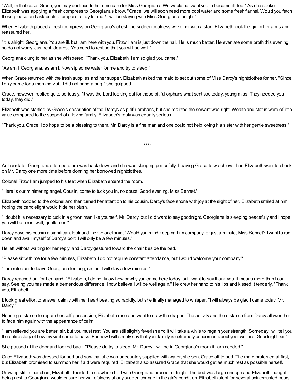"Well, in that case, Grace, you may continue to help me care for Miss Georgiana. We would not want you to become ill, too." As she spoke Elizabeth was applying a fresh compress to Georgiana's brow. "Grace, we will soon need more cool water and some fresh flannel. Would you fetch those please and ask cook to prepare a tray for me? Iwill be staying with Miss Georgiana tonight."

When Elizabeth placed a fresh compress on Georgiana's chest, the sudden coolness woke her with a start. Elizabeth took the girl in her arms and reassured her.

"It is alright, Georgiana. You are ill, but I am here with you. Fitzwilliam is just down the hall. He is much better. He even ate some broth this evening so do not worry. Just rest, dearest. You need to rest so that you will be well."

Georgiana clung to her as she whispered, "Thank you, Elizabeth. I am so glad you came."

"As am I, Georgiana, as am I. Now sip some water for me and try to sleep."

WhenGrace returned with the fresh supplies and her supper, Elizabeth asked the maid to set out some of Miss Darcy's nightclothes for her. "Since I only came for a morning visit, I did not bring a bag," she quipped.

Grace, however, replied quite seriously, "It was the Lord looking out for these pitiful orphans what sent you today, young miss. They needed you today, they did."

Elizabeth was startled byGrace's description of the Darcys as pitiful orphans, but she realized the servant was right. Wealth and status were of little value compared to the support of a loving family. Elizabeth's reply was equally serious.

"Thank you, Grace. I do hope to be a blessing to them. Mr. Darcy is a fine man and one could not help loving his sister with her gentle sweetness."

\*\*\*\*

An hour later Georgiana's temperature was back down and she was sleeping peacefully. Leaving Grace to watch over her, Elizabeth went to check on Mr. Darcy one more time before donning her borrowed nightclothes.

Colonel Fitzwilliam jumped to his feet when Elizabeth entered the room.

"Here is our ministering angel, Cousin, come to tuck you in, no doubt. Good evening, Miss Bennet."

Elizabeth nodded to the colonel and then turned her attention to his cousin. Darcy's face shone with joy at the sight of her. Elizabeth smiled at him, hoping the candlelight would hide her blush.

"I doubt it is necessary to tuck in a grown man like yourself, Mr. Darcy, but I did want to say goodnight. Georgiana is sleeping peacefully and I hope you will both rest well, gentlemen."

Darcy gave his cousin a significant look and the Colonel said, "Would you mind keeping him company for just a minute, Miss Bennet? Iwant to run down and avail myself of Darcy's port. Iwill only be a few minutes."

He left without waiting for her reply, and Darcy gestured toward the chair beside the bed.

"Please sit with me for a few minutes, Elizabeth. I do not require constant attendance, but Iwould welcome your company."

"I am reluctant to leave Georgiana for long, sir, but Iwill stay a few minutes."

Darcy reached out for her hand, "Elizabeth, I do not know how or why you came here today, but Iwant to say thank you. It means more than I can say. Seeing you has made a tremendous difference. I now believe I will be well again." He drew her hand to his lips and kissed it tenderly. "Thank you, Elizabeth."

It took great effort to answer calmly with her heart beating so rapidly, but she finally managed to whisper, "Iwill always be glad I came today, Mr. Darcy."

Needing distance to regain her self-possession, Elizabeth rose and went to draw the drapes. The activity and the distance from Darcy allowed her to face him again with the appearance of calm.

"I am relieved you are better, sir, but you must rest. You are still slightly feverish and it will take a while to regain your strength. Someday Iwill tell you the entire story of how my visit came to pass. For now Iwill simply say that your family is extremely concerned about your welfare. Goodnight, sir."

She paused at the door and looked back. "Please do try to sleep, Mr. Darcy. I will be in Georgiana's room if I am needed."

Once Elizabeth was dressed for bed and saw that she was adequately supplied with water, she sent Grace off to bed. The maid protested at first, but Elizabeth promised to summon her if aid were required. Elizabeth also assured Grace that she would get as much rest as possible herself.

Growing stiff in her chair, Elizabeth decided to crawl into bed with Georgiana around midnight. The bed was large enough and Elizabeth thought being next to Georgiana would ensure her wakefulness at any sudden change in the girl's condition. Elizabeth slept for several uninterrupted hours,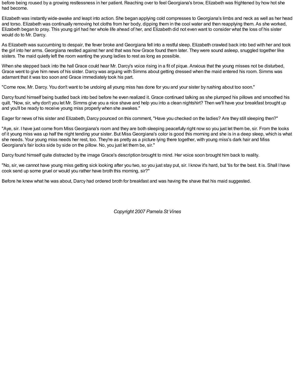before being roused by a growing restlessness in her patient. Reaching over to feel Georgiana's brow, Elizabeth was frightened by how hot she had become.

Elizabeth was instantly wide-awake and leapt into action. She began applying cold compresses to Georgiana's limbs and neck as well as her head and torso. Elizabeth was continually removing hot cloths from her body, dipping them in the cool water and then reapplying them. As she worked, Elizabeth began to pray. This young girl had her whole life ahead of her, and Elizabeth did not even want to consider what the loss of his sister would do to Mr. Darcy.

As Elizabeth was succumbing to despair, the fever broke and Georgiana fell into a restful sleep. Elizabeth crawled back into bed with her and took the girl into her arms. Georgiana nestled against her and that was how Grace found them later. They were sound asleep, snuggled together like sisters. The maid quietly left the room wanting the young ladies to rest as long as possible.

When she stepped back into the hall Grace could hear Mr. Darcy's voice rising in a fit of pique. Anxious that the young misses not be disturbed, Grace went to give him news of his sister. Darcy was arguing with Simms about getting dressed when the maid entered his room. Simms was adamant that it was too soon and Grace immediately took his part.

"Come now, Mr. Darcy. You don't want to be undoing all young miss has done for you and your sister by rushing about too soon."

Darcy found himself being bustled back into bed before he even realized it. Grace continued talking as she plumped his pillows and smoothed his quilt. "Now, sir, why don't you let Mr. Simms give you a nice shave and help you into a clean nightshirt? Then we'll have your breakfast brought up and you'll be ready to receive young miss properly when she awakes."

Eager for news of his sister and Elizabeth, Darcy pounced on this comment, "Have you checked on the ladies? Are they still sleeping then?"

"Aye, sir. I have just come from Miss Georgiana's room and they are both sleeping peacefully right now so you just let them be, sir. From the looks of it young miss was up half the night tending your sister. But Miss Georgiana's color is good this morning and she is in a deep sleep, which is what she needs. Your young miss needs her rest, too. They're as pretty as a picture lying there together, with young miss's dark hair and Miss Georgiana's fair locks side by side on the pillow. No, you just let them be, sir."

Darcy found himself quite distracted by the image Grace's description brought to mind. Her voice soon brought him back to reality.

"No, sir, we cannot have young miss getting sick looking after you two, so you just stay put, sir. I know it's hard, but 'tis for the best. It is. Shall I have cook send up some gruel or would you rather have broth this morning, sir?"

Before he knew what he was about, Darcy had ordered broth for breakfast and was having the shave that his maid suggested.

*Copyright 2007 Pamela St Vines*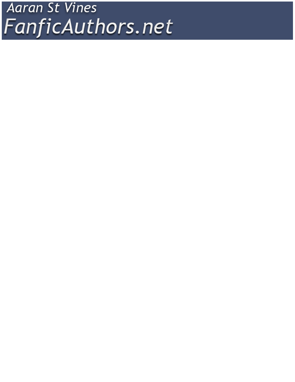# **Aaran St Vines** FanficAuthors.net

- 
- 
- 
- -
	-
	-
	-
- - -
- -
	-
- 
- 
- -
	-
	-
- 
- 
- 
- 
- 
- 
- - -
		-
		-
- -
- 
- 
- - -
		- -
	-
	-
	- -
		-
		-
		-
		-
- 
- 
- 
- 
- 
- 
- -
- -
	- -
- 
- 
- 
- 
- 
- 
- 
- 
- 
- 
- 
- 
- 
- 
- 
- 
- 
- 
- 
- 
- 
- 
- 
- 
- 
- 
-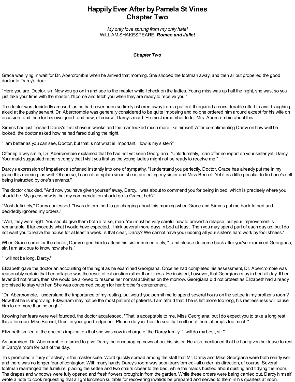## **HappilyEver After byPamela St Vines Chapter Two**

*My only love sprung from my only hate!* WILLIAM SHAKESPEARE, *Romeo and Juliet*

### *Chapter Two*

Grace was lying in wait for Dr. Abercrombie when he arrived that morning. She shooed the footman away, and then all but propelled the good doctor to Darcy's door.

"Here you are, Doctor, sir. Now you go on in and see to the master while I check on the ladies. Young miss was up half the night, she was, so you just take your time with the master. I'll come and fetch you when they are ready to receive you."

The doctor was decidedly amused, as he had never been so firmly ushered away from a patient. It required a considerable effort to avoid laughing aloud at the pushy servant. Dr. Abercrombie was generally considered to be quite imposing and no one ordered him around except for his wife on occasion--and then for his own good--and now, of course, Darcy's maid. He must remember to tell Mrs. Abercrombie about this.

Simms had just finished Darcy's first shave in weeks and the man looked much more like himself. After complimenting Darcy on how well he looked, the doctor asked how he had fared during the night.

"I am better as you can see, Doctor, but that is not what is important. How is my sister?"

Offering a wry smile, Dr. Abercrombie explained that he had not yet seenGeorgiana. "Unfortunately, I can offer no report on your sister yet, Darcy. Your maid suggested rather strongly that I visit you first as the young ladies might not be ready to receive me."

Darcy's expression of impatience softened instantly into one of sympathy. "I understand you perfectly, Doctor. Grace has already put me in my place this morning, as well. Of course, I cannot complain since she is protecting my sister and Miss Bennet. Yet it is a little peculiar to find one's self being instructed by one's servants."

The doctor chuckled. "And now you have given yourself away, Darcy. Iwas about to commend you for being in bed, which is precisely where you should be. My guess now is that my commendation should go to Grace, heh?"

"Most definitely," Darcy confessed. "I was determined to go charging about this morning when Grace and Simms put me back to bed and decidedly ignored my orders."

"Well, they were right. You should give them both a raise, man. You must be very careful now to prevent a relapse, but your improvement is remarkable. It far exceeds what Iwould have expected. I think several more days in bed at least. Then you may spend part of each day up, but I do not want you to leave the house for at least a week. Is that clear, Darcy? We cannot have you undoing all your sister's hard work by foolishness."

WhenGrace came for the doctor, Darcy urged him to attend his sister immediately, "--and please do come back after you've examined Georgiana, sir. I am anxious to know how she is."

"Iwill not be long, Darcy."

Elizabeth gave the doctor an accounting of the night as he examined Georgiana. Once he had completed his assessment, Dr. Abercrombie was reasonably certain that her collapse was the result of exhaustion rather than illness. He insisted, however, that Georgiana stay in bed all day. If her fever did not return, then she would be allowed to resume her normal activities on the morrow. Georgiana did not protest as Elizabeth had already promised to stay with her. She was concerned though for her brother's contentment.

"Dr. Abercrombie, I understand the importance of my resting, but would you permit me to spend several hours on the settee in my brother's room? Now that he is improving, Fitzwilliam may not be the most patient of patients. I am afraid that if he is left alone too long, his restlessness will cause him to do more than he ought."

Knowing her fears were well founded, the doctor acquiesced. "That is acceptable to me, Miss Georgiana, but I do expect you to take a long rest this afternoon. Miss Bennet, I trust in your good judgment. Please do your best to see that neither of them attempts too much."

Elizabeth smiled at the doctor's implication that she was now in charge of the Darcy family. "Iwill do my best, sir."

As promised, Dr. Abercrombie returned to give Darcy the encouraging news about his sister. He also mentioned that he had given her leave to rest in Darcy's room for part of the day.

This prompted a flurry of activity in the master suite. Word quickly spread among the staff that Mr. Darcy and Miss Georgiana were both nearly well and there was no longer fear of contagion. With many hands Darcy's room was soon transformed--all under his direction, of course. Several footman rearranged the furniture, placing the settee and two chairs closer to the bed, while the maids bustled about dusting and tidying the room. The drapes and windows were fully opened and fresh flowers brought in from the garden. While these orders were being carried out, Darcy himself wrote a note to cook requesting that a light luncheon suitable for recovering invalids be prepared and served to them in his quarters at noon.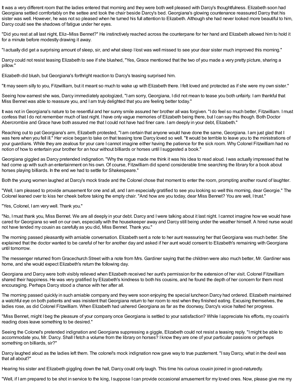It was a very different room that the ladies entered that morning and they were both well pleased with Darcy's thoughtfulness. Elizabeth soon had Georgiana settled comfortably on the settee and took the chair beside Darcy's bed. Georgiana's glowing countenance reassured Darcy that his sister was well. However, he was not so pleased when he turned his full attention to Elizabeth. Although she had never looked more beautiful to him, Darcy could see the shadows of fatigue under her eyes.

"Did you rest at all last night, Eliz--Miss Bennet?" He instinctively reached across the counterpane for her hand and Elizabeth allowed him to hold it for a minute before modestly drawing it away.

"I actually did get a surprising amount of sleep, sir, and what sleep I lost was well missed to see your dear sister much improved this morning."

Darcy could not resist teasing Elizabeth to see if she blushed, "Yes, Grace mentioned that the two of you made a very pretty picture, sharing a pillow."

Elizabeth did blush, but Georgiana's forthright reaction to Darcy's teasing surprised him.

"It may seem silly to you, Fitzwilliam, but it meant so much to wake up with Elizabeth there. I felt loved and protected as if she were my own sister."

Seeing how earnest she was, Darcy immediately apologized, "I am sorry, Georgiana, I did not mean to tease you both unfairly. I am thankful that Miss Bennet was able to reassure you, and I am truly delighted that you are feeling better today."

It was not in Georgiana's nature to be resentful and her sunny smile assured her brother all was forgiven. "I do feel so much better, Fitzwilliam. I must confess that I do not remember much of last night. I have only vague memories of Elizabeth being there, but I can say this though. Both Doctor Abercrombie and Grace have both assured me that I could not have had finer care. I am deeply in your debt, Elizabeth."

Reaching out to pat Georgiana's arm, Elizabeth protested, "I am certain that anyone would have done the same, Georgiana. I am just glad that I was here when you fell ill." Her voice began to take on that teasing tone Darcy loved so well. "It would be terrible to leave you to the ministrations of your guardians. While they are zealous for your care I cannot imagine either having the patience for the sick room. Why Colonel Fitzwilliam had no notion of how to entertain your brother for an hour without billiards or horses until I suggested a book."

Georgiana giggled as Darcy pretended indignation. "Why the rogue made me think it was his idea to read aloud. Iwas actually impressed that he had come up with such an entertainment on his own. Of course, Fitzwilliam did spend considerable time searching the library for a book about horses playing billiards. In the end we had to settle for Shakespeare."

Both the young women laughed at Darcy's mock tirade and the Colonel chose that moment to enter the room, prompting another round of laughter.

"Well, I am pleased to provide amusement for one and all, and I am especially gratified to see you looking so well this morning, dear Georgie." The Colonel leaned over to kiss her cheek before taking the empty chair. "And how are you today, dear Miss Bennet? You are well, I trust."

"Yes, Colonel, I am very well. Thank you."

"No, Imust thank you, Miss Bennet. We are all deeply in your debt. Darcy and Iwere talking about it last night. I cannot imagine how we would have cared for Georgiana so well on our own, especially with the housekeeper away and Darcy still being under the weather himself. A hired nurse would not have tended my cousin as carefully as you did, Miss Bennet. Thank you."

The morning passed pleasantly with amiable conversation. Elizabeth sent a note to her aunt reassuring her that Georgiana was much better. She explained that the doctor wanted to be careful of her for another day and asked if her aunt would consent to Elizabeth's remaining with Georgiana until tomorrow.

The messenger returned from Gracechurch Street with a note from Mrs. Gardiner saying that the children were also much better, Mr. Gardiner was home, and she would expect Elizabeth's return the following day.

Georgiana and Darcy were both visibly relieved when Elizabeth received her aunt's permission for the extension of her visit. Colonel Fitzwilliam shared their happiness. He was very gratified by Elizabeth's kindness to both his cousins, and he found the depth of her concern for them most encouraging. Perhaps Darcy stood a chance with her after all.

The morning passed quickly in such amiable company and they were soon enjoying the special luncheon Darcy had ordered. Elizabeth maintained a watchful eye on both patients and was insistent that Georgiana return to her room to rest when they finished eating. Excusing themselves, the ladies rose, as did Colonel Fitzwilliam. When Elizabeth had ushered Georgiana as far as the doorway, Darcy's voice halted her progress.

"Miss Bennet, might I beg the pleasure of your company once Georgiana is settled to your satisfaction? While I appreciate his efforts, my cousin's reading does leave something to be desired."

Seeing the Colonel's pretended indignation and Georgiana suppressing a giggle, Elizabeth could not resist a teasing reply. "Imight be able to accommodate you, Mr. Darcy. Shall I fetch a volume from the library on horses? I know they are one of your particular passions or perhaps something on billiards, sir?"

Darcy laughed aloud as the ladies left them. The colonel's mock indignation now gave way to true puzzlement. "I say Darcy, what in the devil was that all about?"

Hearing his sister and Elizabeth giggling down the hall, Darcy could only laugh. This time his curious cousin joined in good-naturedly.

"Well, if I am prepared to be shot in service to the king, I suppose I can provide occasional amusement for my loved ones. Now, please give me my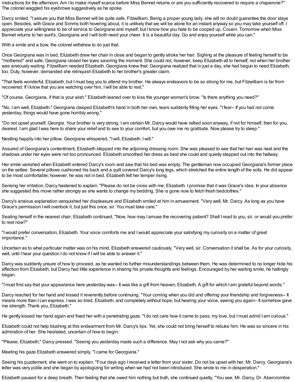instructions for the afternoon. Am I to make myself scarce before Miss Bennet returns or are you sufficiently recovered to require a chaperone?" The colonel waggled his eyebrows suggestively as he spoke.

Darcy smiled. "I assure you that Miss Bennet will be quite safe, Fitzwilliam. Being a proper young lady, she will no doubt guarantee the door stays open. Besides, with Grace and Simms both hovering about, it is unlikely that we will be alone for an instant anyway so you may take yourself off. I appreciate your willingness to be of service to Georgiana and myself, but I know how you hate to be cooped up, Cousin. Tomorrow when Miss Bennet returns to her aunt's, Georgiana and Iwill both need your cheer. It is a beautiful day. Go and enjoy yourself while you can."

With a smile and a bow, the colonel withdrew to do just that.

Once Georgiana was in bed, Elizabeth drew her chair in close and began to gently stroke her hair. Sighing at the pleasure of feeling herself to be "mothered" and safe, Georgiana closed her eyes savoring the moment. She could not, however, keep Elizabeth all to herself, not when her brother was anxiously waiting. Fitzwilliam needed Elizabeth. Georgiana knew that. Georgiana realized that in just a day, she had begun to need Elizabeth, too. Duty, however, demanded she relinquish Elizabeth to her brother's greater claim.

"That feels wonderful, Elizabeth, but Imust beg you to attend my brother. He always endeavors to be so strong for me, but Fitzwilliam is far from recovered. If I know that you are watching over him, Iwill be able to rest."

"Of course, Georgiana, if that is your wish." Elizabeth leaned over to kiss the younger woman's brow. "Is there anything you need?"

"No, I am well, Elizabeth." Georgiana clasped Elizabeth's hand in both her own, tears suddenly filling her eyes. "I fear-- If you had not come yesterday, things would have gone horribly wrong."

"Do not upset yourself, Georgie. Your brother is very strong. I am certain Mr. Darcy would have rallied soon anyway, if not for himself, then for you, dearest. I am glad Iwas here to share your relief and to see to your comfort, but you owe me no gratitude. Now please try to sleep."

Nestling happily into her pillow, Georgiana whispered, "Iwill, Elizabeth. Iwill."

Assured of Georgiana's contentment, Elizabeth stepped into the adjoining dressing room. She was pleased to see that her hair was neat and the shadows under her eyes were not too pronounced. Elizabeth smoothed her dress as best she could and quietly stepped out into the hallway.

Her smile vanished when Elizabeth entered Darcy's room and saw that his bed was empty. The gentleman now occupied Georgiana's former place on the settee. Several pillows cushioned his back and a quilt covered Darcy's long legs, which stretched the entire length of the sofa. He did appear to be most comfortable; however, he was not in bed. Elizabeth felt her temper rising.

Sensing her irritation, Darcy hastened to explain. "Please do not be cross with me, Elizabeth. I promise that it was Grace's idea. In your absence she suggested this move rather strongly as she wants to change my bedding. She is gone now to fetch fresh bedclothes."

Darcy's anxious explanation vanquished her displeasure and Elizabeth smiled at him in amusement. "Very well, Mr. Darcy. As long as you have Grace's permission Iwill overlook it, but just this once, sir. You must take care."

Seating herself in the nearest chair, Elizabeth continued, "Now, how may I amuse the recovering patient? Shall Iread to you, sir, or would you prefer to rest now?"

"Iwould prefer conversation, Elizabeth. Your voice comforts me and Iwould appreciate your satisfying my curiosity on a matter of great importance."

Uncertain as to what particular matter was on his mind, Elizabeth answered cautiously. "Very well, sir. Conversation it shall be. As for your curiosity, well, until I hear your question I do not know if I will be able to answer it."

Darcy was suddenly unsure of how to proceed, as he wanted no further misunderstandings between them. He was determined to no longer hide his affection from Elizabeth, but Darcy had little experience in sharing his private thoughts and feelings. Encouraged by her waiting smile, he haltingly began.

"Imust first say that your appearance here yesterday was-- It was like a gift from heaven, Elizabeth. A gift for which I am grateful beyond words."

Darcy reached for her hand and kissed it reverently before continuing. "Your coming when you did and offering your friendship and forgiveness-- It means more than I can express. Iwas so tired, Elizabeth, and completely without hope, but hearing your voice, seeing you again-- It somehow gave me strength. Thank you, Elizabeth."

He gently kissed her hand again and fixed her with a penetrating gaze. "I do not care how it came to pass, my love, but Imust admit I am curious."

Elizabeth could not help blushing at this endearment from Mr. Darcy's lips. Yet, she could not bring herself to rebuke him. He was so sincere in his admiration of her. She hesitated, uncertain of how to begin.

"Please, Elizabeth," Darcy pressed. "Seeing you yesterday made such a difference. May I not ask why you came?"

Meeting his gaze Elizabeth answered simply, "I came for Georgiana."

Seeing his puzzlement, she went on to explain. "Four days ago Ireceived a letter from your sister. Do not be upset with her, Mr. Darcy. Georgiana's letter was very polite and she began by apologizing for writing when we had not been introduced. She wrote to me in desperation."

Elizabeth paused for a deep breath. Then feeling that she owed him nothing but truth, she continued quietly, "You see, Mr. Darcy, Dr. Abercrombie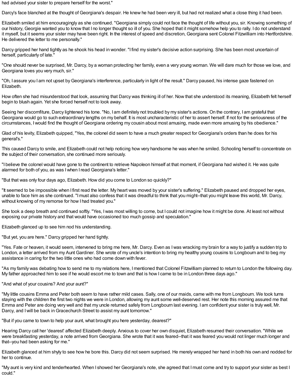had advised your sister to prepare herself for the worst."

Darcy's face blanched at the thought of Georgiana's despair. He knew he had been very ill, but had not realized what a close thing it had been.

Elizabeth smiled at him encouragingly as she continued. "Georgiana simply could not face the thought of life without you, sir. Knowing something of our history, Georgie wanted you to know that I no longer thought so ill of you. She hoped that it might somehow help you to rally. I do not understand it myself, but it seems your sister may have been right. In the interest of speed and discretion, Georgiana sent Colonel Fitzwilliam into Hertfordshire. He delivered the letter to me personally."

Darcy gripped her hand tightly as he shook his head in wonder. "I find my sister's decisive action surprising. She has been most uncertain of herself, particularly of late."

"One should never be surprised, Mr. Darcy, by a woman protecting her family, even a very young woman. We will dare much for those we love, and Georgiana loves you very much, sir."

"Oh, I assure you I am not upset by Georgiana's interference, particularly in light of the result." Darcy paused, his intense gaze fastened on Elizabeth.

How often she had misunderstood that look, assuming that Darcy was thinking ill of her. Now that she understood its meaning, Elizabeth felt herself begin to blush again. Yet she forced herself not to look away.

Seeing her discomfiture, Darcy lightened his tone. "No, I am definitely not troubled by my sister's actions. On the contrary, I am grateful that Georgiana would go to such extraordinary lengths on my behalf. It is most uncharacteristic of her to assert herself. If not for the seriousness of the circumstances, Iwould find the thought of Georgiana ordering my cousin about most amusing, made even more amusing by his obedience."

Glad of his levity, Elizabeth quipped, "Yes, the colonel did seem to have a much greater respect for Georgiana's orders than he does for his general's."

This caused Darcy to smile, and Elizabeth could not help noticing how very handsome he was when he smiled. Schooling herself to concentrate on the subject of their conversation, she continued more seriously.

"I believe the colonel would have gone to the continent to retrieve Napoleon himself at that moment, if Georgiana had wished it. He was quite alarmed for both of you, as was Iwhen Iread Georgiana's letter."

"But that was only four days ago, Elizabeth. How did you come to London so quickly?"

"It seemed to be impossible when I first read the letter. My heart was moved by your sister's suffering." Elizabeth paused and dropped her eyes, unable to face him as she continued. "Imust also confess that it was dreadful to think that you might--that you might leave this world, Mr. Darcy, without knowing of my remorse for how I had treated you."

She took a deep breath and continued softly. "Yes, Iwas most willing to come, but I could not imagine how it might be done. At least not without exposing our private history and that would have occasioned too much gossip and speculation."

Elizabeth glanced up to see him nod his understanding.

"But yet, you are here." Darcy gripped her hand tightly.

"Yes. Fate or heaven, it would seem, intervened to bring me here, Mr. Darcy. Even as Iwas wracking my brain for a way to justify a sudden trip to London, a letter arrived from my Aunt Gardiner. She wrote of my uncle's intention to bring my healthy young cousins to Longbourn and to beg my assistance in caring for the two little ones who had come down with fever.

"As my family was debating how to send me to my relations here, Imentioned that Colonel Fitzwilliam planned to return to London the following day. My father approached him to see if he would escort me to town and that is how I came to be in London three days ago."

"And what of your cousins? And your aunt?"

"My little cousins Emma and Peter both seem to have rather mild cases. Sally, one of our maids, came with me from Longbourn. We took turns staying with the children the first two nights we were in London, allowing my aunt some well-deserved rest. Her note this morning assured me that Emma and Peter are doing very well and that my uncle returned safely from Longbourn last evening. I am confident your sister is truly well, Mr. Darcy, and I will be back in Gracechurch Street to assist my aunt tomorrow."

"But if you came to town to help your aunt, what brought you here yesterday, dearest?"

Hearing Darcy call her 'dearest' affected Elizabeth deeply. Anxious to cover her own disquiet, Elizabeth resumed their conversation. "While we were breakfasting yesterday, a note arrived from Georgiana. She wrote that it was feared--that it was feared you would not linger much longer and that--you had been asking for me."

Elizabeth glanced at him shyly to see how he bore this. Darcy did not seem surprised. He merely wrapped her hand in both his own and nodded for her to continue.

"My aunt is very kind and tenderhearted. When I showed her Georgiana's note, she agreed that Imust come and try to support your sister as best I could."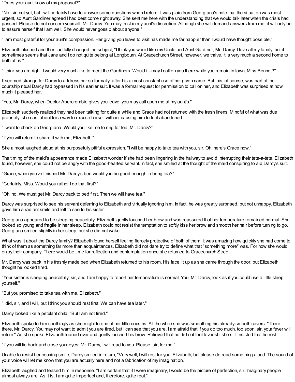"Does your aunt know of my proposal?"

"No, sir, not yet, but Iwill certainly have to answer some questions when Ireturn. It was plain from Georgiana's note that the situation was most urgent, so Aunt Gardiner agreed I had best come right away. She sent me here with the understanding that we would talk later when the crisis had passed. Please do not concern yourself, Mr. Darcy. You may trust in my aunt's discretion. Although she will demand answers from me, it will only be to assure herself that I am well. She would never gossip about anyone."

"I am most grateful for your aunt's compassion. Her giving you leave to visit has made me far happier than Iwould have thought possible."

Elizabeth blushed and then tactfully changed the subject, "I think you would like my Uncle and Aunt Gardiner, Mr. Darcy. I love all my family, but it sometimes seems that Jane and I do not quite belong at Longbourn. At Gracechurch Street, however, we thrive. It is very much a second home to both of us."

"I think you are right. Iwould very much like to meet the Gardiners. Would it--may I call on you there while you remain in town, Miss Bennet?"

It seemed strange for Darcy to address her so formally, after his almost constant use of her given name. But this, of course, was part of the courtship ritual Darcy had bypassed in his earlier suit. It was a formal request for permission to call on her, and Elizabeth was surprised at how much it pleased her.

"Yes, Mr. Darcy, when Doctor Abercrombie gives you leave, you may call upon me at my aunt's."

Elizabeth suddenly realized they had been talking for quite a while and Grace had not returned with the fresh linens. Mindful of what was due propriety, she cast about for a way to excuse herself without causing him to feel abandoned.

"I want to check on Georgiana. Would you like me to ring for tea, Mr. Darcy?"

"If you will return to share it with me, Elizabeth."

She almost laughed aloud at his purposefully pitiful expression. "Iwill be happy to take tea with you, sir. Oh, here's Grace now."

The timing of the maid's appearance made Elizabeth wonder if she had been lingering in the hallway to avoid interrupting their tete-a-tete. Elizabeth found, however, she could not be angry with the good-hearted servant. In fact, she smiled at the thought of the maid conspiring to aid Darcy's suit.

"Grace, when you've finished Mr. Darcy's bed would you be good enough to bring tea?"

"Certainly, Miss. Would you rather I do that first?"

"Oh, no. We must get Mr. Darcy back to bed first. Then we will have tea."

Darcy was surprised to see his servant deferring to Elizabeth and virtually ignoring him. In fact, he was greatly surprised, but not unhappy. Elizabeth gave him a radiant smile and left to see to his sister.

Georgiana appeared to be sleeping peacefully. Elizabeth gently touched her brow and was reassured that her temperature remained normal. She looked so young and fragile in her sleep. Elizabeth could not resist the temptation to softly kiss her brow and smooth her hair before turning to go. Georgiana smiled slightly in her sleep, but she did not wake.

What was it about the Darcy family? Elizabeth found herself feeling fiercely protective of both of them. It was amazing how quickly she had come to think of them as something far more than acquaintances. Elizabeth did not dare try to define what that "something more" was. For now she would enjoy their company. There would be time for reflection and contemplation once she returned to Gracechurch Street.

Mr. Darcy was back in his freshly made bed when Elizabeth returned to his room. His face lit up as she came through the door, but Elizabeth thought he looked tired.

"Your sister is sleeping peacefully, sir, and I am happy to report her temperature is normal. You, Mr. Darcy, look as if you could use a little sleep yourself."

"But you promised to take tea with me, Elizabeth."

"I did, sir, and Iwill, but I think you should rest first. We can have tea later."

Darcy looked like a petulant child, "But I am not tired."

Elizabeth spoke to him soothingly as she might to one of her little cousins. All the while she was smoothing his already smooth covers. "There, there, Mr. Darcy. You may not want to admit you are tired, but I can see that you are. I am afraid that if you do too much, too soon, sir, your fever will return." As she spoke Elizabeth leaned over and gently touched his brow. Relieved that he did not feel feverish, she still insisted that he rest.

"If you will lie back and close your eyes, Mr. Darcy, Iwill read to you. Please, sir, for me."

Unable to resist her coaxing smile, Darcy smiled in return, "Very well, Iwill rest for you, Elizabeth, but please do read something aloud. The sound of your voice will let me know that you are actually here and not a fabrication of my imagination."

Elizabeth laughed and teased him in response. "I am certain that if Iwere imaginary, Iwould be the picture of perfection, sir. Imaginary people almost always are. As it is, I am quite imperfect and, therefore, quite real."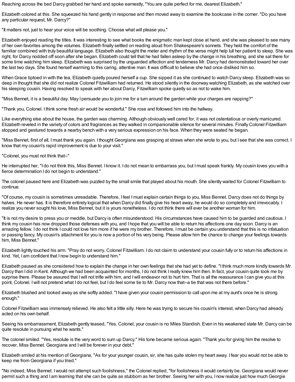Reaching across the bed Darcy grabbed her hand and spoke earnestly, "You are quite perfect for me, dearest Elizabeth."

Elizabeth colored at this. She squeezed his hand gently in response and then moved away to examine the bookcase in the corner. "Do you have any particular request, Mr. Darcy?"

"It matters not, just to hear your voice will be soothing. Choose what will please you."

Elizabeth enjoyed reading the titles. It was interesting to see what books the enigmatic man kept close at hand, and she was pleased to see many of her own favorites among the volumes. Elizabeth finally settled on reading aloud from Shakespeare's sonnets. They held the comfort of the familiar combined with truly beautiful language. Elizabeth also thought the meter and rhythm of the verse might help lull her patient to sleep. She was right, for Darcy nodded off soon after she began. Elizabeth could tell that he had fallen asleep by the change in his breathing, and she sat there for some time watching him sleep. Elizabeth was surprised by the unguarded affection and tenderness Mr. Darcy had demonstrated toward her over the last two days. She found herself warming to this caring, attentive man. It was difficult to believe she had once disliked him so.

When Grace tiptoed in with the tea, Elizabeth quietly poured herself a cup. She sipped it as she continued to watch Darcy sleep. Elizabeth was so deep in thought that she did not realize Colonel Fitzwilliam had returned. He stood silently in the doorway watching Elizabeth, as she watched over his sleeping cousin. Having resolved to speak with her about Darcy, Fitzwilliam spoke quietly so as not to wake him.

"Miss Bennet, it is a beautiful day. May I persuade you to join me for a turn around the garden while your charges are napping?"

"Thank you, Colonel. I think some fresh air would be wonderful." She rose and followed him into the hallway.

Like everything else about the house, the garden was charming. Although obviously well cared for, it was not ostentatious or overly manicured. Elizabeth reveled in the variety of colors and fragrances as they walked in companionable silence for several minutes. Finally Colonel Fitzwilliam stopped and gestured towards a nearby bench with a very serious expression on his face. When they were seated he began.

"Miss Bennet, first of all, Imust thank you again. I thought Georgiana was grasping at straws when she wrote to you, but I see that she was correct. I know that my cousin's rapid improvement is due to your visit."

"Colonel, you must not think that--"

He interrupted her, "I do not think this, Miss Bennet. I know it. I do not mean to embarrass you, but Imust speak frankly. My cousin loves you with a fierce determination I do not begin to understand."

The colonel paused here and Elizabeth was puzzled by the small smile that played about his mouth. She silently waited for Colonel Fitzwilliam to continue.

"Of course, my cousin is sometimes unreadable. Therefore, I feel Imust explain certain things to you, Miss Bennet. Darcy does not do things by halves. He never has. It is therefore entirely logical that when Darcy did finally give his heart away, he would do so completely and irrevocably. I realize you never sought his love, Miss Bennet, but it is yours nonetheless. I do not think there will ever be another woman for him.

"It is not my desire to press you or meddle, but Darcy is often misunderstood. His circumstances have caused him to be guarded and cautious. I think my cousin has now dropped those defenses with you, and I hope that you will be able to return his affections one day soon. Darcy is an amazing fellow. I do not think I could not love him more if he were my brother. Therefore, Imust be certain you understand that this is no infatuation or passing fancy. My cousin's attachment for you is now a portion of his very being. Please allow him the chance to change your feelings towards him, Miss Bennet."

Elizabeth lightly touched his arm. "Pray do not worry, Colonel Fitzwilliam. I do not claim to understand your cousin fully or to return his affections in kind. Yet, I am confident that I now begin to understand him."

Elizabeth paused as she considered how to explain the change in her own feelings that she had yet to define. "I think much more kindly towards Mr. Darcy than I did in Kent. Although we had been acquainted for months, I do not think I really knew him then. In fact, your cousin quite took me by surprise there. Please be assured that I will not trifle with him, and I will endeavor not to hurt him. That is all the reassurance I can give you at this point, Colonel. Iwill not pretend what I do not feel, but I do feel some tie to Mr. Darcy now that--a tie that was not there before."

Elizabeth blushed and looked away as she softly added. "I have given your cousin permission to call upon me at my aunt's once he is strong enough."

Colonel Fitzwilliam was immensely relieved. He also felt a little silly. Here he was trying to secure his cousin's interest, when Darcy had already acted on his own behalf.

Seeing his embarrassment, Elizabeth gently teased, "Yes, Colonel, your cousin is no Miles Standish. Even in his weakened state Mr. Darcy can be quite resolute in pursuing what he wants."

The colonel smiled. "Yes, resolute is the very word to sum up Darcy." His tone became serious again. "Thank you for giving him the resolve to recover, Miss Bennet. Georgiana and Iwill be forever in your debt."

Elizabeth smiled at his mention of Georgiana, "As for your younger cousin, sir, she has quite stolen my heart away. I fear you would not be able to keep me from Georgiana if you tried."

"No indeed, Miss Bennet. Iwould not attempt such foolishness," the Colonel replied, "for foolishness it would certainly be. Georgiana would never permit such a thing and I am learning that she can be quite as stubborn as her brother. Seeing her with you, I now realize just how much Georgie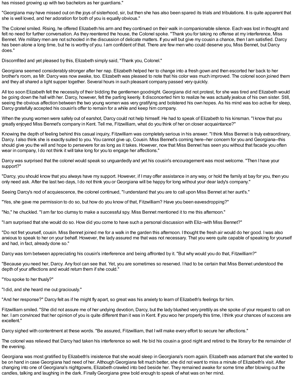has missed growing up with two bachelors as her guardians."

"Georgiana may have missed out on the joys of sisterhood, sir, but then she has also been spared its trials and tribulations. It is quite apparent that she is well loved, and her adoration for both of you is equally obvious."

The Colonel smiled. Rising, he offered Elizabeth his arm and they continued on their walk in companionable silence. Each was lost in thought and felt no need for further conversation. As they reentered the house, the Colonel spoke. "Thank you for taking no offense at my interference, Miss Bennet. We military men are not schooled in the discussion of delicate matters. If you will but give my cousin a chance, then I am satisfied. Darcy has been alone a long time, but he is worthy of you. I am confident of that. There are few men who could deserve you, Miss Bennet, but Darcy does."

Discomfited and yet pleased by this, Elizabeth simply said, "Thank you, Colonel."

Georgiana seemed considerably stronger after her nap. Elizabeth helped her to change into a fresh gown and then escorted her back to her brother's room, as Mr. Darcy was now awake, too. Elizabeth was pleased to note that his color was much improved. The colonel soon joined them and they all shared a light supper together. Several hours in such pleasant company passed very quickly.

All too soon Elizabeth felt the necessity of their bidding the gentlemen goodnight. Georgiana did not protest, for she was tired and Elizabeth would be going down the hall with her. Darcy, however, felt the parting keenly. It disconcerted him to realize he was actually jealous of his own sister. Still, seeing the obvious affection between the two young women was very gratifying and bolstered his own hopes. As his mind was too active for sleep, Darcy gratefully accepted his cousin's offer to remain for a while and keep him company.

When the young women were safely out of earshot, Darcy could not help himself. He had to speak of Elizabeth to his kinsman. "I know that you greatly enjoyed Miss Bennet's company in Kent. Tell me, Fitzwilliam, what do you think of her on closer acquaintance?"

Knowing the depth of feeling behind this casual inquiry, Fitzwilliam was completely serious in his answer. "I think Miss Bennet is truly extraordinary, Darcy. I also think she is exactly suited to you. You cannot give up, Cousin. Miss Bennet's coming here--her concern for you and Georgiana--this should give you the will and hope to persevere for as long as it takes. However, now that Miss Bennet has seen you without that facade you often wear in company, I do not think it will take long for you to engage her affections."

Darcy was surprised that the colonel would speak so unguardedly and yet his cousin's encouragement was most welcome. "Then I have your support?"

"Darcy, you should know that you always have my support. However, if Imay offer assistance in any way, or hold the family at bay for you, then you only need ask. After the last two days, I do not think you or Georgiana will be happy for long without your dear lady's company."

Seeing Darcy's nod of acquiescence, the colonel continued, "I understand that you are to call upon Miss Bennet at her aunt's."

"Yes, she gave me permission to do so, but how do you know of that, Fitzwilliam? Have you been eavesdropping?"

"No," he chuckled. "I am far too clumsy to make a successful spy. Miss Bennet mentioned it to me this afternoon."

"I am surprised that she would do so. How did you come to have such a personal discussion with Eliz--with Miss Bennet?"

"Do not fret yourself, cousin. Miss Bennet joined me for a walk in the garden this afternoon. I thought the fresh air would do her good. Iwas also anxious to speak to her on your behalf. However, the lady assured me that was not necessary. That you were quite capable of speaking for yourself and had, in fact, already done so."

Darcy was torn between appreciating his cousin's interference and being affronted by it. "But why would you do that, Fitzwilliam?"

"Because you need her, Darcy. Any fool can see that. Yet, you are sometimes so reserved. I had to be certain that Miss Bennet understood the depth of your affections and would return them if she could."

"You spoke to her thusly?"

"I did, and she heard me out graciously."

"And her response?" Darcy felt as if he might fly apart, so great was his anxiety to learn of Elizabeth's feelings for him.

Fitzwilliam smiled. "She did not assure me of her undying devotion, Darcy, but the lady blushed very prettily as she spoke of your request to call on her. I am convinced that her opinion of you is quite different than it was in Kent. If you woo her properly this time, I think your chances of success are excellent."

Darcy sighed with contentment at these words. "Be assured, Fitzwilliam, that Iwill make every effort to secure her affections."

The colonel was relieved that Darcy had taken his interference so well. He bid his cousin a good night and retired to the library for the remainder of the evening.

Georgiana was most gratified by Elizabeth's insistence that she would sleep in Georgiana's room again. Elizabeth was adamant that she wanted to be on hand in case Georgiana had need of her. Although Georgiana felt much better, she did not want to miss a minute of Elizabeth's visit. After changing into one of Georgiana's nightgowns, Elizabeth crawled into bed beside her. They remained awake for some time after blowing out the candles, talking and laughing in the dark. Finally Georgiana grew bold enough to speak of what was on her mind.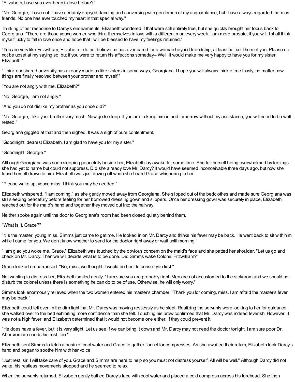"Elizabeth, have you ever been in love before?"

"No, Georgie, I have not. I have certainly enjoyed dancing and conversing with gentlemen of my acquaintance, but I have always regarded them as friends. No one has ever touched my heart in that special way."

Thinking of her response to Darcy's endearments, Elizabeth wondered if that were still entirely true, but she quickly brought her focus back to Georgiana. "There are those young women who think themselves in love with a different man every week. I am more prosaic, if you will. I shall think myself lucky to fall in love once and hope that Iwill be blessed to have my feelings returned."

"You are very like Fitzwilliam, Elizabeth. I do not believe he has ever cared for a woman beyond friendship, at least not until he met you. Please do not be upset at my saying so, but if you were to return his affections someday-- Well, it would make me very happy to have you for my sister, Elizabeth."

"I think our shared adversity has already made us like sisters in some ways, Georgiana. I hope you will always think of me thusly, no matter how things are finally resolved between your brother and myself."

"You are not angry with me, Elizabeth?"

"No, Georgie, I am not angry."

"And you do not dislike my brother as you once did?"

"No, Georgie, I like your brother very much. Now go to sleep. If you are to keep him in bed tomorrow without my assistance, you will need to be well rested."

Georgiana giggled at that and then sighed. It was a sigh of pure contentment.

"Goodnight, dearest Elizabeth. I am glad to have you for my sister."

"Goodnight, Georgie."

Although Georgiana was soon sleeping peacefully beside her, Elizabeth lay awake for some time. She felt herself being overwhelmed by feelings she had yet to name but could not suppress. Did she already love Mr. Darcy? It would have seemed inconceivable three days ago, but now she found herself drawn to him. Elizabeth was just dozing off when she heard Grace whispering to her.

"Please wake up, young miss. I think you may be needed."

Elizabeth whispered, "I am coming," as she gently moved away from Georgiana. She slipped out of the bedclothes and made sure Georgiana was still sleeping peacefully before feeling for her borrowed dressing gown and slippers. Once her dressing gown was securely in place, Elizabeth reached out for the maid's hand and together they moved out into the hallway.

Neither spoke again until the door to Georgiana's room had been closed quietly behind them.

"What is it, Grace?"

"It is the master, young miss. Simms just came to get me. He looked in on Mr. Darcy and thinks his fever may be back. He went back to sit with him while I came for you. We don't know whether to send for the doctor right away or wait until morning."

"I am glad you woke me, Grace." Elizabeth was touched by the obvious concern on the maid's face and she patted her shoulder. "Let us go and check on Mr. Darcy. Then we will decide what is to be done. Did Simms wake Colonel Fitzwilliam?"

Grace looked embarrassed. "No, miss, we thought it would be best to consult you first."

Not wanting to distress her, Elizabeth smiled gently. "I am sure you are probably right. Men are not accustomed to the sickroom and we should not disturb the colonel unless there is something he can do to be of use. Otherwise, he will only worry."

Simms look enormously relieved when the two women entered his master's chamber. "Thank you for coming, miss. I am afraid the master's fever may be back."

Elizabeth could tell even in the dim light that Mr. Darcy was moving restlessly as he slept. Realizing the servants were looking to her for guidance, she walked over to the bed exhibiting more confidence than she felt. Touching his brow confirmed that Mr. Darcy was indeed feverish. However, it was not a high fever, and Elizabeth determined that it would not become one either, if they could prevent it.

"He does have a fever, but it is very slight. Let us see if we can bring it down and Mr. Darcy may not need the doctor tonight. I am sure poor Dr. Abercrombie needs his rest, too."

Elizabeth sent Simms to fetch a basin of cool water and Grace to gather flannel for compresses. As she awaited their return, Elizabeth took Darcy's hand and began to soothe him with her voice.

"Just rest, sir. Iwill take care of you. Grace and Simms are here to help so you must not distress yourself. All will be well." Although Darcy did not wake, his restless movements stopped and he seemed to relax.

When the servants returned, Elizabeth gently bathed Darcy's face with cool water and placed a cold compress across his forehead. She then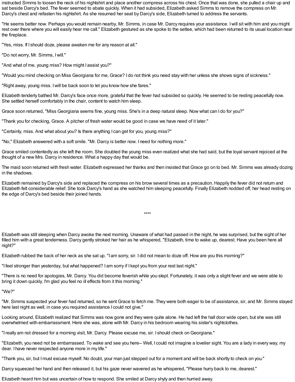instructed Simms to loosen the neck of his nightshirt and place another compress across his chest. Once that was done, she pulled a chair up and sat beside Darcy's bed. The fever seemed to abate quickly. When it had subsided, Elizabeth asked Simms to remove the compress on Mr. Darcy's chest and refasten his nightshirt. As she resumed her seat by Darcy's side, Elizabeth turned to address the servants.

"He seems better now. Perhaps you would remain nearby, Mr. Simms, in case Mr. Darcy requires your assistance. Iwill sit with him and you might rest over there where you will easily hear me call." Elizabeth gestured as she spoke to the settee, which had been returned to its usual location near the fireplace.

"Yes, miss. If I should doze, please awaken me for any reason at all."

"Do not worry, Mr. Simms, Iwill."

"And what of me, young miss? How might I assist you?"

"Would you mind checking on Miss Georgiana for me, Grace? I do not think you need stay with her unless she shows signs of sickness."

"Right away, young miss. Iwill be back soon to let you know how she fares."

Elizabeth tenderly bathed Mr. Darcy's face once more, grateful that the fever had subsided so quickly. He seemed to be resting peacefully now. She settled herself comfortably in the chair, content to watch him sleep.

Grace soon returned, "Miss Georgiana seems fine, young miss. She's in a deep natural sleep. Now what can I do for you?"

"Thank you for checking, Grace. A pitcher of fresh water would be good in case we have need of it later."

"Certainly, miss. And what about you? Is there anything I can get for you, young miss?"

"No," Elizabeth answered with a soft smile. "Mr. Darcy is better now. I need for nothing more."

Grace smiled contentedly as she left the room. She doubted the young miss even realized what she had said, but the loyal servant rejoiced at the thought of a new Mrs. Darcy in residence. What a happy day that would be.

The maid soon returned with fresh water. Elizabeth expressed her thanks and then insisted that Grace go on to bed. Mr. Simms was already dozing in the shadows.

Elizabeth remained by Darcy's side and replaced the compress on his brow several times as a precaution. Happily the fever did not return and Elizabeth felt considerable relief. She took Darcy's hand as she watched him sleeping peacefully. Finally Elizabeth nodded off, her head resting on the edge of Darcy's bed beside their joined hands.

\*\*\*\*

Elizabeth was still sleeping when Darcy awoke the next morning. Unaware of what had passed in the night, he was surprised, but the sight of her filled him with a great tenderness. Darcy gently stroked her hair as he whispered, "Elizabeth, time to wake up, dearest. Have you been here all night?"

Elizabeth rubbed the back of her neck as she sat up. "I am sorry, sir. I did not mean to doze off. How are you this morning?"

"I feel stronger than yesterday, but what happened? I am sorry if I kept you from your rest last night."

"There is no need for apologies, Mr. Darcy. You did become feverish while you slept. Fortunately, it was only a slight fever and we were able to bring it down quickly. I'm glad you feel no ill effects from it this morning."

"We?"

"Mr. Simms suspected your fever had returned, so he sent Grace to fetch me. They were both eager to be of assistance, sir, and Mr. Simms stayed here last night as well, in case you required assistance I could not give."

Looking around, Elizabeth realized that Simms was now gone and they were quite alone. He had left the hall door wide open, but she was still overwhelmed with embarrassment. Here she was, alone with Mr. Darcy in his bedroom wearing his sister's nightclothes.

"Ireally am not dressed for a morning visit, Mr. Darcy. Please excuse me, sir. I should check onGeorgiana."

"Elizabeth, you need not be embarrassed. To wake and see you here-- Well, I could not imagine a lovelier sight. You are a lady in every way, my dear. I have never respected anyone more in my life."

"Thank you, sir, but Imust excuse myself. No doubt, your man just stepped out for a moment and will be back shortly to check on you."

Darcy squeezed her hand and then released it, but his gaze never wavered as he whispered, "Please hurry back to me, dearest."

Elizabeth heard him but was uncertain of how to respond. She smiled at Darcy shyly and then hurried away.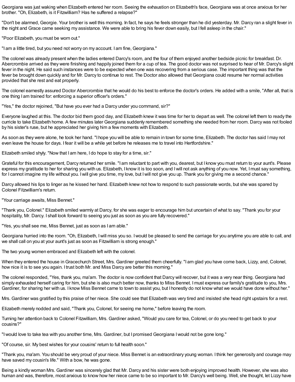Georgiana was just waking when Elizabeth entered her room. Seeing the exhaustion on Elizabeth's face, Georgiana was at once anxious for her brother. "Oh, Elizabeth, is it Fitzwilliam? Has he suffered a relapse?"

"Don't be alarmed, Georgie. Your brother is well this morning. In fact, he says he feels stronger than he did yesterday. Mr. Darcy ran a slight fever in the night and Grace came seeking my assistance. We were able to bring his fever down easily, but I fell asleep in the chair."

"Poor Elizabeth, you must be worn out."

"I am a little tired, but you need not worry on my account. I am fine, Georgiana."

The colonel was already present when the ladies entered Darcy's room, and the four of them enjoyed another bedside picnic for breakfast. Dr. Abercrombie arrived as they were finishing and happily joined them for a cup of tea. The good doctor was not surprised to hear of Mr. Darcy's slight fever in the night. He said such instances were to be expected when one was recovering from a serious case. The important thing was that the fever be brought down quickly and for Mr. Darcy to continue to rest. The Doctor also allowed that Georgiana could resume her normal activities provided that she rest and eat properly.

The colonel earnestly assured Doctor Abercrombie that he would do his best to enforce the doctor's orders. He added with a smile, "After all, that is one thing I am trained for: enforcing a superior officer's orders."

"Yes," the doctor rejoined, "But have you ever had a Darcy under you command, sir?"

Everyone laughed at this. The doctor bid them good day, and Elizabeth knew it was time for her to depart as well. The colonel left them to ready the curricle to take Elizabeth home. A few minutes later Georgiana suddenly remembered something she needed from her room. Darcy was not fooled by his sister's ruse, but he appreciated her giving him a few moments with Elizabeth.

As soon as they were alone, he took her hand. "I hope you will be able to remain in town for some time, Elizabeth. The doctor has said Imay not even leave the house for days. I fear it will be a while yet before he releases me to travel into Hertfordshire."

Elizabeth smiled shyly. "Now that I am here, I do hope to stay for a time, sir."

Grateful for this encouragement, Darcy returned her smile. "I am reluctant to part with you, dearest, but I know you must return to your aunt's. Please express my gratitude to her for sharing you with us. Elizabeth, I know it is too soon, and Iwill not ask anything of you now. Yet, Imust say something, for I cannot imagine my life without you. Iwill give you time, my love, but Iwill not give you up. Thank you for giving me a second chance."

Darcy allowed his lips to linger as he kissed her hand. Elizabeth knew not how to respond to such passionate words, but she was spared by Colonel Fitzwilliam's return.

"Your carriage awaits, Miss Bennet."

"Thank you, Colonel." Elizabeth smiled warmly at Darcy, for she was eager to encourage him but uncertain of what to say. "Thank you for your hospitality, Mr. Darcy. I shall look forward to seeing you just as soon as you are fully recovered."

"Yes, you shall see me, Miss Bennet, just as soon as I am able."

Georgiana hurried into the room. "Oh, Elizabeth, Iwill miss you so. Iwould be pleased to send the carriage for you anytime you are able to call, and we shall call on you at your aunt's just as soon as Fitzwilliam is strong enough."

The two young women embraced and Elizabeth left with the colonel.

When they entered the house inGracechurch Street, Mrs. Gardiner greeted them cheerfully. "I am glad you have come back, Lizzy, and, Colonel, how nice it is to see you again. I trust both Mr. and Miss Darcy are better this morning."

The colonel responded, "Yes, thank you, ma'am. The doctor is now confident that Darcy will recover, but it was a very near thing. Georgiana had simply exhausted herself caring for him, but she is also much better now, thanks to Miss Bennet. I must express our family's gratitude to you, Mrs. Gardiner, for sharing her with us. I know Miss Bennet came to town to assist you, but I honestly do not know what we would have done without her."

Mrs. Gardiner was gratified by this praise of her niece. She could see that Elizabeth was very tired and insisted she head right upstairs for a rest.

Elizabeth merely nodded and said, "Thank you, Colonel, for seeing me home," before leaving the room.

Turning her attention back to Colonel Fitzwilliam, Mrs. Gardiner asked, "Would you care for tea, Colonel, or do you need to get back to your cousins?"

"Iwould love to take tea with you another time, Mrs. Gardiner, but I promised Georgiana Iwould not be gone long."

"Of course, sir. My best wishes for your cousins' return to full health soon."

"Thank you, ma'am. You should be very proud of your niece. Miss Bennet is an extraordinary young woman. I think her generosity and courage may have saved my cousin's life." With a bow, he was gone.

Being a kindly woman Mrs. Gardiner was sincerely glad that Mr. Darcy and his sister were both enjoying improved health. However, she was also human and was, therefore, most anxious to know how her niece came to be so important to Mr. Darcy's well being. Well, she thought, let Lizzy have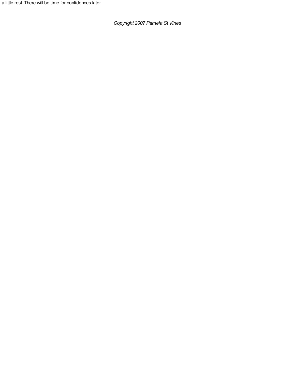a little rest. There will be time for confidences later.

*Copyright 2007 Pamela St Vines*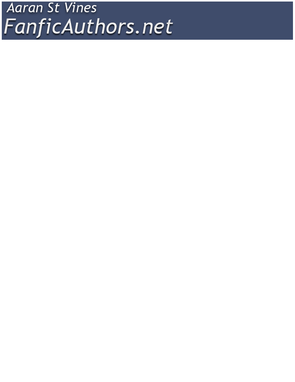# **Aaran St Vines** FanficAuthors.net

- 
- 
- 
- -
	-
	-
	-
- - -
- -
	-
- 
- 
- -
	-
	-
- 
- 
- 
- 
- 
- 
- - -
		-
		-
- -
- 
- 
- - -
		- -
	-
	-
	- -
		-
		-
		-
		-
- 
- 
- 
- 
- 
- 
- -
- -
	- -
- 
- 
- 
- 
- 
- 
- 
- 
- 
- 
- 
- 
- 
- 
- 
- 
- 
- 
- 
- 
- 
- 
- 
- 
- 
- 
-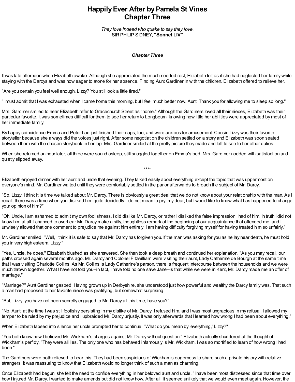## **HappilyEver After byPamela St Vines Chapter Three**

*They love indeed who quake to say they love.* SIR PHILIP SIDNEY, **"Sonnet LIV"**

#### *Chapter Three*

It was late afternoon when Elizabeth awoke. Although she appreciated the much-needed rest, Elizabeth felt as if she had neglected her family while staying with the Darcys and was now eager to atone for her absence. Finding Aunt Gardiner in with the children. Elizabeth offered to relieve her.

"Are you certain you feel well enough, Lizzy? You still look a little tired."

"Imust admit that Iwas exhausted when I came home this morning, but I feel much better now, Aunt. Thank you for allowing me to sleep so long."

Mrs. Gardiner smiled to hear Elizabeth refer to Gracechurch Street as "home." Although the Gardiners loved all their nieces, Elizabeth was their particular favorite. It was sometimes difficult for them to see her return to Longbourn, knowing how little her abilities were appreciated by most of her immediate family.

By happy coincidence Emma and Peter had just finished their naps, too, and were anxious for amusement. Cousin Lizzy was their favorite storyteller because she always did the voices just right. After some negotiation the children settled on a story and Elizabeth was soon seated between them with the chosen storybook in her lap. Mrs. Gardiner smiled at the pretty picture they made and left to see to her other duties.

When she returned an hour later, all three were sound asleep, still snuggled together on Emma's bed. Mrs. Gardiner nodded with satisfaction and quietly slipped away.

\*\*\*\*

Elizabeth enjoyed dinner with her aunt and uncle that evening. They talked easily about everything except the topic that was uppermost on everyone's mind. Mr. Gardiner waited until they were comfortably settled in the parlor afterwards to broach the subject of Mr. Darcy.

"So, Lizzy, I think it is time we talked about Mr. Darcy. There is obviously a great deal that we do not know about your relationship with the man. As I recall, there was a time when you disliked him quite decidedly. I do not mean to pry, my dear, but Iwould like to know what has happened to change your opinion of him?"

"Oh, Uncle, I am ashamed to admit my own foolishness. I did dislike Mr. Darcy, or rather I disliked the false impression I had of him. In truth I did not know him at all. I chanced to overhear Mr. Darcy make a silly, thoughtless remark at the beginning of our acquaintance that offended me, and I unwisely allowed that one comment to prejudice me against him entirely. I am having difficulty forgiving myself for having treated him so unfairly."

Mr. Gardiner smiled. "Well, I think it is safe to say that Mr. Darcy has forgiven you. If the man was asking for you as he lay near death, he must hold you in very high esteem, Lizzy."

"Yes, Uncle, he does." Elizabeth blushed as she answered. She then took a deep breath and continued her explanation. "As you may recall, our paths crossed again several months ago. Mr. Darcy and Colonel Fitzwilliam were visiting their aunt, Lady Catherine de Bourgh at the same time that Iwas visiting Charlotte Collins. As Mr. Collins is Lady Catherine's parson, there is frequent intercourse between the households and we were much thrown together. What I have not told you--in fact, I have told no one save Jane--is that while we were in Kent, Mr. Darcy made me an offer of marriage."

"Marriage?" Aunt Gardiner gasped. Having grown up in Derbyshire, she understood just how powerful and wealthy the Darcy family was. That such a man had proposed to her favorite niece was gratifying, but somewhat surprising.

"But, Lizzy, you have not been secretly engaged to Mr. Darcy all this time, have you?"

"No, Aunt, at the time Iwas still foolishly persisting in my dislike of Mr. Darcy. Irefused him, and Iwas most ungracious in my refusal. I allowed my temper to be ruled by my prejudice and I upbraided Mr. Darcy unjustly. It was only afterwards that I learned how wrong I had been about everything."

When Elizabeth lapsed into silence her uncle prompted her to continue, "What do you mean by 'everything,' Lizzy?"

"You both know how I believed Mr. Wickham's charges against Mr. Darcy without question." Elizabeth actually shuddered at the thought of Wickham's perfidy. "They were all lies. The only one who has behaved infamously is Mr. Wickham. Iwas so mortified to learn of how wrong I had been."

The Gardiners were both relieved to hear this. They had been suspicious of Wickham's eagerness to share such a private history with relative strangers. It was reassuring to know that Elizabeth would no longer think of such a man as charming.

Once Elizabeth had begun, she felt the need to confide everything in her beloved aunt and uncle. "I have been most distressed since that time over how I injured Mr. Darcy. Iwanted to make amends but did not know how. After all, it seemed unlikely that we would even meet again. However, the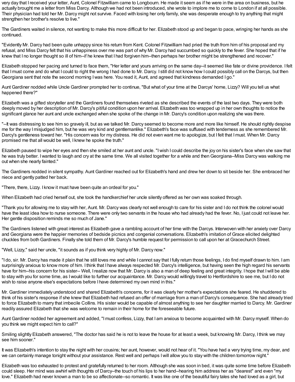very day that Ireceived your letter, Aunt, Colonel Fitzwilliam came to Longbourn. He made it seem as if he were in the area on business, but he actually brought me a letter from Miss Darcy. Although we had not been introduced, she wrote to implore me to come to London if at all possible. Their physician had told her Mr. Darcy might not survive. Faced with losing her only family, she was desperate enough to try anything that might strengthen her brother's resolve to live."

The Gardiners waited in silence, not wanting to make this more difficult for her. Elizabeth stood up and began to pace, wringing her hands as she continued.

"Evidently Mr. Darcy had been quite unhappy since his return from Kent. Colonel Fitzwilliam had pried the truth from him of his proposal and my refusal, and Miss Darcy felt that his unhappiness over me was part of why Mr. Darcy had succumbed so quickly to the fever. She hoped that if he knew that I no longer thought so ill of him--if he knew that I had forgiven him--then perhaps her brother might be strengthened and recover."

Elizabeth stopped her pacing and turned to face them, "Her letter and yours arriving on the same day--it seemed like fate or divine providence. I felt that Imust come and do what I could to right the wrong I had done to Mr. Darcy. I still did not know how I could possibly call on the Darcys, but then Georgiana sent that note the second morning Iwas here. You read it, Aunt, and agreed that kindness demanded I go."

Aunt Gardiner nodded while Uncle Gardiner prompted her to continue, "But what of your time at the Darcys' home, Lizzy? Will you tell us what happened there?"

Elizabeth was a gifted storyteller and the Gardiners found themselves riveted as she described the events of the last two days. They were both deeply moved by her description of Mr. Darcy's pitiful condition upon her arrival. Elizabeth was too wrapped up in her own thoughts to notice the significant glance her aunt and uncle exchanged when she spoke of the change in Mr. Darcy's condition upon realizing she was there.

"--It was distressing to see him so gravely ill, but as we talked Mr. Darcy seemed to become more and more like himself. He should rightly despise me for the way Imisjudged him, but he was very kind and gentlemanlike." Elizabeth's face was suffused with tenderness as she remembered Mr. Darcy's gentleness toward her. "His concern was for my distress. He did not even want me to apologize, but I felt that Imust. When Mr. Darcy promised me that all would be well, I knew he spoke the truth."

Elizabeth paused to wipe her eyes and then she smiled at her aunt and uncle. "Iwish I could describe the joy on his sister's face when she saw that he was truly better. I wanted to laugh and cry at the same time. We all visited together for a while and then Georgiana--Miss Darcy was walking me out when she nearly fainted."

The Gardiners nodded in silent sympathy. Aunt Gardiner reached out for Elizabeth's hand and drew her down to sit beside her. She embraced her niece and gently patted her back.

"There, there, Lizzy. I know it must have been quite an ordeal for you."

When Elizabeth had cried herself out, she took the handkerchief her uncle silently offered as her own was soaked through.

"Thank you for allowing me to stay with her, Aunt. Mr. Darcy was clearly not well enough to care for his sister and I do not think the colonel would have the least idea how to nurse someone. There were only two servants in the house who had already had the fever. No, I just could not leave her. Her gentle disposition reminds me so much of Jane."

The Gardiners listened with great interest as Elizabeth gave a rambling account of her time with the Darcys. Interwoven with her anxiety over Darcy and Georgiana were the happier memories of bedside picnics and congenial conversations. Elizabeth's imitation of Grace elicited delighted chuckles from both Gardiners. Finally she told them of Mr. Darcy's humble request for permission to call upon her at Gracechurch Street.

"Well, Lizzy," said her uncle, "it sounds as if you think very highly of Mr. Darcy now."

"I do, sir. Mr. Darcy has made it plain that he still loves me and while I cannot say that I fully return those feelings, I do find myself drawn to him. I am surprisingly anxious to know more of him. I think that I have always respected Mr. Darcy's intelligence, but having seen the high regard his servants have for him--his concern for his sister-- Well, Irealize now that Mr. Darcy is also a man of deep feeling and great integrity. I hope that Iwill be able to stay with you for some time, as Iwould like to further our acquaintance. Mr. Darcy would willingly travel to Hertfordshire to see me, but I do not wish to raise anyone else's expectations before I have determined my own mind in this."

Mr. Gardiner immediately understood and shared Elizabeth's concerns, for it was clearly her mother's expectations she feared. He shuddered to think of his sister's response if she knew that Elizabeth had refused an offer of marriage from a man of Darcy's consequence. She had already tried to force Elizabeth to marry that imbecile Collins. His sister would be capable of almost anything to see her daughter married to Darcy. Mr. Gardiner readily assured Elizabeth that she was welcome to remain in their home for the foreseeable future.

Aunt Gardiner nodded her agreement and added, "Imust confess, Lizzy, that I am anxious to become acquainted with Mr. Darcy myself. When do you think we might expect him to call?"

Smiling slightly Elizabeth answered, "The doctor has said he is not to leave the house for at least a week, but knowing Mr. Darcy, I think we may see him sooner."

It was Elizabeth's intention to stay the night with her cousins; her aunt, however, would not hear of it. "You have had a very trying time, my dear, and we can certainly manage tonight without your assistance. Rest well and perhaps Iwill allow you to stay with the children tomorrow night."

Elizabeth was too exhausted to protest and gratefully returned to her room. Although she was soon in bed, it was quite some time before Elizabeth could sleep. Her mind was awhirl with thoughts of Darcy--the touch of his lips to her hand--hearing him address her as "dearest" and even "my love." Elizabeth had never known a man to be so affectionate--so romantic. It was like one of the beautiful fairy tales she had loved as a girl, but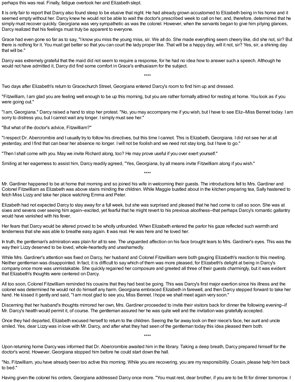perhaps this was real. Finally, fatigue overtook her and Elizabeth slept.

It is only fair to report that Darcy also found sleep to be elusive that night. He had already grown accustomed to Elizabeth being in his home and it seemed empty without her. Darcy knew he would not be able to wait the doctor's prescribed week to call on her, and, therefore, determined that he simply must recover quickly. Georgiana was very sympathetic as was the colonel. However, when the servants began to give him pitying glances, Darcy realized that his feelings must truly be apparent to everyone.

Grace had even gone so far as to say, "I know you miss the young miss, sir. We all do. She made everything seem cheery like, did she not, sir? But there is nothing for it. You must get better so that you can court the lady proper like. That will be a happy day, will it not, sir? Yes, sir, a shining day that will be."

Darcy was extremely grateful that the maid did not seem to require a response, for he had no idea how to answer such a speech. Although he would not have admitted it, Darcy did find some comfort inGrace's enthusiasm for the subject.

\*\*\*\*

Two days after Elizabeth's return to Gracechurch Street, Georgiana entered Darcy's room to find him up and dressed.

"Fitzwilliam, I am glad you are feeling well enough to be up this morning, but you are rather formally attired for resting at home. You look as if you were going out."

"I am, Georgiana." Darcy raised a hand to stop her protest. "No, you may accompany me if you wish, but I have to see Eliz--Miss Bennet today. I am sorry to distress you, but I cannot wait any longer. I simply must see her."

"But what of the doctor's advice, Fitzwilliam?"

"Irespect Dr. Abercrombie and I usually try to follow his directives, but this time I cannot. This is Elizabeth, Georgiana. I did not see her at all yesterday, and I find that can bear her absence no longer. Iwill not be foolish and we need not stay long, but I have to go."

"Then I shall come with you. May we invite Richard along, too? He may prove useful if you over exert yourself."

Smiling at her eagerness to assist him, Darcy readily agreed, "Yes, Georgiana, by all means invite Fitzwilliam along if you wish."

Mr. Gardiner happened to be at home that morning and so joined his wife in welcoming their guests. The introductions fell to Mrs. Gardiner and Colonel Fitzwilliam as Elizabeth was above stairs minding the children. While Maggie bustled about in the kitchen preparing tea, Sally hastened to fetch Miss Lizzy and take her place watching Emma and Peter.

\*\*\*\*

Elizabeth had not expected Darcy to stay away for a full week, but she was surprised and pleased that he had come to call so soon. She was at sixes and sevens over seeing him again--excited, yet fearful that he might revert to his previous aloofness--that perhaps Darcy's romantic gallantry would have vanished with his fever.

Her fears that Darcy would be altered proved to be wholly unfounded. When Elizabeth entered the parlor his gaze reflected such warmth and tenderness that she was able to breathe easy again. It was real. He was here and he loved her.

In truth, the gentleman's admiration was plain for all to see. The unguarded affection on his face brought tears to Mrs. Gardiner's eyes. This was the way their Lizzy deserved to be loved, whole-heartedly and unashamedly.

While Mrs. Gardiner's attention was fixed on Darcy, her husband and Colonel Fitzwilliam were both gauging Elizabeth's reaction to this meeting. Neither gentleman was disappointed. In fact, it is difficult to say which of them was more pleased, for Elizabeth's delight at being in Darcy's company once more was unmistakable. She quickly regained her composure and greeted all three of their guests charmingly, but it was evident that Elizabeth's thoughts were centered on Darcy.

All too soon, Colonel Fitzwilliam reminded his cousins that they had best be going. This was Darcy's first major exertion since his illness and the colonel was determined he would not do himself any harm. Georgiana embraced Elizabeth in farewell, and then Darcy stepped forward to take her hand. He kissed it gently and said, "I am most glad to see you, Miss Bennet. I hope we shall meet again very soon."

Discerning that her husband's thoughts mirrored her own, Mrs. Gardiner proceeded to invite their visitors back for dinner the following evening--if Mr. Darcy's health would permit it, of course. The gentleman assured her he was quite well and the invitation was gratefully accepted.

Once they had departed, Elizabeth excused herself to return to the children. Seeing the far away look on their niece's face, her aunt and uncle smiled. Yes, dear Lizzy was in love with Mr. Darcy, and after what they had seen of the gentleman today this idea pleased them both.

Upon returning home Darcy was informed that Dr. Abercrombie awaited him in the library. Taking a deep breath, Darcy prepared himself for the doctor's worst. However, Georgiana stopped him before he could start down the hall.

\*\*\*\*

"No, Fitzwilliam, you have already been too active this morning. While you are recovering, you are my responsibility. Cousin, please help him back to bed."

Having given the colonel his orders, Georgiana addressed Darcy once more. "You must rest, dear brother, if you are to be fit for dinner tomorrow. I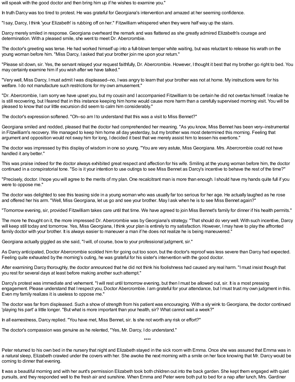will speak with the good doctor and then bring him up if he wishes to examine you."

In truth Darcy was too tired to protest. He was grateful for Georgiana's intervention and amazed at her seeming confidence.

"I say, Darcy, I think 'your Elizabeth' is rubbing off on her." Fitzwilliam whispered when they were half way up the stairs.

Darcy merely smiled in response. Georgiana overheard the remark and was flattered as she greatly admired Elizabeth's courage and determination. With a pleased smile, she went to meet Dr. Abercrombie.

The doctor's greeting was terse. He had worked himself up into a full-blown temper white waiting, but was reluctant to release his wrath on the young woman before him. "Miss Darcy, I asked that your brother join me upon your return."

"Please sit down, sir. Yes, the servant relayed your request faithfully, Dr. Abercrombie. However, I thought it best that my brother go right to bed. You may certainly examine him if you wish after we have talked."

"Very well, Miss Darcy, Imust admit Iwas displeased--no, Iwas angry to learn that your brother was not at home. My instructions were for his welfare. I do not manufacture such restrictions for my own amusement."

"Dr. Abercrombie, I am sorry we have upset you, but my cousin and I accompanied Fitzwilliam to be certain he did not overtax himself. Irealize he is still recovering, but I feared that in this instance keeping him home would cause more harm than a carefully supervised morning visit. You will be pleased to know that our little excursion did seem to calm him considerably."

The doctor's expression softened. "Oh--so am I to understand that this was a visit to Miss Bennet?"

Georgiana smiled and nodded, pleased that the doctor had comprehended her meaning. "As you know, Miss Bennet has been very--instrumental in Fitzwilliam's recovery. We managed to keep him home all day yesterday, but my brother was most determined this morning. Feeling that argument and opposition would not sway him for long, I decided it best that we merely assist him to lessen his exertions."

The doctor was impressed by this display of wisdom in one so young. "You are very astute, Miss Georgiana. Mrs. Abercrombie could not have handled it any better."

This was praise indeed for the doctor always exhibited great respect and affection for his wife. Smiling at the young woman before him, the doctor continued in a conspiratorial tone. "So is it your intention to use outings to see Miss Bennet as Darcy's incentive to behave the rest of the time?"

"Precisely, doctor. I hope you will agree to the merits of my plan. One recalcitrant man is more than enough. I should have my hands quite full if you were to oppose me."

The doctor was delighted to see this teasing side in a young woman who was usually far too serious for her age. He actually laughed as he rose and offered her his arm. "Well, Miss Georgiana, let us go and see your brother. May I ask when he is to see Miss Bennet again?"

"Tomorrow evening, sir, provided Fitzwilliam takes care until that time. We have agreed to join Miss Bennet's family for dinner if his health permits."

The more he thought on it, the more impressed Dr. Abercrombie was byGeorgiana's strategy. "That should do very well. With such incentive, Darcy will keep still today and tomorrow. Yes, Miss Georgiana, I think your plan is entirely to my satisfaction. However, Imay have to play the affronted family doctor with your brother. It is always easier to maneuver a man if he does not realize he is being maneuvered."

Georgiana actually giggled as she said, "Iwill, of course, bow to your professional judgment, sir."

As Darcy anticipated, Doctor Abercrombie scolded him for going out too soon, but the doctor's reproof was less severe than Darcy had expected. Feeling quite exhausted by the morning's outing, he was grateful for his sister's intervention with the good doctor.

After examining Darcy thoroughly, the doctor announced that he did not think his foolishness had caused any real harm. "Imust insist though that you rest for several days at least before making another such attempt."

Darcy's protest was immediate and vehement. "I will rest until tomorrow evening, but then I must be allowed out, sir. It is a most pressing engagement. Please understand that Irespect you, Doctor Abercrombie. I am grateful for your attendance, but Imust trust my own judgment in this. Even my family realizes it is useless to oppose me."

The doctor was far from displeased. Such a show of strength from his patient was encouraging. With a sly wink to Georgiana, the doctor continued 'playing his part' a little longer. "But what is more important than your health, sir? What cannot wait a week?"

In all earnestness, Darcy replied. "You have met, Miss Bennet, sir. Is she not worth any risk or effort?"

The doctor's compassion was genuine as he relented, "Yes, Mr. Darcy, I do understand."

Peter returned to his own bed in the nursery that night and Elizabeth stayed in the sick room with Emma. Once she was assured that Emma was in a natural sleep, Elizabeth crawled under the covers with her. She awoke the next morning with a smile on her face knowing that Mr. Darcy would be coming to dinner that evening.

\*\*\*\*

It was a beautiful morning and with her aunt's permission Elizabeth took both children out into the back garden. She kept them engaged with quiet pursuits, and they responded well to the fresh air and sunshine. When Emma and Peter were both put to bed for a nap after lunch, Mrs. Gardiner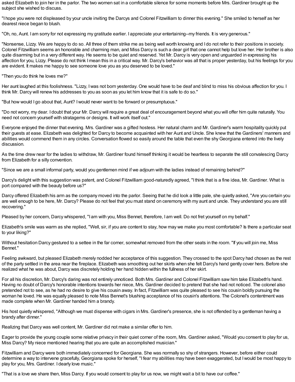asked Elizabeth to join her in the parlor. The two women sat in a comfortable silence for some moments before Mrs. Gardiner brought up the subject she wished to discuss.

"I hope you were not displeased by your uncle inviting the Darcys and Colonel Fitzwilliam to dinner this evening." She smiled to herself as her dearest niece began to blush.

"Oh, no, Aunt. I am sorry for not expressing my gratitude earlier. I appreciate your entertaining--my friends. It is very generous."

"Nonsense, Lizzy. We are happy to do so. All three of them strike me as being well worth knowing and I do not refer to their positions in society. Colonel Fitzwilliam seems an honorable and charming man, and Miss Darcy is such a dear girl that one cannot help but love her. Her brother is also quite disarming but in a very different way. He seems to be quiet and reserved. Yet Mr. Darcy is very open and unguarded in expressing his affection for you, Lizzy. Please do not think Imean this in a critical way. Mr. Darcy's behavior was all that is proper yesterday, but his feelings for you are evident. It makes me happy to see someone love you as you deserved to be loved."

"Then you do think he loves me?"

Her aunt laughed at this foolishness. "Lizzy, Iwas not born yesterday. One would have to be deaf and blind to miss his obvious affection for you. I think Mr. Darcy will renew his addresses to you as soon as you let him know that it is safe to do so."

"But how would I go about that, Aunt? Iwould never want to be forward or presumptuous."

"Do not worry, my dear. I doubt that your Mr. Darcy will require a great deal of encouragement beyond what you will offer him quite naturally. You need not concern yourself with stratagems or designs. It will work itself out."

Everyone enjoyed the dinner that evening. Mrs. Gardiner was a gifted hostess. Her natural charm and Mr. Gardiner's warm hospitality quickly put their guests at ease. Elizabeth was delighted for Darcy to become acquainted with her Aunt and Uncle. She knew that the Gardiners' manners and abilities would commend them in any circles. Conversation flowed so easily around the table that even the shyGeorgiana entered into the lively discussion.

As the time drew near for the ladies to withdraw, Mr. Gardiner found himself thinking it would be heartless to separate the still convalescing Darcy from Elizabeth for a silly convention.

"Since we are a small informal party, would you gentlemen mind if we adjourn with the ladies instead of remaining behind?"

Darcy's delight with this suggestion was patent, and Colonel Fitzwilliam good-naturedly agreed, "I think that is a fine idea, Mr. Gardiner. What is port compared with the beauty before us?"

Darcy offered Elizabeth his arm as the company moved into the parlor. Seeing that he did look a little pale, she quietly asked, "Are you certain you are well enough to be here, Mr. Darcy? Please do not feel that you must stand on ceremony with my aunt and uncle. They understand you are still recovering."

Pleased by her concern, Darcy whispered, "I am with you, Miss Bennet, therefore, I am well. Do not fret yourself on my behalf."

Elizabeth's smile was warm as she replied, "Well, sir, if you are content to stay, how may we make you most comfortable? Is there a particular seat to your liking?"

Without hesitation Darcy gestured to a settee in the far corner, somewhat removed from the other seats in the room. "If you will join me, Miss Bennet."

Feeling awkward, but pleased Elizabeth merely nodded her acceptance of this suggestion. They crossed to the spot Darcy had chosen as the rest of the party settled in the area near the fireplace. Elizabeth was smoothing out her skirts when she felt Darcy's hand gently cover hers. Before she realized what he was about, Darcy was discretely holding her hand hidden within the fullness of her skirt.

For all his discretion, Mr. Darcy's daring was not entirely unnoticed. Both Mrs. Gardiner and Colonel Fitzwilliam saw him take Elizabeth's hand. Having no doubt of Darcy's honorable intentions towards her niece, Mrs. Gardiner decided to pretend that she had not noticed. The colonel also pretended not to see, as he had no desire to give his cousin away. In fact, Fitzwilliam was quite pleased to see his cousin boldly pursuing the woman he loved. He was equally pleased to note Miss Bennet's blushing acceptance of his cousin's attentions. The Colonel's contentment was made complete when Mr. Gardiner handed him a brandy.

His host quietly whispered, "Although we must dispense with cigars in Mrs. Gardiner's presence, she is not offended by a gentleman having a brandy after dinner."

Realizing that Darcy was well content, Mr. Gardiner did not make a similar offer to him.

Eager to provide the young couple some relative privacy in their quiet corner of the room, Mrs. Gardiner asked, "Would you consent to play for us, Miss Darcy? My niece mentioned hearing that you are quite an accomplished musician."

Fitzwilliam and Darcy were both immediately concerned for Georgiana. She was normally so shy of strangers. However, before either could determine a way to intervene gracefully, Georgiana spoke for herself, "I fear my abilities may have been exaggerated, but Iwould be most happy to play for you, Mrs. Gardiner. I dearly love music."

"That is a love we share then, Miss Darcy. If you would consent to play for us now, we might wait a bit to have our coffee."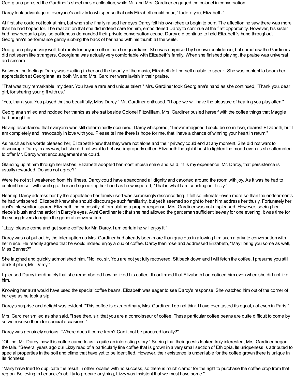Georgiana perused the Gardiner's sheet music collection, while Mr. and Mrs. Gardiner engaged the colonel in conversation.

Darcy took advantage of everyone's activity to whisper so that only Elizabeth could hear, "I adore you, Elizabeth."

At first she could not look at him, but when she finally raised her eyes Darcy felt his own cheeks begin to burn. The affection he saw there was more than he had hoped for. The realization that she did indeed care for him, emboldened Darcy to continue at the first opportunity. However, his sister had now begun to play, so politeness demanded their private conversation cease. Darcy did continue to hold Elizabeth's hand throughout Georgiana's performance gently rubbing the back of her hand with his thumb all the while.

Georgiana played very well, but rarely for anyone other than her guardians. She was surprised by her own confidence, but somehow the Gardiners did not seem like strangers. Georgiana was actually very comfortable with Elizabeth's family. When she finished playing, the praise was universal and sincere.

Between the feelings Darcy was exciting in her and the beauty of the music, Elizabeth felt herself unable to speak. She was content to beam her appreciation at Georgiana, as both Mr. and Mrs. Gardiner were lavish in their praise.

"That was truly remarkable, my dear. You have a rare and unique talent." Mrs. Gardiner took Georgiana's hand as she continued, "Thank you, dear girl, for sharing your gift with us."

"Yes, thank you. You played that so beautifully, Miss Darcy." Mr. Gardiner enthused. "I hope we will have the pleasure of hearing you play often."

Georgiana smiled and nodded her thanks as she sat beside Colonel Fitzwilliam. Mrs. Gardiner busied herself with the coffee things that Maggie had brought in.

Having ascertained that everyone was still determinedly occupied, Darcy whispered, "I never imagined I could be so in love, dearest Elizabeth, but I am completely and irrevocably in love with you. Please tell me there is hope for me, that I have a chance of winning your heart in return."

As much as his words pleased her, Elizabeth knew that they were not alone and their privacy could end at any moment. She did not want to discourage Darcy in any way, but she did not want to behave improperly either. Elizabeth thought it best to lighten the mood even as she attempted to offer Mr. Darcy what encouragement she could.

Glancing up at him through her lashes, Elizabeth adopted her most impish smile and said, "It is my experience, Mr. Darcy, that persistence is usually rewarded. Do you not agree?"

Were he not still weakened from his illness, Darcy could have abandoned all dignity and cavorted around the room with joy. As it was he had to content himself with smiling at her and squeezing her hand as he whispered, "That is what I am counting on, Lizzy."

Hearing Darcy address her by the appellation her family used was surprisingly disconcerting. It felt so intimate--even more so than the endearments he had whispered. Elizabeth knew she should discourage such familiarity, but yet it seemed so right to hear him address her thusly. Fortunately her aunt's intervention spared Elizabeth the necessity of formulating a proper response. Mrs. Gardiner was not displeased. However, seeing her niece's blush and the ardor in Darcy's eyes, Aunt Gardiner felt that she had allowed the gentleman sufficient leeway for one evening. It was time for the young lovers to rejoin the general conversation.

"Lizzy, please come and get some coffee for Mr. Darcy. I am certain he will enjoy it."

Darcy was not put out by the interruption as Mrs. Gardiner had already been more than gracious in allowing him such a private conversation with her niece. He readily agreed that he would indeed enjoy a cup of coffee. Darcy then rose and addressed Elizabeth, "May I bring you some as well, Miss Bennet?"

She laughed and quickly admonished him, "No, no, sir. You are not yet fully recovered. Sit back down and Iwill fetch the coffee. I presume you still drink it plain, Mr. Darcy."

It pleased Darcy inordinately that she remembered how he liked his coffee. It confirmed that Elizabeth had noticed him even when she did not like him.

Knowing her aunt would have used the special coffee beans, Elizabeth was eager to see Darcy's response. She watched him out of the corner of her eye as he took a sip.

Darcy's surprise and delight was evident. "This coffee is extraordinary, Mrs. Gardiner. I do not think I have ever tasted its equal, not even in Paris."

Mrs. Gardiner smiled as she said, "I see then, sir, that you are a connoisseur of coffee. These particular coffee beans are quite difficult to come by so we reserve them for special occasions."

Darcy was genuinely curious. "Where does it come from? Can it not be procured locally?"

"Oh, no, Mr. Darcy, how this coffee came to us is quite an interesting story." Seeing that their guests looked truly interested, Mrs. Gardiner began the tale. "Several years ago our Lizzy read of a particularly fine coffee that is grown in a very small section of Ethiopia. Its uniqueness is attributed to special properties in the soil and clime that have yet to be identified. However, their existence is undeniable for the coffee grown there is unique in its richness.

"Many have tried to duplicate the result in other locales with no success, so there is much clamor for the right to purchase the coffee crop from that region. Believing in her uncle's ability to procure anything, Lizzy was insistent that we must have some."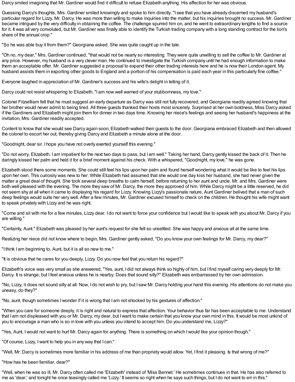Darcy smiled imagining that Mr. Gardiner would find it difficult to refuse Elizabeth anything. His affection for her was obvious.

Guessing Darcy's thoughts, Mrs. Gardiner smiled knowingly and spoke to him directly. "I see that you have already discerned my husband's particular regard for Lizzy, Mr. Darcy. He was more than willing to make inquiries into the matter, but his inquiries brought no success. Mr. Gardiner became intrigued by the very difficulty in obtaining the coffee. The challenge spurred him on, and he went to extraordinary lengths to find a source for it. It was all very convoluted, but Mr. Gardiner was finally able to identify the Turkish trading company with a long standing contract for the lion's share of the annual crop."

"So he was able buy it from them?" Georgiana asked. She was quite caught up in the tale.

"Oh no, my dear," Mrs. Gardiner continued, "that would not be nearly so interesting. They were quite unwilling to sell the coffee to Mr. Gardiner at any price. However, my husband is a very clever man. He continued to investigate the Turkish company until he had enough information to make them an acceptable offer. Mr. Gardiner suggested a proposal to expand their other trading interests here and he is now their London agent. My husband assists them in exporting other goods to England and a portion of his compensation is paid each year in this particularly fine coffee."

Everyone laughed in appreciation of Mr. Gardiner's success and his wife's delight in telling of it.

Darcy could not resist whispering to Elizabeth, "I am now well warned of your stubbornness, my love."

Colonel Fitzwilliam felt that he must suggest an early departure as Darcy was still not fully recovered, and Georgiana readily agreed knowing that her brother would never admit to being tired. All three guests thanked their hosts most sincerely. Surprised at her own boldness, Miss Darcy asked if the Gardiners and Elizabeth might join them for dinner in two days time. Knowing her niece's feelings and seeing her husband's happiness at the invitation, Mrs. Gardiner readily accepted.

Content to know that she would see Darcy again soon, Elizabeth walked their guests to the door. Georgiana embraced Elizabeth and then allowed the colonel to escort her out, thereby giving Darcy and Elizabeth a minute alone at the door.

"Goodnight, dear sir. I hope you have not overly exerted yourself this evening."

"Do not worry, Elizabeth. I am impatient for the next two days to pass, but I am well." Taking her hand, Darcy gently kissed the back of it. Then he daringly kissed her palm and held it for a brief moment against his check. With a whispered, "Goodnight, my love," he was gone.

Elizabeth stood there some moments. She could still feel his lips upon her palm and found herself wondering what it would be like to feel his lips upon her own. This curiosity was new to her. While Elizabeth had assumed that she would one day kiss her husband, she had never given the matter a great deal of thought. She took several deep breaths to calm herself, before returning to her aunt and uncle. Mr. and Mrs. Gardiner were both well pleased with the evening. The more they saw of Mr. Darcy, the more they approved of him. While Darcy might be a little reserved, he did not seem shy at all when it came to displaying his regard for Lizzy. Knowing Lizzy's passionate nature, Aunt Gardiner belived that a man of such deep feelings would suite her very well. After a few minutes, Mr. Gardiner excused himself to check on the children. He thought his wife might want to speak privately with Lizzy and he was right.

"Come and sit with me for a few minutes, Lizzy dear. I do not want to force your confidence but Iwould like to speak with you about Mr. Darcy if you are willing."

"Certainly, Aunt." Elizabeth was pleased by her aunt's request for she felt so unsettled. She was happy and anxious all at the same time.

Realizing her niece did not know where to begin, Mrs. Gardiner gently asked, "Do you know your own feelings for Mr. Darcy, my dear?"

"I think I am beginning to, Aunt, but it is all so new to me."

"It is obvious that he cares for you deeply, Lizzy. Do you now feel that you return his regard?"

Elizabeth's voice was very small as she answered, "Yes, aunt, I did not always think so highly of him, but I find myself caring very deeply for Mr. Darcy. It is strange, but I feel anxious unless he is nearby. Does that sound silly?" Elizabeth was embarrassed by her own admission.

"No, Lizzy, it does not sound silly at all. Now, I do not wish to pry, but I saw Mr. Darcy holding your hand this evening. His attentions do not make you uneasy, do they?"

"No, aunt, though sometimes Iwonder if it is wrong that I am not shocked by his gestures of affection."

"When you care for someone deeply, it is right and natural to express that affection. Your behavior thus far has been acceptable to me. Understand that I am not displeased with you or Mr. Darcy, my dear, but Iwant to make certain that you know your own mind in this. It would be most unkind of you to encourage a man who is so in love with you unless you intend to accept him. Do you understand me, Lizzy?"

"Yes, Aunt, Iwould not want to hurt Mr. Darcy again for anything. There is something on which Iwould like your opinion though."

"Of course, Lizzy, Iwant to help you in any way that I can."

"Well, Mr. Darcy is sometimes more familiar in his address of me than propriety would allow. Yet, I find it pleasing. Is that wrong of me?"

"How has he been familiar, dear?"

"Well, when he was so ill, Mr. Darcy often called me 'Elizabeth' instead of 'Miss Bennet.' He sometimes continues in that. He has also referred to me as 'dear,' and tonight he once teasingly called me 'Lizzy.' It seems so right when he says such things, but I do not want to err in this."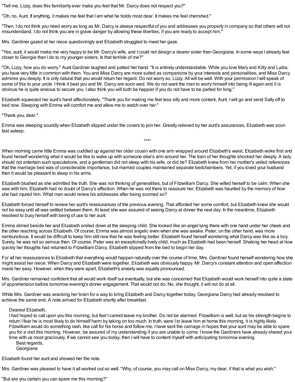"Tell me, Lizzy, does this familiarity ever make you feel that Mr. Darcy does not respect you?"

"Oh, no, Aunt. If anything, it makes me feel that I am what he holds most dear. It makes me feel cherished."

"Then, I do not think you need worry as long as Mr. Darcy is always respectful of you and addresses you properly in company so that others will not misunderstand. I do not think you are in grave danger by allowing these liberties, if you are ready to accept him."

Mrs. Gardiner gazed at her niece questioningly and Elizabeth struggled to meet her gaze.

"Yes, aunt, it would make me very happy to be Mr. Darcy's wife, and I could not design a dearer sister than Georgiana. In some ways I already feel closer to Georgie than I do to my younger sisters. Is that terrible of me?"

"Oh, Lizzy, how you do worry." Aunt Gardiner laughed and patted her hand. "It is entirely understandable. While you love Mary and Kitty and Lydia, you have very little in common with them. You and Miss Darcy are more suited as companions by your interests and personalities, and Miss Darcy admires you deeply. It is only natural that you would return her regard. Do not worry so, Lizzy. All will be well. With your permission Iwill speak of some of this to your uncle. I think it best you and Mr. Darcy are soon wed. We do not want the man to worry himself into being ill again and it is obvious he is quite anxious to secure you. I also think you will both be happier if you do not have to be parted for long."

Elizabeth squeezed her aunt's hand affectionately. "Thank you for making me feel less silly and more content, Aunt. Iwill go and send Sally off to bed now. Sleeping with Emma will comfort me and allow me to watch over her."

"Thank you, dear."

Emma was sleeping soundly when Elizabeth slipped under the covers to join her. Greatly relieved by her aunt's assurances, Elizabeth was soon fast asleep.

When morning came little Emma was cuddled up against her older cousin with one arm wrapped around Elizabeth's waist. Elizabeth woke first and found herself wondering what it would be like to wake up with someone else's arm around her. The train of her thoughts shocked her deeply. A lady should not entertain such speculations, and a gentleman did not sleep with his wife, or did he? Elizabeth knew from her mother's veiled references that the marriage bed was of considerable importance, but married couples maintained separate bedchambers. Yet, if you loved your husband then it would be pleasant to sleep in his arms.

\*\*\*\*

Elizabeth blushed as she admitted the truth. She was not thinking of generalities, but of Fitzwilliam Darcy. She willed herself to be calm. When she was with him, Elizabeth had no doubt of Darcy's affection. When he was not there to reassure her, Elizabeth was haunted by the memory of how she had injured him. What man would renew his addresses after being scorned so?

Elizabeth forced herself to review her aunt's reassurances of the previous evening. That afforded her some comfort, but Elizabeth knew she would not be easy until all was settled between them. At least she was assured of seeing Darcy at dinner the next day. In the meantime, Elizabeth resolved to busy herself with being of use to her aunt.

Emma stirred beside her and Elizabeth smiled down at the sleeping child. She looked like an angel lying there with one hand under her cheek and the other reaching across Elizabeth. Of course, Emma was almost angelic even when she was awake. Peter, on the other hand, was more rambunctious. It would be difficult to keep him still now that he was feeling better. Elizabeth found herself wondering what Darcy was like as a boy. Surely, he was not so serious then. Of course, Peter was an exceptionally lively child, much as Elizabeth had been herself. Shaking her head at how quickly her thoughts had returned to Fitzwilliam Darcy, Elizabeth slipped from the bed to begin her day.

For all her reassurances to Elizabeth that everything would happen naturally over the course of time, Mrs. Gardiner found herself wondering how she might assist her niece. When Darcy and Elizabeth were together, Elizabeth was obviously happy. Mr. Darcy's constant attention and open affection made her easy. However, when they were apart, Elizabeth's anxiety was equally pronounced.

Mrs. Gardiner remained confident that all would work itself out eventually, but she was concerned that Elizabeth would work herself into quite a state of apprehension before tomorrow evening's dinner engagement. That would not do. No, she thought, it will not do at all.

While Mrs. Gardiner was wracking her brain for a way to bring Elizabeth and Darcy together today, Georgiana Darcy had already resolved to achieve the same end. A note arrived for Elizabeth shortly after breakfast.

Dearest Elizabeth,

I had hoped to call upon you this morning, but feel I cannot leave my brother. Do not be alarmed. Fitzwilliam is well, but as his strength begins to return I fear he is most likely to do himself harm by taking on too much. In truth, were I to leave him at home this morning, it is highly likely Fitzwilliam would do something rash, like call for his horse and follow me. I have sent the carriage in hopes that your aunt may be able to spare you for a visit this morning. However, be assured of my understanding if you are unable to come. I know the Gardiners have already shared your time with us most graciously. If we cannot see you today, then Iwill have to content myself with anticipating tomorrow evening. Best regards,

Georgiana

Elizabeth found her aunt and showed her the note.

Mrs. Gardiner was pleased to have it all worked out so well. "Why, of course, you may call on Miss Darcy, my dear, if that is what you wish."

"But are you certain you can spare me this morning?"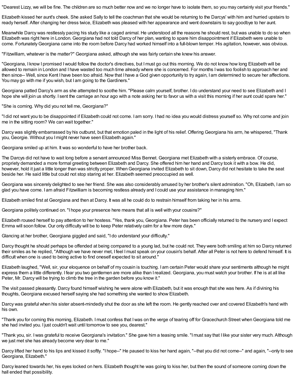"Dearest Lizzy, we will be fine. The children are so much better now and we no longer have to isolate them, so you may certainly visit your friends."

Elizabeth kissed her aunt's cheek. She asked Sally to tell the coachman that she would be returning to the Darcys' with him and hurried upstairs to ready herself. After changing her dress twice, Elizabeth was pleased with her appearance and went downstairs to say goodbye to her aunt.

Meanwhile Darcy was restlessly pacing his study like a caged animal. He understood all the reasons he should rest, but was unable to do so when Elizabeth was right here in London. Georgiana had not told Darcy of her plan, wanting to spare him disappointment if Elizabeth were unable to come. Fortunately Georgiana came into the room before Darcy had worked himself into a full-blown temper. His agitation, however, was obvious.

"Fitzwilliam, whatever is the matter?" Georgiana asked, although she was fairly certain she knew his answer.

"Georgiana, I know I promised Iwould follow the doctor's directives, but Imust go out this morning. We do not know how long Elizabeth will be allowed to remain in London and I have wasted too much time already where she is concerned. For months Iwas too foolish to approach her and then since-- Well, since Kent I have been too afraid. Now that I have a God given opportunity to try again, I am determined to secure her affections. You may go with me if you wish, but I am going to the Gardiners."

Georgiana patted Darcy's arm as she attempted to soothe him. "Please calm yourself, brother. I do understand your need to see Elizabeth and I hope she will join us shortly. I sent the carriage an hour ago with a note asking her to favor us with a visit this morning if her aunt could spare her."

"She is coming. Why did you not tell me, Georgiana?"

"I did not want you to be disappointed if Elizabeth could not come. I am sorry. I had no idea you would distress yourself so. Why not come and join me in the sitting room? We can wait together."

Darcy was slightly embarrassed by his outburst, but that emotion paled in the light of his relief. Offering Georgiana his arm, he whispered, "Thank you, Georgie. Without you Imight never have seen Elizabeth again."

Georgiana smiled up at him. It was so wonderful to have her brother back.

The Darcys did not have to wait long before a servant announced Miss Bennet. Georgiana met Elizabeth with a sisterly embrace. Of course, propriety demanded a more formal greeting between Elizabeth and Darcy. She offered him her hand and Darcy took it with a bow. He did, however, hold it just a little longer than was strictly proper. When Georgiana invited Elizabeth to sit down, Darcy did not hesitate to take the seat beside her. He said little but could not stop staring at her. Elizabeth seemed preoccupied as well.

Georgiana was sincerely delighted to see her friend. She was also considerably amused by her brother's silent admiration. "Oh, Elizabeth, I am so glad you have come. I am afraid Fitzwilliam is becoming restless already and I could use your assistance in managing him."

Elizabeth smiled first at Georgiana and then at Darcy. It was all he could do to restrain himself from taking her in his arms.

Georgiana politely continued on. "I hope your presence here means that all is well with your cousins?"

Elizabeth roused herself to pay attention to her hostess. "Yes, thank you, Georgiana. Peter has been officially returned to the nursery and I expect Emma will soon follow. Our only difficulty will be to keep Peter relatively calm for a few more days."

Glancing at her brother, Georgiana giggled and said, "I do understand your difficulty."

Darcy thought he should perhaps be offended at being compared to a young lad, but he could not. They were both smiling at him so Darcy returned their smiles as he replied, "Although we have never met, I feel Imust speak on your cousin's behalf. After all Peter is not here to defend himself. It is difficult when one is used to being active to find oneself expected to sit around."

Elizabeth laughed, "Well, sir, your eloquence on behalf of my cousin is touching. I am certain Peter would share your sentiments although he might express them a little differently. I fear you two gentlemen are more alike than Irealized. Georgiana, you must watch your brother. If he is at all like Peter, Mr. Darcy will be trying to climb the tree in the garden before you know it."

The visit passed pleasantly. Darcy found himself wishing he were alone with Elizabeth, but it was enough that she was here. As if divining his thoughts, Georgiana excused herself saying she had something she wanted to show Elizabeth.

Darcy was grateful when his sister absent-mindedly shut the door as she left the room. He gently reached over and covered Elizabeth's hand with his own.

"Thank you for coming this morning, Elizabeth. I must confess that I was on the verge of tearing off for Gracechurch Street when Georgiana told me she had invited you. I just couldn't wait until tomorrow to see you, dearest."

"Thank you, sir. Iwas grateful to receive Georgiana's invitation." She gave him a teasing smile. "Imust say that I like your sister very much. Although we just met she has already become very dear to me."

Darcy lifted her hand to his lips and kissed it softly. "I hope--" He paused to kiss her hand again, "--that you did not come--" and again, "--only to see Georgiana, Elizabeth."

Darcy leaned towards her, his eyes locked on hers. Elizabeth thought he was going to kiss her, but then the sound of someone coming down the hall ended that possibility.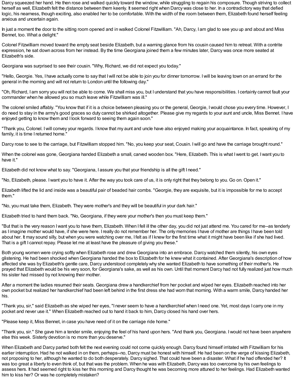Darcy squeezed her hand. He then rose and walked quickly toward the window, while struggling to regain his composure. Though striving to collect herself as well, Elizabeth felt the distance between them keenly. It seemed right when Darcy was close to her. In a contradictory way that defied logic, his nearness, though exciting, also enabled her to be comfortable. With the width of the room between them, Elizabeth found herself feeling anxious and uncertain again.

In just a moment the door to the sitting room opened and in walked Colonel Fitzwilliam. "Ah, Darcy, I am glad to see you up and about and Miss Bennet, too. What a delight."

Colonel Fitzwilliam moved toward the empty seat beside Elizabeth, but a warning glance from his cousin caused him to retreat. With a contrite expression, he sat down across from her instead. By the time Georgiana joined them a few minutes later, Darcy was once more seated at Elizabeth's side.

Georgiana was surprised to see their cousin. "Why, Richard, we did not expect you today."

"Hello, Georgie. Yes, I have actually come to say that Iwill not be able to join you for dinner tomorrow. Iwill be leaving town on an errand for the general in the morning and will not return to London until the following day."

"Oh, Richard, I am sorry you will not be able to come. We shall miss you, but I understand that you have responsibilities. I certainly cannot fault your commander when he allowed you so much leave while Fitzwilliam was ill."

The colonel smiled affably. "You know that if it is a choice between pleasing you or the general, Georgie, Iwould chose you every time. However, I do need to stay in the army's good graces so duty cannot be shirked altogether. Please give my regards to your aunt and uncle, Miss Bennet. I have enjoyed getting to know them and I look forward to seeing them again soon."

"Thank you, Colonel. Iwill convey your regards. I know that my aunt and uncle have also enjoyed making your acquaintance. In fact, speaking of my family, it is time I returned home."

Darcy rose to see to the carriage, but Fitzwilliam stopped him. "No, you keep your seat, Cousin. Iwill go and have the carriage brought round."

When the colonel was gone, Georgiana handed Elizabeth a small, carved wooden box. "Here, Elizabeth. This is what Iwent to get. Iwant you to have it."

Elizabeth did not know what to say. "Georgiana, I assure you that your friendship is all the gift I need."

"No, Elizabeth, please. Iwant you to have it. After the way you took care of us, it is only right that they belong to you. Go on. Open it."

Elizabeth lifted the lid and inside was a beautiful pair of beaded hair combs. "Georgie, they are exquisite, but it is impossible for me to accept them."

"No, you must take them, Elizabeth. They were mother's and they will be beautiful in your dark hair."

Elizabeth tried to hand them back. "No, Georgiana, if they were your mother's then you must keep them."

"But that is the very reason Iwant you to have them, Elizabeth. When I fell ill the other day, you did not just attend me. You cared for me--as tenderly as I imagine mother would have, if she were here. Ireally do not remember her. The only memories I have of mother are things I have been told about her. It may sound silly, but when you were watching over me, I felt as if I knew for the first time what it might have been like if she had lived. That is a gift I cannot repay. Please let me at least have the pleasure of giving you these."

Both young women were crying softly when Elizabeth rose and drew Georgiana into an embrace. Darcy watched them silently, his own eyes glistening. He had been shocked whenGeorgiana handed the box to Elizabeth for he knew what it contained. After Georgiana's description of how affected she was by Elizabeth's gentle care, Darcy understood completely why she wanted Elizabeth to have something of their mother's. He prayed that Elizabeth would be his very soon, for Georgiana's sake, as well as his own. Until that moment Darcy had not fully realized just how much his sister had missed by not knowing their mother.

After a moment the ladies resumed their seats. Georgiana drew a handkerchief from her pocket and wiped her eyes. Elizabeth reached into her own pocket but realized her handkerchief had been left behind in the first dress she had worn that morning. With a warm smile, Darcy handed her his.

"Thank you, sir," said Elizabeth as she wiped her eyes, "I never seem to have a handkerchief when I need one. Yet, most days I carry one in my pocket and never use it." When Elizabeth reached out to hand it back to him, Darcy closed his hand over hers.

"Please keep it, Miss Bennet, in case you have need of it on the carriage ride home."

"Thank you, sir." She gave him a tender smile, enjoying the feel of his hand upon hers. "And thank you, Georgiana. Iwould not have been anywhere else this week. Sisterly devotion is no more than you deserve."

When Elizabeth and Darcy parted both felt the next evening could not come quickly enough. Darcy found himself irritated with Fitzwilliam for his earlier interruption. Had he not walked in on them, perhaps--no, Darcy must be honest with himself. He had been on the verge of kissing Elizabeth, not proposing to her, although he wanted to do both desperately. Darcy sighed. That could have been a disaster. What if he had offended her? It was too great a liberty to even think of, but that was the problem. When he was with Elizabeth, Darcy was too overcome by his own feelings to assess hers. It had seemed right to kiss her this morning and Darcy thought he was becoming more attuned to her feelings. Had Elizabeth wanted him to kiss her? Or was he completely mistaken?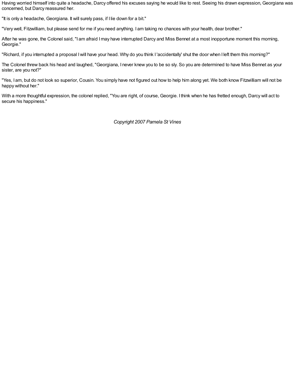Having worried himself into quite a headache, Darcy offered his excuses saying he would like to rest. Seeing his drawn expression, Georgiana was concerned, but Darcy reassured her.

"It is only a headache, Georgiana. It will surely pass, if I lie down for a bit."

"Very well, Fitzwilliam, but please send for me if you need anything. I am taking no chances with your health, dear brother."

After he was gone, the Colonel said, "I am afraid Imay have interrupted Darcy and Miss Bennet at a most inopportune moment this morning, Georgie."

"Richard, if you interrupted a proposal Iwill have your head. Why do you think I 'accidentally' shut the door when I left them this morning?"

The Colonel threw back his head and laughed, "Georgiana, I never knew you to be so sly. So you are determined to have Miss Bennet as your sister, are you not?"

"Yes, I am, but do not look so superior, Cousin. You simply have not figured out how to help him along yet. We both know Fitzwilliam will not be happy without her."

With a more thoughtful expression, the colonel replied, "You are right, of course, Georgie. I think when he has fretted enough, Darcy will act to secure his happiness."

*Copyright 2007 Pamela St Vines*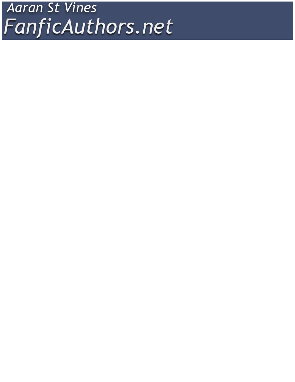# **Aaran St Vines** FanficAuthors.net

- 
- 
- 
- -
	-
	-
	-
- - -
- -
	-
- 
- 
- -
	-
	-
- 
- 
- 
- 
- 
- 
- - -
		-
		-
- -
- 
- 
- - -
		- -
	-
	-
	- -
		-
		-
		-
		-
- 
- 
- 
- 
- 
- 
- -
- -
	- -
- 
- 
- 
- 
- 
- 
- 
- 
- 
- 
- 
- 
- 
- 
- 
- 
- 
- 
- 
- 
- 
- 
- 
- 
- 
- 
-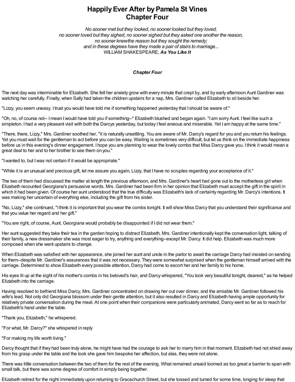## **HappilyEver After byPamela St Vines Chapter Four**

*No sooner met but they looked, no sooner looked but they loved, no sooner loved but they sighed, no sooner sighed but they asked one another the reason, no sooner knewthe reason but they sought the remedy; and in these degrees have they made a pair of stairs to marriage...* WILLIAM SHAKESPEARE, *As You Like It*

### *Chapter Four*

The next day was interminable for Elizabeth. She felt her anxiety grow with every minute that crept by, and by early afternoon Aunt Gardiner was watching her carefully. Finally, when Sally had taken the children upstairs for a nap, Mrs. Gardiner called Elizabeth to sit beside her.

"Lizzy, you seem uneasy. I trust you would have told me if something happened yesterday that I should be aware of."

"Oh, no, of course not-- Imean Iwould have told you if something--" Elizabeth blushed and began again. "I am sorry Aunt. I feel like such a simpleton. I had a very pleasant visit with both the Darcys yesterday, but today I feel anxious and miserable. Yet I am happy at the same time."

"There, there, Lizzy," Mrs. Gardiner soothed her, "it is naturally unsettling. You are aware of Mr. Darcy's regard for you and you return his feelings. Yet you must wait for the gentleman to act before you can be easy. Waiting is sometimes very difficult, but let us think on the immediate happiness before us in this evening's dinner engagement. I hope you are planning to wear the lovely combs that Miss Darcy gave you. I think it would mean a great deal to her and to her brother to see them on you."

"Iwanted to, but Iwas not certain if it would be appropriate."

"While it is an unusual and precious gift, let me assure you again, Lizzy, that I have no scruples regarding your acceptance of it."

The two of them had discussed the matter at length the previous afternoon, and Mrs. Gardiner's heart had gone out to the motherless girl when Elizabeth recounted Georgiana's persuasive words. Mrs. Gardiner had been firm in her opinion that Elizabeth must accept the gift in the spirit in which it had been given. Of course her aunt understood that the true difficulty was Elizabeth's lack of certainty regarding Mr. Darcy's intentions. It was making her uncertain of everything else, including the gift from his sister.

"No, Lizzy," she continued, "I think it is important that you wear the combs tonight. It will show Miss Darcy that you understand their significance and that you value her regard and her gift."

"You are right, of course, Aunt. Georgiana would probably be disappointed if I did not wear them."

Her aunt suggested they take their tea in the garden hoping to distract Elizabeth. Mrs. Gardiner intentionally kept the conversation light, talking of their family, a new dressmaker she was most eager to try, anything and everything--except Mr. Darcy. It did help. Elizabeth was much more composed when she went upstairs to change.

When Elizabeth was satisfied with her appearance, she joined her aunt and uncle in the parlor to await the carriage Darcy had insisted on sending for them--despite Mr. Gardiner's assurances that it was not necessary. They were somewhat surprised when the gentleman himself arrived with the carriage. Determined to show Elizabeth every possible attention, Darcy had come to escort her and her family to his home.

His eyes lit up at the sight of his mother's combs in his beloved's hair, and Darcy whispered, "You look very beautiful tonight, dearest," as he helped Elizabeth into the carriage.

Having resolved to befriend Miss Darcy, Mrs. Gardiner concentrated on drawing her out over dinner, and the amiable Mr. Gardiner followed his wife's lead. Not only did Georgiana blossom under their gentle attention, but it also resulted in Darcy and Elizabeth having ample opportunity for relatively private conversation during the meal. At one point when their companions were particularly animated, Darcy went so far as to reach for Elizabeth's hand under the table.

"Thank you, Elizabeth," he whispered.

"For what, Mr. Darcy?" she whispered in reply

"For making my life worth living."

Darcy thought that if they had been truly alone, he might have had the courage to ask her to marry him in that moment. Elizabeth had not shied away from his grasp under the table and the look she gave him bespoke her affection, but alas, they were not alone.

There was little conversation between the two of them for the rest of the evening. What remained unsaid loomed as too great a barrier to span with small talk, but there was some degree of comfort in simply being together.

Elizabeth retired for the night immediately upon returning to Gracechurch Street, but she tossed and turned for some time, longing for sleep that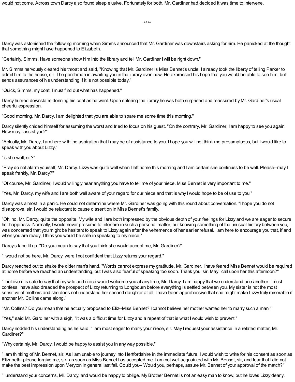would not come. Across town Darcy also found sleep elusive. Fortunately for both, Mr. Gardiner had decided it was time to intervene.

\*\*\*\*

Darcy was astonished the following morning when Simms announced that Mr. Gardiner was downstairs asking for him. He panicked at the thought that something might have happened to Elizabeth.

"Certainly, Simms. Have someone show him into the library and tell Mr. Gardiner Iwill be right down."

Mr. Simms nervously cleared his throat and said, "Knowing that Mr. Gardiner is Miss Bennet's uncle, I already took the liberty of telling Parker to admit him to the house, sir. The gentleman is awaiting you in the library even now. He expressed his hope that you would be able to see him, but sends assurances of his understanding if it is not possible today."

"Quick, Simms, my coat. Imust find out what has happened."

Darcy hurried downstairs donning his coat as he went. Upon entering the library he was both surprised and reassured by Mr. Gardiner's usual cheerful expression.

"Good morning, Mr. Darcy. I am delighted that you are able to spare me some time this morning."

Darcy silently chided himself for assuming the worst and tried to focus on his guest. "On the contrary, Mr. Gardiner, I am happy to see you again. How may I assist you?"

"Actually, Mr. Darcy, I am here with the aspiration that Imay be of assistance to you. I hope you will not think me presumptuous, but Iwould like to speak with you about Lizzy."

"Is she well, sir?"

"Pray do not alarm yourself, Mr. Darcy. Lizzy was quite well when I left home this morning and I am certain she continues to be well. Please--may I speak frankly, Mr. Darcy?"

"Of course, Mr. Gardiner, Iwould willingly hear anything you have to tell me of your niece. Miss Bennet is very important to me."

"Yes, Mr. Darcy, my wife and I are both well aware of your regard for our niece and that is why Iwould hope to be of use to you."

Darcy was almost in a panic. He could not determine where Mr. Gardiner was going with this round about conversation. "I hope you do not disapprove, sir. Iwould be reluctant to cause dissention in Miss Bennet's family.

"Oh, no, Mr. Darcy, quite the opposite. My wife and I are both impressed by the obvious depth of your feelings for Lizzy and we are eager to secure her happiness. Normally, Iwould never presume to interfere in such a personal matter, but knowing something of the unusual history between you, I was concerned that you might be hesitant to speak to Lizzy again after the vehemence of her earlier refusal. I am here to encourage you that, if and when you are ready, I think you would be safe in speaking to my niece."

Darcy's face lit up. "Do you mean to say that you think she would accept me, Mr. Gardiner?"

"Iwould not be here, Mr. Darcy, were I not confident that Lizzy returns your regard."

Darcy reached out to shake the older man's hand. "Words cannot express my gratitude, Mr. Gardiner. I have feared Miss Bennet would be required at home before we reached an understanding, but Iwas also fearful of speaking too soon. Thank you, sir. May I call upon her this afternoon?"

"I believe it is safe to say that my wife and niece would welcome you at any time, Mr. Darcy. I am happy that we understand one another. Imust confess I have also dreaded the prospect of Lizzy returning to Longbourn before everything is settled between you. My sister is not the most sensitive of mothers and she does not understand her second daughter at all. I have been apprehensive that she might make Lizzy truly miserable if another Mr. Collins came along."

"Mr. Collins? Do you mean that he actually proposed to Eliz--Miss Bennet? I cannot believe her mother wanted her to marry such a man."

"Yes," said Mr. Gardiner with a sigh, "it was a difficult time for Lizzy and a repeat of that is what Iwould wish to prevent."

Darcy nodded his understanding as he said, "I am most eager to marry your niece, sir. May Irequest your assistance in a related matter, Mr. Gardiner?"

"Why certainly, Mr. Darcy, Iwould be happy to assist you in any way possible."

"I am thinking of Mr. Bennet, sir. As I am unable to journey into Hertfordshire in the immediate future, Iwould wish to write for his consent as soon as Elizabeth--please forgive me, sir--as soon as Miss Bennet has accepted me. I am not well acquainted with Mr. Bennet, sir, and fear that I did not make the best impression upon Meryton in general last fall. Could you-- Would you, perhaps, assure Mr. Bennet of your approval of the match?"

"I understand your concerns, Mr. Darcy, and would be happy to oblige. My Brother Bennet is not an easy man to know, but he loves Lizzy dearly.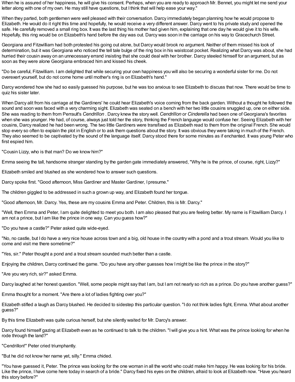When he is assured of her happiness, he will give his consent. Perhaps, when you are ready to approach Mr. Bennet, you might let me send your letter along with one of my own. He may still have questions, but I think that will help ease your way."

When they parted, both gentlemen were well pleased with their conversation. Darcy immediately began planning how he would propose to Elizabeth. He would do it right this time and hopefully, he would receive a very different answer. Darcy went to his private study and opened the safe. He carefully removed a small ring box. It was the last thing his mother had given him, explaining that one day he would give it to his wife. Hopefully, this ring would be on Elizabeth's hand before the day was out. Darcy was soon in the carriage on his way to Gracechurch Street.

Georgiana and Fitzwilliam had both protested his going out alone, but Darcy would brook no argument. Neither of them missed his look of determination, but it was Georgiana who noticed the tell tale bulge of the ring box in his waistcoat pocket. Realizing what Darcy was about, she had hurried their cousin away on an unnecessary errand insisting that she could deal with her brother. Darcy steeled himself for an argument, but as soon as they were alone Georgiana embraced him and kissed his cheek.

"Do be careful, Fitzwilliam. I am delighted that while securing your own happiness you will also be securing a wonderful sister for me. Do not overexert yourself, but do not come home until mother's ring is on Elizabeth's hand."

Darcy wondered how she had so easily guessed his purpose, but he was too anxious to see Elizabeth to discuss that now. There would be time to quiz his sister later.

When Darcy alit from his carriage at the Gardiners' he could hear Elizabeth's voice coming from the back garden. Without a thought he followed the sound and soon was faced with a very charming sight. Elizabeth was seated on a bench with her two little cousins snuggled up, one on either side. She was reading to them from Perrault's *Cendrillon* . Darcy knew the story well. *Cendrillon* or *Cinderella* had been one of Georgiana's favorites when she was younger. He had, of course, always just told her the story, thinking the French language would confuse her. Seeing Elizabeth with her cousins, Darcy realized he had been wrong. The two little Gardiners were transfixed as Elizabeth read to them from the original French. She would stop every so often to explain the plot in English or to ask them questions about the story. It was obvious they were taking in much of the French. They also seemed to be captivated by the sound of the language itself. Darcy stood there for some minutes as if enchanted. It was young Peter who first espied him.

"Cousin Lizzy, who is that man? Do we know him?"

Emma seeing the tall, handsome stranger standing by the garden gate immediately answered, "Why he is the prince, of course, right, Lizzy?"

Elizabeth smiled and blushed as she wondered how to answer such questions.

Darcy spoke first. "Good afternoon, Miss Gardiner and Master Gardiner, I presume."

The children giggled to be addressed in such a grown up way, and Elizabeth found her tongue.

"Good afternoon, Mr. Darcy. Yes, these are my cousins Emma and Peter. Children, this is Mr. Darcy."

"Well, then Emma and Peter, I am quite delighted to meet you both. I am also pleased that you are feeling better. My name is Fitzwilliam Darcy. I am not a prince, but I am like the prince in one way. Can you guess how?"

"Do you have a castle?" Peter asked quite wide-eyed.

"No, no castle, but I do have a very nice house across town and a big, old house in the country with a pond and a trout stream. Would you like to come and visit me there sometime?"

"Yes, sir." Peter thought a pond and a trout stream sounded much better than a castle.

Enjoying the children, Darcy continued the game. "Do you have any other guesses how Imight be like the prince in the story?"

"Are you very rich, sir?" asked Emma.

Darcy laughed at her honest question. "Well, some people might say that I am, but I am not nearly so rich as a prince. Do you have another guess?"

Emma thought for a moment. "Are there a lot of ladies fighting over you?"

Elizabeth stifled a laugh as Darcy blushed. He decided to sidestep this particular question. "I do not think ladies fight, Emma. What about another guess?"

By this time Elizabeth was quite curious herself, but she silently waited for Mr. Darcy's answer.

Darcy found himself gazing at Elizabeth even as he continued to talk to the children. "Iwill give you a hint. What was the prince looking for when he rode through the land?"

"Cendrillon!" Peter cried triumphantly.

"But he did not know her name yet, silly." Emma chided.

"You have guessed it, Peter. The prince was looking for the one woman in all the world who could make him happy. He was looking for his bride. Like the prince, I have come here today in search of a bride." Darcy fixed his eyes on the children, afraid to look at Elizabeth now. "Have you heard this story before?"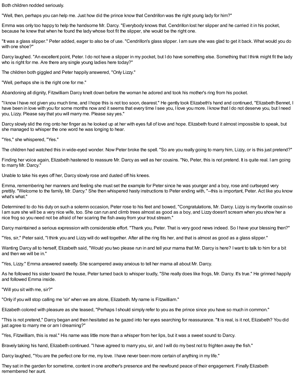Both children nodded seriously.

"Well, then, perhaps you can help me. Just how did the prince know that Cendrillon was the right young lady for him?"

Emma was only too happy to help the handsome Mr. Darcy. "Everybody knows that. Cendrillon lost her slipper and he carried it in his pocket, because he knew that when he found the lady whose foot fit the slipper, she would be the right one.

"It was a glass slipper." Peter added, eager to also be of use. "Cendrillon's glass slipper. I am sure she was glad to get it back. What would you do with one shoe?"

Darcy laughed. "An excellent point, Peter. I do not have a slipper in my pocket, but I do have something else. Something that I think might fit the lady who is right for me. Are there any single young ladies here today?"

The children both giggled and Peter happily answered, "Only Lizzy."

"Well, perhaps she is the right one for me."

Abandoning all dignity, Fitzwilliam Darcy knelt down before the woman he adored and took his mother's ring from his pocket.

"I know I have not given you much time, and I hope this is not too soon, dearest." He gently took Elizabeth's hand and continued, "Elizabeth Bennet, I have been in love with you for some months now and it seems that every time I see you, I love you more. I know that I do not deserve you, but I need you, Lizzy. Please say that you will marry me. Please say yes."

Darcy slowly slid the ring onto her finger as he looked up at her with eyes full of love and hope. Elizabeth found it almost impossible to speak, but she managed to whisper the one word he was longing to hear.

"Yes," she whispered, "Yes."

The children had watched this in wide-eyed wonder. Now Peter broke the spell. "So are you really going to marry him, Lizzy, or is this just pretend?"

Finding her voice again, Elizabeth hastened to reassure Mr. Darcy as well as her cousins. "No, Peter, this is not pretend. It is quite real. I am going to marry Mr. Darcy."

Unable to take his eyes off her, Darcy slowly rose and dusted off his knees.

Emma, remembering her manners and feeling she must set the example for Peter since he was younger and a boy, rose and curtseyed very prettily. "Welcome to the family, Mr. Darcy." She then whispered hasty instructions to Peter ending with, "--this is important, Peter. Act like you know what's what."

Determined to do his duty on such a solemn occasion, Peter rose to his feet and bowed, "Congratulations, Mr. Darcy. Lizzy is my favorite cousin so I am sure she will be a very nice wife, too. She can run and climb trees almost as good as a boy, and Lizzy doesn't scream when you show her a nice frog so you need not be afraid of her scaring the fish away from your trout stream."

Darcy maintained a serious expression with considerable effort. "Thank you, Peter. That is very good news indeed. So I have your blessing then?"

"Yes, sir," Peter said, "I think you and Lizzy will do well together. After all the ring fits her, and that is almost as good as a glass slipper."

Wanting Darcy all to herself, Elizabeth said, "Would you two please run in and tell your mama that Mr. Darcy is here? Iwant to talk to him for a bit and then we will be in."

"Yes, Lizzy." Emma answered sweetly. She scampered away anxious to tell her mama all about Mr. Darcy.

As he followed his sister toward the house, Peter turned back to whisper loudly, "She really does like frogs, Mr. Darcy. It's true." He grinned happily and followed Emma inside.

"Will you sit with me, sir?"

"Only if you will stop calling me 'sir' when we are alone, Elizabeth. My name is Fitzwilliam."

Elizabeth colored with pleasure as she teased, "Perhaps I should simply refer to you as the prince since you have so much in common."

"This is not pretend," Darcy began and then hesitated as he gazed into her eyes searching for reassurance. "It is real, is it not, Elizabeth? You did just agree to marry me or am I dreaming?"

"Yes, Fitzwilliam, this is real." His name was little more than a whisper from her lips, but it was a sweet sound to Darcy.

Bravely taking his hand, Elizabeth continued. "I have agreed to marry you, sir, and Iwill do my best not to frighten away the fish."

Darcy laughed, "You are the perfect one for me, my love. I have never been more certain of anything in my life."

They sat in the garden for sometime, content in one another's presence and the newfound peace of their engagement. Finally Elizabeth remembered her aunt.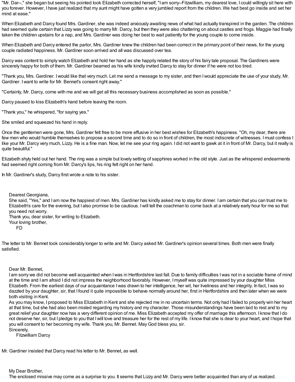"Mr. Dar--," she began but seeing his pointed look Elizabeth corrected herself, "I am sorry--Fitzwilliam, my dearest love, I could willingly sit here with you forever. However, I have just realized that my aunt might have gotten a very jumbled report from the children. We had best go inside and set her mind at ease."

When Elizabeth and Darcy found Mrs. Gardiner, she was indeed anxiously awaiting news of what had actually transpired in the garden. The children had seemed quite certain that Lizzy was going to marry Mr. Darcy, but then they were also chattering on about castles and frogs. Maggie had finally taken the children upstairs for a nap, and Mrs. Gardiner was doing her best to wait patiently for the young couple to come inside.

When Elizabeth and Darcy entered the parlor, Mrs. Gardiner knew the children had been correct in the primary point of their news, for the young couple radiated happiness. Mr. Gardiner soon arrived and all was discussed over tea.

Darcy was content to simply watch Elizabeth and hold her hand as she happily related the story of his fairy tale proposal. The Gardiners were sincerely happy for both of them. Mr. Gardiner beamed as his wife kindly invited Darcy to stay for dinner if he were not too tired.

"Thank you, Mrs. Gardiner. Iwould like that very much. Let me send a message to my sister, and then Iwould appreciate the use of your study, Mr. Gardiner. Iwant to write for Mr. Bennet's consent right away."

"Certainly, Mr. Darcy, come with me and we will get all this necessary business accomplished as soon as possible."

Darcy paused to kiss Elizabeth's hand before leaving the room.

"Thank you," he whispered, "for saying yes."

She smiled and squeezed his hand in reply.

Once the gentlemen were gone, Mrs. Gardiner felt free to be more effusive in her best wishes for Elizabeth's happiness. "Oh, my dear, there are few men who would humble themselves to propose a second time and to do so in front of children, the most indiscrete of witnesses. I must confess I like your Mr. Darcy very much, Lizzy. He is a fine man. Now, let me see your ring again. I did not want to gawk at it in front of Mr. Darcy, but it really is quite beautiful."

Elizabeth shyly held out her hand. The ring was a simple but lovely setting of sapphires worked in the old style. Just as the whispered endearments had seemed right coming from Mr. Darcy's lips, his ring felt right on her hand.

In Mr. Gardiner's study, Darcy first wrote a note to his sister.

Dearest Georgiana,

She said, "Yes," and I am now the happiest of men. Mrs. Gardiner has kindly asked me to stay for dinner. I am certain that you can trust me to Elizabeth's care for the evening, but I also promise to be cautious. Iwill tell the coachman to come back at a relatively early hour for me so that you need not worry.

Thank you, dear sister, for writing to Elizabeth.

Your loving brother,

FD

The letter to Mr. Bennet took considerably longer to write and Mr. Darcy asked Mr. Gardiner's opinion several times. Both men were finally satisfied.

#### Dear Mr. Bennet,

I am sorry we did not become well acquainted when Iwas in Hertfordshire last fall. Due to family difficulties Iwas not in a sociable frame of mind at the time and I am afraid I did not impress the neighborhood favorably. However, Imyself was quite impressed by your daughter Miss Elizabeth. From the earliest days of our acquaintance Iwas drawn to her intelligence, her wit, her liveliness and her integrity. In fact, Iwas so dazzled by your daughter, sir, that I found it quite impossible to behave normally around her, first in Hertfordshire and then later when we were both visiting in Kent.

As you may know, I proposed to Miss Elizabeth in Kent and she rejected me in no uncertain terms. Not only had I failed to properly win her heart at that time, but she had also been misled regarding my history and my character. Those misunderstandings have been laid to rest and to my great relief your daughter now has a very different opinion of me. Miss Elizabeth accepted my offer of marriage this afternoon. I know that I do not deserve her, sir, but I pledge to you that Iwill love and treasure her for the rest of my life. I know that she is dear to your heart, and I hope that you will consent to her becoming my wife. Thank you, Mr. Bennet. MayGod bless you, sir. Sincerely,

Fitzwilliam Darcy

Mr. Gardiner insisted that Darcy read his letter to Mr. Bennet, as well.

My Dear Brother,

The enclosed missive may come as a surprise to you. It seems that Lizzy and Mr. Darcy were better acquainted than any of us realized.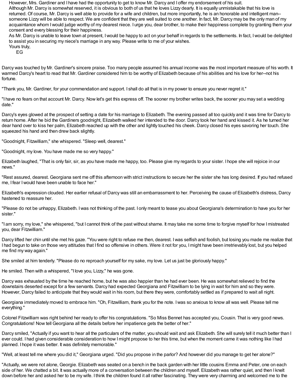However, Mrs. Gardiner and I have had the opportunity to get to know Mr. Darcy and I offer my endorsement of his suit. Although Mr. Darcy is somewhat reserved, it is obvious to both of us that he loves Lizzy dearly. It is equally unmistakable that his love is returned. Of course, Mr. Darcy is well able to provide for a wife and children, but more importantly, he is an honorable and intelligent man- someone Lizzy will be able to respect. We are confident that they are well suited to one another. In fact, Mr. Darcy may be the only man of my acquaintance whom Iwould judge worthy of my dearest niece. I urge you, dear brother, to make their happiness complete by granting them your consent and every blessing for their happiness.

As Mr. Darcy is unable to leave town at present, Iwould be happy to act on your behalf in regards to the settlements. In fact, Iwould be delighted to assist you in securing my niece's marriage in any way. Please write to me of your wishes. Yours truly,

EG

Darcy was touched by Mr. Gardiner's sincere praise. Too many people assumed his annual income was the most important measure of his worth. It warmed Darcy's heart to read that Mr. Gardiner considered him to be worthy of Elizabeth because of his abilities and his love for her--not his fortune.

"Thank you, Mr. Gardiner, for your commendation and support. I shall do all that is in my power to ensure you never regret it."

"I have no fears on that account Mr. Darcy. Now let's get this express off. The sooner my brother writes back, the sooner you may set a wedding date."

Darcy's eyes glowed at the prospect of setting a date for his marriage to Elizabeth. The evening passed all too quickly and it was time for Darcy to return home. After he bid the Gardiners goodnight, Elizabeth walked her intended to the door. Darcy took her hand and kissed it. As he turned her dear hand over to kiss her palm, Elizabeth reached up with the other and lightly touched his cheek. Darcy closed his eyes savoring her touch. She squeezed his hand and then drew back slightly.

"Goodnight, Fitzwilliam," she whispered. "Sleep well, dearest."

"Goodnight, my love. You have made me so very happy."

Elizabeth laughed, "That is only fair, sir, as you have made me happy, too. Please give my regards to your sister. I hope she will rejoice in our news."

"Rest assured, dearest. Georgiana sent me off this afternoon with strict instructions to secure her the sister she has long desired. If you had refused me, I fear Iwould have been unable to face her."

Elizabeth's expression clouded. Her earlier refusal of Darcy was still an embarrassment to her. Perceiving the cause of Elizabeth's distress, Darcy hastened to reassure her.

"Please do not be unhappy, Elizabeth. Iwas not thinking of the past. I only meant to tease you about Georgiana's determination to have you for her sister."

"I am sorry, my love," she whispered, "but I cannot think of the past without shame. It may take me some time to forgive myself for how Imistreated you, dear Fitzwilliam."

Darcy lifted her chin until she met his gaze. "You were right to refuse me then, dearest. Iwas selfish and foolish, but losing you made me realize that I had begun to take on those very attitudes that I find so offensive in others. Were it not for you, Imight have been irretrievably lost, but you helped me find my way again."

She smiled at him tenderly. "Please do no reproach yourself for my sake, my love. Let us just be gloriously happy."

He smiled. Then with a whispered, "I love you, Lizzy," he was gone.

Darcy was exhausted by the time he reached home, but he was also happier than he had ever been. He was somewhat relieved to find the downstairs deserted except for a few servants. Darcy had expected Georgiana and Fitzwilliam to be lying in wait for him and so they were. However, Darcy failed to anticipate that they would wait in his room, but there they were, comfortably settled as if prepared to wait all night.

Georgiana immediately moved to embrace him. "Oh, Fitzwilliam, thank you for the note. Iwas so anxious to know all was well. Please tell me everything."

Colonel Fitzwilliam was right behind her ready to offer his congratulations. "So Miss Bennet has accepted you, Cousin. That is very good news. Congratulations! Now tell Georgiana all the details before her impatience gets the better of her."

Darcy smiled, "Actually if you want to hear all the particulars of the matter, you should wait and ask Elizabeth. She will surely tell it much better than I ever could. I had given considerable consideration to how Imight propose to her this time, but when the moment came it was nothing like I had planned. I hope it was better. It was definitely memorable."

"Well, at least tell me where you did it," Georgiana urged. "Did you propose in the parlor? And however did you manage to get her alone?"

"Actually, we were not alone, Georgie. Elizabeth was seated on a bench in the back garden with her little cousins Emma and Peter, one on each side of her. We chatted a bit. It was actually more of a conversation between the children and myself. Elizabeth was rather quiet, and then I knelt down before her and asked her to be my wife. I think the children found it all rather fascinating. They were very charming and welcomed me to the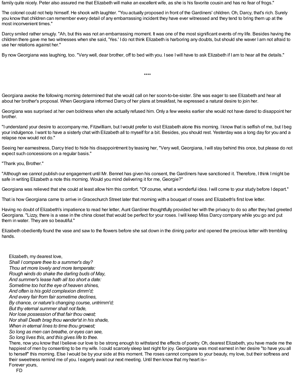family quite nicely. Peter also assured me that Elizabeth will make an excellent wife, as she is his favorite cousin and has no fear of frogs."

The colonel could not help himself. He shook with laughter. "You actually proposed in front of the Gardiners' children. Oh, Darcy, that's rich. Surely you know that children can remember every detail of any embarrassing incident they have ever witnessed and they tend to bring them up at the most inconvenient times."

Darcy smiled rather smugly. "Ah, but this was not an embarrassing moment. It was one of the most significant events of my life. Besides having the children there gave me two witnesses when she said, 'Yes.' I do not think Elizabeth is harboring any doubts, but should she waver I am not afraid to use her relations against her."

\*\*\*\*

By now Georgiana was laughing, too. "Very well, dear brother, off to bed with you. I see Iwill have to ask Elizabeth if I am to hear all the details."

Georgiana awoke the following morning determined that she would call on her soon-to-be-sister. She was eager to see Elizabeth and hear all about her brother's proposal. When Georgiana informed Darcy of her plans at breakfast, he expressed a natural desire to join her.

Georgiana was surprised at her own boldness when she actually refused him. Only a few weeks earlier she would not have dared to disappoint her brother.

"I understand your desire to accompany me, Fitzwilliam, but Iwould prefer to visit Elizabeth alone this morning. I know that is selfish of me, but I beg your indulgence. Iwant to have a sisterly chat with Elizabeth all to myself for a bit. Besides, you should rest. Yesterday was a long day for you and a relapse now would not do."

Seeing her earnestness, Darcy tried to hide his disappointment by teasing her, "Very well, Georgiana, Iwill stay behind this once, but please do not expect such concessions on a regular basis."

"Thank you, Brother."

"Although we cannot publish our engagement until Mr. Bennet has given his consent, the Gardiners have sanctioned it. Therefore, I think Imight be safe in writing Elizabeth a note this morning. Would you mind delivering it for me, Georgie?"

Georgiana was relieved that she could at least allow him this comfort. "Of course, what a wonderful idea. Iwill come to your study before I depart."

That is how Georgiana came to arrive inGracechurch Street later that morning with a bouquet of roses and Elizabeth's first love letter.

Having no doubt of Elizabeth's impatience to read her letter, Aunt Gardiner thoughtfully provided her with the privacy to do so after they had greeted Georgiana. "Lizzy, there is a vase in the china closet that would be perfect for your roses. Iwill keep Miss Darcy company while you go and put them in water. They are so beautiful."

Elizabeth obediently found the vase and saw to the flowers before she sat down in the dining parlor and opened the precious letter with trembling hands.

Elizabeth, my dearest love, *Shall I compare thee to a summer's day? Thou art more lovely and more temperate: Rough winds do shake the darling buds of May, And summer's lease hath all too short a date: Sometime too hot the eye of heaven shines, And often is his gold complexion dimm'd; And every fair from fair sometime declines, By chance, or nature's changing course, untrimm'd; But thy eternal summer shall not fade, Nor lose possession of that fair thou owest; Nor shall Death brag thou wander'st in his shade, When in eternal lines to time thou growest; So long as men can breathe, or eyes can see, So long lives this, and this gives life to thee.*

There, now you know that I believe our love to be strong enough to withstand the effects of poetry. Oh, dearest Elizabeth, you have made me the happiest of men by consenting to be my wife. I could scarcely sleep last night for joy. Georgiana was most earnest in her desire "to have you all to herself" this morning. Else Iwould be by your side at this moment. The roses cannot compare to your beauty, my love, but their softness and their sweetness remind me of you. I eagerly await our next meeting. Until then know that my heart is--

Forever yours,

FD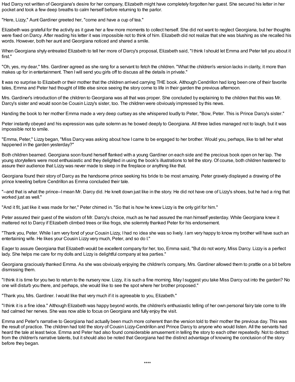Had Darcy not written of Georgiana's desire for her company, Elizabeth might have completely forgotten her guest. She secured his letter in her pocket and took a few deep breaths to calm herself before returning to the parlor.

"Here, Lizzy," Aunt Gardiner greeted her, "come and have a cup of tea."

Elizabeth was grateful for the activity as it gave her a few more moments to collect herself. She did not want to neglect Georgiana, but her thoughts were fixed on Darcy. After reading his letter it was impossible not to think of him. Elizabeth did not realize that she was blushing as she recalled his words. However, both her aunt and Georgiana noticed and shared a smile.

WhenGeorgiana shyly entreated Elizabeth to tell her more of Darcy's proposal, Elizabeth said, "I think I should let Emma and Peter tell you about it first."

"Oh, yes, my dear," Mrs. Gardiner agreed as she rang for a servant to fetch the children. "What the children's version lacks in clarity, it more than makes up for in entertainment. Then Iwill send you girls off to discuss all the details in private."

It was no surprise to Elizabeth or their mother that the children arrived carrying THE book. Although Cendrillon had long been one of their favorite tales, Emma and Peter had thought of little else since seeing the story come to life in their garden the previous afternoon.

Mrs. Gardiner's introduction of the children to Georgiana was all that was proper. She concluded by explaining to the children that this was Mr. Darcy's sister and would soon be Cousin Lizzy's sister, too. The children were obviously impressed by this news.

Handing the book to her mother Emma made a very deep curtsey as she whispered loudly to Peter, "Bow, Peter. This is Prince Darcy's sister."

Peter instantly obeyed and his expression was quite solemn as he bowed deeply to Georgiana. All three ladies managed not to laugh, but it was impossible not to smile.

"Emma, Peter," Lizzy began, "Miss Darcy was asking about how I came to be engaged to her brother. Would you, perhaps, like to tell her what happened in the garden yesterday?"

Both children beamed. Georgiana soon found herself flanked with a young Gardiner on each side and the precious book open on her lap. The young storytellers were most enthusiastic and they delighted in using the book's illustrations to tell the story. Of course, both children hastened to assure their audience that Lizzy was never made to sleep in the fireplace or anything like that.

Georgiana found their story of Darcy as the handsome prince seeking his bride to be most amusing. Peter gravely displayed a drawing of the prince kneeling before Cendrillon as Emma concluded their tale.

"--and that is what the prince--I mean Mr. Darcy did. He knelt down just like in the story. He did not have one of Lizzy's shoes, but he had a ring that worked just as well."

"And it fit, just like it was made for her," Peter chimed in. "So that is how he knew Lizzy is the only girl for him."

Peter assured their guest of the wisdom of Mr. Darcy's choice, much as he had assured the man himself yesterday. While Georgiana knew it mattered not to Darcy if Elizabeth climbed trees or like frogs, she solemnly thanked Peter for his endorsement.

"Thank you, Peter. While I am very fond of your Cousin Lizzy, I had no idea she was so lively. I am very happy to know my brother will have such an entertaining wife. He likes your Cousin Lizzy very much, Peter, and so do I."

Eager to assure Georgiana that Elizabeth would be excellent company for her, too, Emma said, "But do not worry, Miss Darcy. Lizzy is a perfect lady. She helps me care for my dolls and Lizzy is delightful company at tea parties."

Georgiana graciously thanked Emma. As she was obviously enjoying the children's company, Mrs. Gardiner allowed them to prattle on a bit before dismissing them.

"I think it is time for you two to return to the nursery now. Lizzy, it is such a fine morning. May I suggest you take Miss Darcy out into the garden? No one will disturb you there, and perhaps, she would like to see the spot where her brother proposed."

"Thank you, Mrs. Gardiner. Iwould like that very much if it is agreeable to you, Elizabeth."

"I think it is a fine idea." Although Elizabeth was happy beyond words, the children's enthusiastic telling of her own personal fairy tale come to life had calmed her nerves. She was now able to focus on Georgiana and fully enjoy the visit.

Emma and Peter's narrative to Georgiana had actually been much more coherent than the version told to their mother the previous day. This was the result of practice. The children had told the story of Cousin Lizzy-Cendrillon and Prince Darcy to anyone who would listen. All the servants had heard the tale at least twice. Emma and Peter had also found considerable amusement in telling the story to each other repeatedly. Not to detract from the children's narrative talents, but it should also be noted that Georgiana had the distinct advantage of knowing the conclusion of the story before they began.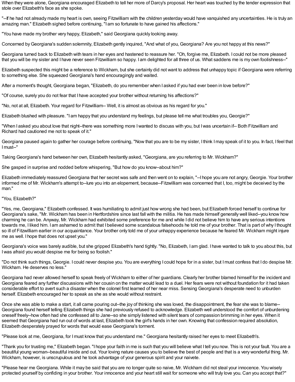When they were alone, Georgiana encouraged Elizabeth to tell her more of Darcy's proposal. Her heart was touched by the tender expression that stole over Elizabeth's face as she spoke.

"--If he had not already made my heart is own, seeing Fitzwilliam with the children yesterday would have vanquished any uncertainties. He is truly an amazing man." Elizabeth sighed before continuing, "I am so fortunate to have gained his affections."

"You have made my brother very happy, Elizabeth," said Georgiana quickly looking away.

Concerned byGeorgiana's sudden solemnity, Elizabeth gently inquired, "And what of you, Georgiana? Are you not happy at this news?"

Georgiana turned back to Elizabeth with tears in her eyes and hastened to reassure her. "Oh, forgive me, Elizabeth. I could not be more pleased that you will be my sister and I have never seen Fitzwilliam so happy. I am delighted for all three of us. What saddens me is my own foolishness--"

Elizabeth suspected this might be a reference to Wickham, but she certainly did not want to address that unhappy topic if Georgiana were referring to something else. She squeezed Georgiana's hand encouragingly and waited.

After a moment's thought, Georgiana began, "Elizabeth, do you remember when I asked if you had ever been in love before?"

"Of course, surely you do not fear that I have accepted your brother without returning his affections?"

"No, not at all, Elizabeth. Your regard for Fitzwilliam-- Well, it is almost as obvious as his regard for you."

Elizabeth blushed with pleasure. "I am happy that you understand my feelings, but please tell me what troubles you, Georgie?"

"When I asked you about love that night--there was something more Iwanted to discuss with you, but Iwas uncertain if-- Both Fitzwilliam and Richard had cautioned me not to speak of it."

Georgiana paused again to gather her courage before continuing, "Now that you are to be my sister, I think Imay speak of it to you. In fact, I feel that Imust--"

Taking Georgiana's hand between her own, Elizabeth hesitantly asked, "Georgiana, are you referring to Mr. Wickham?"

She gasped in surprise and nodded before whispering, "But how do you know--about him?"

Elizabeth immediately reassured Georgiana that her secret was safe and then went on to explain, "--I hope you are not angry, Georgie. Your brother informed me of Mr. Wickham's attempt to--lure you into an elopement, because--Fitzwilliam was concerned that I, too, might be deceived by the man."

#### "You, Elizabeth?"

"Yes, me, Georgiana," Elizabeth confessed. It was humiliating to admit just how wrong she had been, but Elizabeth forced herself to continue for Georgiana's sake, "Mr. Wickham has been in Hertfordshire since last fall with the militia. He has made himself generally well liked--you know how charming he can be. Anyway, Mr. Wickham had exhibited some preference for me and while I did not believe him to have any serious intentions towards me, I liked him. I am ashamed to admit that I believed some scandalous falsehoods he told me of your brother. That is part of why I thought so ill of Fitzwilliam earlier in our acquaintance. Your brother only told me of your unhappy experience because he feared Mr. Wickham might injure me as well. I hope that does not upset you."

Georgiana's voice was barely audible, but she gripped Elizabeth's hand tightly. "No, Elizabeth, I am glad. I have wanted to talk to you about this, but Iwas afraid you would despise me for being so foolish."

"Do not think such things, Georgie. I could never despise you. You are everything I could hope for in a sister, but Imust confess that I do despise Mr. Wickham. He deserves no less."

Georgiana had never allowed herself to speak freely of Wickham to either of her guardians. Clearly her brother blamed himself for the incident and Georgiana feared any further discussions with her cousin on the matter would lead to a duel. Her fears were not without foundation for it had taken considerable effort to avert such a disaster when the colonel first learned of her near miss. Sensing Georgiana's desperate need to unburden herself. Elizabeth encouraged her to speak as she as she would without restraint.

Once she was able to make a start, it all came pouring out--the joy of thinking she was loved, the disappointment, the fear she was to blame-- Georgiana found herself telling Elizabeth things she had previously refused to acknowledge. Elizabeth well understood the comfort of unburdening oneself freely--how often had she confessed all to Jane--so she simply listened with silent tears of compassion brimming in her eyes. When it seemed that Georgiana had run out of words at last, Elizabeth took the girl's hands in her own. Knowing that confession required absolution, Elizabeth desperately prayed for words that would ease Georgiana's torment.

"Please look at me, Georgiana, for Imust know that you understand me." Georgiana hesitantly raised her eyes to meet Elizabeth's.

"Thank you for trusting me," Elizabeth began. "I hope your faith in me is such that you will believe what I tell you now. This is not your fault. You are a beautiful young woman--beautiful inside and out. Your loving nature causes you to believe the best of people and that is a very wonderful thing. Mr. Wickham, however, is unscrupulous and he took advantage of your generous spirit and your naivete.

"Please hear me Georgiana. While it may be said that you are no longer quite so naive, Mr. Wickham did not steal your innocence. You wisely protected yourself by confiding in your brother. Your innocence and your heart still wait for someone who will truly love you. Can you accept that?"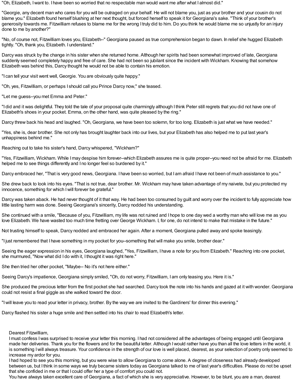"Oh, Elizabeth, Iwant to. I have been so worried that no respectable man would want me after what I almost did."

"Georgie, any decent man who cares for you will be outraged on your behalf. He will not blame you, just as your brother and your cousin do not blame you." Elizabeth found herself blushing at her next thought, but forced herself to speak it for Georgiana's sake. "Think of your brother's generosity towards me. Fitzwilliam refuses to blame me for the wrong I truly did to him. Do you think he would blame me so unjustly for an injury done to me by another?"

"No, of course not, Fitzwilliam loves you, Elizabeth--" Georgiana paused as true comprehension began to dawn. In relief she hugged Elizabeth tightly. "Oh, thank you, Elizabeth. I understand."

Darcy was struck by the change in his sister when she returned home. Although her spirits had been somewhat improved of late, Georgiana suddenly seemed completely happy and free of care. She had not been so jubilant since the incident with Wickham. Knowing that somehow Elizabeth was behind this, Darcy thought he would not be able to contain his emotion.

"I can tell your visit went well, Georgie. You are obviously quite happy."

"Oh, yes, Fitzwilliam, or perhaps I should call you Prince Darcy now," she teased.

"Let me guess--you met Emma and Peter."

"I did and it was delightful. They told the tale of your proposal quite charmingly although I think Peter still regrets that you did not have one of Elizabeth's shoes in your pocket. Emma, on the other hand, was quite pleased by the ring."

Darcy threw back his head and laughed. "Oh, Georgiana, we have been too solemn, for too long. Elizabeth is just what we have needed."

"Yes, she is, dear brother. She not only has brought laughter back into our lives, but your Elizabeth has also helped me to put last year's unhappiness behind me."

Reaching out to take his sister's hand, Darcy whispered, "Wickham?"

"Yes, Fitzwilliam, Wickham. While Imay despise him forever--which Elizabeth assures me is quite proper--you need not be afraid for me. Elizabeth helped me to see things differently and I no longer feel so burdened by it."

Darcy embraced her, "That is very good news, Georgiana. I have been so worried, but I am afraid I have not been of much assistance to you."

She drew back to look into his eyes. "That is not true, dear brother. Mr. Wickham may have taken advantage of my naivete, but you protected my innocence, something for which I will forever be grateful."

Darcy was taken aback. He had never thought of it that way. He had been too consumed by guilt and worry over the incident to fully appreciate how little lasting harm was done. Seeing Georgiana's sincerity, Darcy nodded his understanding.

She continued with a smile, "Because of you, Fitzwilliam, my life was not ruined and I hope to one day wed a worthy man who will love me as you love Elizabeth. We have wasted too much time fretting over George Wickham. I, for one, do not intend to make that mistake in the future."

Not trusting himself to speak, Darcy nodded and embraced her again. After a moment, Georgiana pulled away and spoke teasingly.

"I just remembered that I have something in my pocket for you--something that will make you smile, brother dear."

Seeing the eager expression in his eyes, Georgiana laughed, "Yes, Fitzwilliam, I have a note for you from Elizabeth." Reaching into one pocket, she murmured, "Now what did I do with it, I thought it was right here."

She then tried her other pocket, "Maybe-- No it's not here either."

Seeing Darcy's impatience, Georgiana simply smiled, "Oh, do not worry, Fitzwilliam, I am only teasing you. Here it is."

She produced the precious letter from the first pocket she had searched. Darcy took the note into his hands and gazed at it with wonder. Georgiana could not resist a final giggle as she walked toward the door.

"Iwill leave you to read your letter in privacy, brother. By the way we are invited to the Gardiners' for dinner this evening."

Darcy flashed his sister a huge smile and then settled into his chair to read Elizabeth's letter.

#### Dearest Fitzwilliam,

Imust confess Iwas surprised to receive your letter this morning. I had not considered all the advantages of being engaged until Georgiana made her deliveries. Thank you for the flowers and for the beautiful letter. Although Iwould rather have you than all the love letters in the world, it is something Iwill always treasure. Your confidence in the strength of our love is well placed, dearest, as your selection of poetry only seemed to increase my ardor for you.

I had hoped to see you this morning, but you were wise to allow Georgiana to come alone. A degree of closeness had already developed between us, but I think in some ways we truly became sisters today as Georgiana talked to me of last year's difficulties. Please do not be upset that she confided in me or that I could offer her a type of comfort you could not.

You have always taken excellent care of Georgiana, a fact of which she is very appreciative. However, to be blunt, you are a man, dearest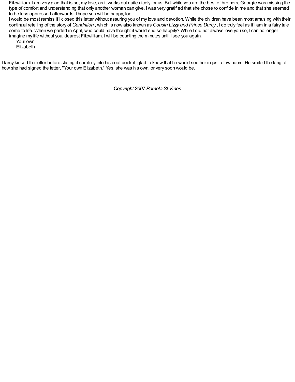Fitzwilliam. I am very glad that is so, my love, as it works out quite nicely for us. But while you are the best of brothers, Georgie was missing the type of comfort and understanding that only another woman can give. Iwas very gratified that she chose to confide in me and that she seemed to be less oppressed afterwards. I hope you will be happy, too.

Iwould be most remiss if I closed this letter without assuring you of my love and devotion. While the children have been most amusing with their continual retelling of the story of *Cendrillon* , which is now also known as *Cousin Lizzy and Prince Darcy* , I do truly feel as if I am in a fairy tale come to life. When we parted in April, who could have thought it would end so happily? While I did not always love you so, I can no longer imagine my life without you, dearest Fitzwilliam. Iwill be counting the minutes until I see you again.

Your own,

Elizabeth

Darcy kissed the letter before sliding it carefully into his coat pocket, glad to know that he would see her in just a few hours. He smiled thinking of how she had signed the letter, "Your own Elizabeth." Yes, she was his own, or very soon would be.

*Copyright 2007 Pamela St Vines*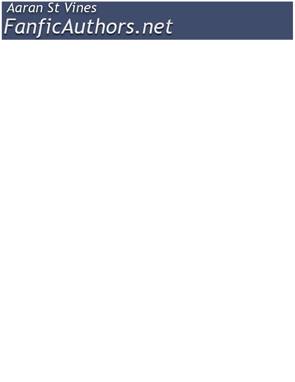# **Aaran St Vines** FanficAuthors.net

- 
- 
- 
- -
	-
	-
	-
- - -
- -
	-
- 
- 
- -
	-
	-
- 
- 
- 
- 
- 
- 
- - -
		-
		-
- -
- 
- 
- - -
		- -
	-
	-
	- -
		-
		-
		-
		-
- 
- 
- 
- 
- 
- 
- -
- -
	- -
- 
- 
- 
- 
- 
- 
- 
- 
- 
- 
- 
- 
- 
- 
- 
- 
- 
- 
- 
- 
- 
- 
- 
- 
- 
- 
-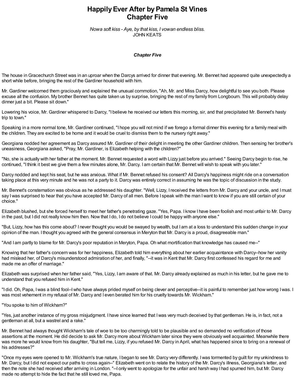## **HappilyEver After byPamela St Vines Chapter Five**

*Nowa soft kiss - Aye, by that kiss, I vowan endless bliss.* JOHN KEATS

### *Chapter Five*

The house in Gracechurch Street was in an uproar when the Darcys arrived for dinner that evening. Mr. Bennet had appeared quite unexpectedly a short while before, bringing the rest of the Gardiner household with him.

Mr. Gardiner welcomed them graciously and explained the unusual commotion, "Ah, Mr. and Miss Darcy, how delightful to see you both. Please excuse all the confusion. My brother Bennet has quite taken us by surprise, bringing the rest of my family from Longbourn. This will probably delay dinner just a bit. Please sit down."

Lowering his voice, Mr. Gardiner whispered to Darcy, "I believe he received our letters this morning, sir, and that precipitated Mr. Bennet's hasty trip to town."

Speaking in a more normal tone, Mr. Gardiner continued, "I hope you will not mind if we forego a formal dinner this evening for a family meal with the children. They are excited to be home and it would be cruel to dismiss them to the nursery right away."

Georgiana nodded her agreement as Darcy assured Mr. Gardiner of their delight in meeting the other Gardiner children. Then sensing her brother's uneasiness, Georgiana asked, "Pray, Mr. Gardiner, is Elizabeth helping with the children?"

"No, she is actually with her father at the moment. Mr. Bennet requested a word with Lizzy just before you arrived." Seeing Darcy begin to rise, he continued, "I think it best we give them a few minutes alone, Mr. Darcy. I am certain that Mr. Bennet will wish to speak with you later."

Darcy nodded and kept his seat, but he was anxious. What if Mr. Bennet refused his consent? All Darcy's happiness might ride on a conversation taking place at this very minute and he was not a party to it. Darcy was entirely correct in assuming he was the topic of discussion in the study.

Mr. Bennet's consternation was obvious as he addressed his daughter. "Well, Lizzy, Ireceived the letters from Mr. Darcy and your uncle, and Imust say I was surprised to hear that you have accepted Mr. Darcy of all men. Before I speak with the man I want to know if you are still certain of your choice."

Elizabeth blushed, but she forced herself to meet her father's penetrating gaze. "Yes, Papa. I know I have been foolish and most unfair to Mr. Darcy in the past, but I did not really know him then. Now that I do, I do not believe I could be happy with anyone else."

"But, Lizzy, how has this come about? I never thought you would be swayed by wealth, but I am at a loss to understand this sudden change in your opinion of the man. I thought you agreed with the general consensus in Meryton that Mr. Darcy is a proud, disagreeable man."

"And I am partly to blame for Mr. Darcy's poor reputation in Meryton, Papa. Oh what mortification that knowledge has caused me--"

Knowing that her father's concern was for her happiness, Elizabeth told him everything about her earlier acquaintance with Darcy--how her vanity had mislead her, of Darcy's misunderstood admiration of her, and finally, "--it was in Kent that Mr. Darcy first confessed his regard for me and made me an offer of marriage."

Elizabeth was surprised when her father said, "Yes, Lizzy, I am aware of that. Mr. Darcy already explained as much in his letter, but he gave me to understand that you refused him in Kent."

"I did. Oh, Papa, Iwas a blind fool--Iwho have always prided myself on being clever and perceptive--it is painful to remember just how wrong Iwas. I was most vehement in my refusal of Mr. Darcy and I even berated him for his cruelty towards Mr. Wickham."

"You spoke to him of Wickham?"

"Yes, just another instance of my gross misjudgment. I have since learned that Iwas very much deceived by that gentleman. He is, in fact, not a gentleman at all, but a wastrel and a rake."

Mr. Bennet had always thought Wickham's tale of woe to be too charmingly told to be plausible and so demanded no verification of those assertions at the moment. He did decide to ask Mr. Darcy more about Wickham later since they were obviously well acquainted. Meanwhile there was more he would know from his daughter, "But tell me, Lizzy, if you refused Mr. Darcy in April, what has happened since to bring on a renewal of his addresses?"

"Once my eyes were opened to Mr. Wickham's true nature, I began to see Mr. Darcy very differently. Iwas tormented by guilt for my unkindness to Mr. Darcy, but I did not expect our paths to cross again--" Elizabeth went on to relate the history of the Mr. Darcy's illness, Georgiana's letter, and then the note she had received after arriving in London. "--I only went to apologize for the unfair and harsh way I had spurned him, but Mr. Darcy made no attempt to hide the fact that he still loved me, Papa.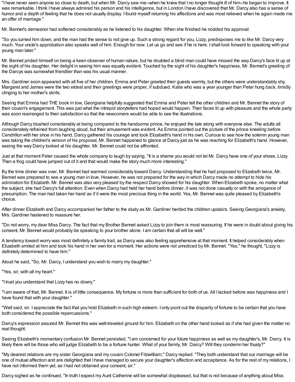"I have never seen anyone so close to death, but when Mr. Darcy saw me--when he knew that I no longer thought ill of him--he began to improve. It was remarkable. I think I have always admired his person and his intelligence, but in London I have discovered that Mr. Darcy also has a sense of humor and a depth of feeling that he does not usually display. I found myself returning his affections and was most relieved when he again made me an offer of marriage."

Mr. Bennet's demeanor had softened considerably as he listened to his daughter. When she finished he nodded his approval.

"So you turned him down, and the man had the sense to not give up. Such a strong regard for you, Lizzy, predisposes me to like Mr. Darcy very much. Your uncle's approbation also speaks well of him. Enough for now. Let us go and see if he is here. I shall look forward to speaking with your young man later."

Mr. Bennet prided himself on being a keen observer of human nature, but he doubted a blind man could have missed the way Darcy's face lit up at the sight of his daughter. Her delight in seeing him was equally evident. Touched by the sight of his daughter's happiness, Mr. Bennet's greeting of the Darcys was somewhat friendlier than was his usual manner.

Mrs. Gardiner soon appeared with all five of her children. Emma and Peter greeted their guests warmly, but the others were understandably shy. Margaret and James were the two eldest and their greetings were proper, if subdued. Katie who was a year younger than Peter hung back, timidly clinging to her mother's skirts.

Seeing that Emma had THE book in tow, Georgiana helpfully suggested that Emma and Peter tell the other children and Mr. Bennet the story of their cousin's engagement. This was just what the intrepid storytellers had hoped would happen. Their faces lit up with pleasure and the whole party was soon rearranged to their satisfaction so that the newcomers would be able to see the illustrations.

Although Darcy blushed considerably at being compared to the handsome prince, he enjoyed the tale along with everyone else. The adults all considerately refrained from laughing aloud, but their amusement was evident. As Emma pointed out the picture of the prince kneeling before Cendrillon with her shoe in his hand, Darcy gathered his courage and took Elizabeth's hand in his own. Curious to see how the solemn young man was taking the children's version of his proposal, Mr. Bennet happened to glance at Darcy just as he was reaching for Elizabeth's hand. However, seeing the way Darcy looked at his daughter, Mr. Bennet could not be affronted.

Just at that moment Peter caused the whole company to laugh by saying, "It is a shame you would not let Mr. Darcy have one of your shoes, Lizzy. Then a frog could have jumped out of it and that would make the story much more interesting."

By the time dinner was over, Mr. Bennet had warmed considerably toward Darcy. Understanding that he had proposed to Elizabeth twice, Mr. Bennet was prepared to see a young man in love. However, he was not prepared for the way in which Darcy made no attempt to hide his admiration for Elizabeth. Mr. Bennet was also very pleased by the respect Darcy showed for his daughter. When Elizabeth spoke, no matter what the subject, she had Darcy's full attention. Even when Darcy had held her hand before dinner, it was not done casually or with the arrogance of presumption. The man had taken her hand as if it were the most precious thing in the world. Yes, Mr. Bennet was quite pleased by Elizabeth's choice.

After dinner Elizabeth and Darcy accompanied her father to the study as Mr. Gardiner herded the children upstairs. Seeing Georgiana's anxiety, Mrs. Gardiner hastened to reassure her.

"Do not worry, my dear Miss Darcy. The fact that my Brother Bennet asked Lizzy to join them is most reassuring. If he were in doubt about giving his consent, Mr. Bennet would probably be speaking to your brother alone. I am certain that all will be well."

A tendency toward worry was most definitely a family trait, as Darcy was also feeling apprehensive at that moment. It helped considerably when Elizabeth smiled at him and took his hand in her own for a moment. Her actions were not unnoticed by Mr. Bennet. "Yes," he thought, "Lizzy is definitely determined to have him."

Aloud he said, "So, Mr. Darcy, I understand you wish to marry my daughter."

"Yes, sir, with all my heart."

"I trust you understand that Lizzy has no dowry."

"I am aware of that, Mr. Bennet. It is of little consequence. My fortune is more than sufficient for both of us. All I lacked before was happiness and I have found that with your daughter."

"Well said, sir. I appreciate the fact that you hold Elizabeth in such high esteem. I only point out the disparity of fortune to be certain that you have both considered the possible repercussions."

Darcy's expression assured Mr. Bennet this was well-traveled ground for him. Elizabeth on the other hand looked as if she had given the matter no real thought.

Seeing Elizabeth's momentary confusion Mr. Bennet persisted, "I am concerned for your future happiness as well as my daughter's, Mr. Darcy. It is likely there will be those who will judge Elizabeth to be a fortune hunter. What of your family, Mr. Darcy? Will they condemn her thusly?"

"My dearest relations are my sister Georgiana and my cousin Colonel Fitzwilliam," Darcy replied. "They both understand that our marriage will be one of mutual affection and are delighted that I have managed to secure your daughter's affection and acceptance. As for the rest of my relations, I have not informed them yet, as I had not obtained your consent, sir."

Darcy sighed as he continued, "In truth I expect my Aunt Catherine will be somewhat displeased, but that is not because of anything about Miss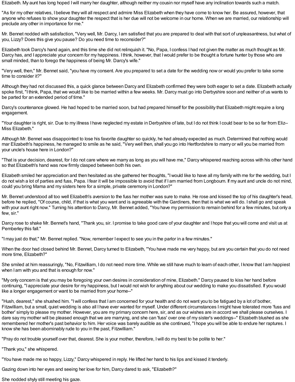Elizabeth. My aunt has long hoped Iwill marry her daughter, although neither my cousin nor myself have any inclination towards such a match.

"As for my other relatives, I believe they will all respect and admire Miss Elizabeth when they have come to know her. Be assured, however, that anyone who refuses to show your daughter the respect that is her due will not be welcome in our home. When we are married, our relationship will preclude any other in importance for me."

Mr. Bennet nodded with satisfaction, "Very well, Mr. Darcy, I am satisfied that you are prepared to deal with that sort of unpleasantness, but what of you, Lizzy? Does this give you pause? Do you need time to reconsider?"

Elizabeth took Darcy's hand again, and this time she did not relinquish it. "No, Papa, I confess I had not given the matter as much thought as Mr. Darcy has, and I appreciate your concern for my happiness. I think, however, that Iwould prefer to be thought a fortune hunter by those who are small minded, than to forego the happiness of being Mr. Darcy's wife."

"Very well, then," Mr. Bennet said, "you have my consent. Are you prepared to set a date for the wedding now or would you prefer to take some time to consider it?"

Although they had not discussed this, a quick glance between Darcy and Elizabeth confirmed they were both eager to set a date. Elizabeth actually spoke first, "I think, Papa, that we would like to be married within a few weeks. Mr. Darcy must go into Derbyshire soon and neither of us wants to be parted for an extended period of time."

Darcy's countenance glowed. He had hoped to be married soon, but had prepared himself for the possibility that Elizabeth might require a long engagement.

"Your daughter is right, sir. Due to my illness I have neglected my estate in Derbyshire of late, but I do not think I could bear to be so far from Eliz-- Miss Elizabeth."

Although Mr. Bennet was disappointed to lose his favorite daughter so quickly, he had already expected as much. Determined that nothing would mar Elizabeth's happiness, he managed to smile as he said, "Very well then, shall you go into Hertfordshire to marry or will you be married from your uncle's house here in London?"

"That is your decision, dearest, for I do not care where we marry as long as you will have me," Darcy whispered reaching across with his other hand so that Elizabeth's hand was now firmly clasped between both his own.

Elizabeth smiled her appreciation and then hesitated as she gathered her thoughts, "Iwould like to have all my family with me for the wedding, but I do not wish a lot of parties and fuss, Papa. I fear it will be impossible to avoid that if I am married from Longbourn. If my aunt and uncle do not mind, could you bring Mama and my sisters here for a simple, private ceremony in London?"

Mr. Bennet understood all too well Elizabeth's aversion to the fuss her mother was sure to make. He rose and kissed the top of his daughter's head, before he replied, "Of course, child, if that is what you want and is agreeable with the Gardiners, then that is what we will do. I shall go and speak with your aunt right now." Turning his attention to Darcy, Mr. Bennet added, "You have my permission to remain behind for a few minutes, but only a few, sir."

Darcy rose to shake Mr. Bennet's hand, "Thank you, sir. I promise to take good care of your daughter and I hope that you will come and visit us at Pemberley this fall."

"Imay just do that," Mr. Bennet replied. "Now, remember I expect to see you in the parlor in a few minutes."

When the door had closed behind Mr. Bennet, Darcy turned to Elizabeth, "You have made me very happy, but are you certain that you do not need more time, Elizabeth?"

She smiled at him reassuringly, "No, Fitzwilliam, I do not need more time. While we still have much to learn of each other, I know that I am happiest when I am with you and that is enough for now."

"My only concern is that you may be foregoing your own desires in consideration of mine, Elizabeth." Darcy paused to kiss her hand before continuing, "I appreciate your desire for my happiness, but Iwould not wish for anything about our wedding to make you dissatisfied. If you would like a longer engagement or want to be married from your home--"

"Hush, dearest," she shushed him. "Iwill confess that I am concerned for your health and do not want you to be fatigued by a lot of bother, Fitzwilliam, but a small, quiet wedding is also all I have ever wanted for myself. Under different circumstances Imight have tolerated more 'fuss and bother' simply to please my mother. However, you are my primary concern here, sir, and as our wishes are in accord we shall please ourselves. I dare say my mother will be pleased enough that we are marrying, and she can 'fuss' over one of my sister's weddings--" Elizabeth blushed as she remembered her mother's past behavior to him. Her voice was barely audible as she continued, "I hope you will be able to endure her raptures. I know she has been abominably rude to you in the past, Fitzwilliam."

"Pray do not trouble yourself over that, dearest. She is your mother, therefore, Iwill do my best to be polite to her."

"Thank you," she whispered.

"You have made me so happy, Lizzy," Darcy whispered in reply. He lifted her hand to his lips and kissed it tenderly.

Gazing down into her eyes and seeing her love for him, Darcy dared to ask, "Elizabeth?"

She nodded shyly still meeting his gaze.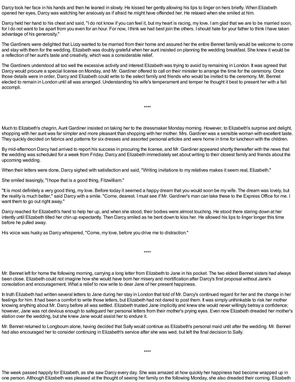Darcy took her face in his hands and then he leaned in slowly. He kissed her gently allowing his lips to linger on hers briefly. When Elizabeth opened her eyes, Darcy was watching her anxiously as if afraid he might have offended her. He relaxed when she smiled at him.

Darcy held her hand to his chest and said, "I do not know if you can feel it, but my heart is racing, my love. I am glad that we are to be married soon, for I do not want to be apart from you even for an hour. For now, I think we had best join the others. I should hate for your father to think I have taken advantage of his generosity."

The Gardiners were delighted that Lizzy wanted to be married from their home and assured her the entire Bennet family would be welcome to come and stay with them for the wedding. Elizabeth was doubly grateful when her aunt insisted on planning the wedding breakfast. She knew it would be a reflection of her aunt's taste and creativity, which was a considerable relief.

The Gardiners understood all too well the excessive activity and interest Elizabeth was trying to avoid by remaining in London. It was agreed that Darcy would procure a special license on Monday, and Mr. Gardiner offered to call on their minister to arrange the time for the ceremony. Once those details were in order, Darcy and Elizabeth could write to the select family and friends who would be invited to the ceremony. Mr. Bennet elected to remain in London until all was arranged. Understanding his wife's temperament and temper he thought it best to present her with a fait accompli.

Much to Elizabeth's chagrin, Aunt Gardiner insisted on taking her to the dressmaker Monday morning. However, to Elizabeth's surprise and delight, shopping with her aunt was far simpler and more pleasant than shopping with her mother. Mrs. Gardiner was a sensible woman with excellent taste. They quickly decided on fabrics and patterns for six dresses and assorted personal articles and were home in time for luncheon with the children.

\*\*\*\*

By mid-afternoon Darcy had arrived to report his success in procuring the license, and Mr. Gardiner appeared shortly thereafter with the news that the wedding was scheduled for a week from Friday. Darcy and Elizabeth immediately set about writing to their closest family and friends about the upcoming wedding.

When their letters were done, Darcy sighed with satisfaction and said, "Writing invitations to my relatives makes it seem real, Elizabeth."

She smiled teasingly, "I hope that is a good thing, Fitzwilliam."

"It is most definitely a very good thing, my love. Before today it seemed a happy dream that you would soon be my wife. The dream was lovely, but the reality is much better," said Darcy with a smile. "Come, dearest. Imust see if Mr. Gardiner's man can take these to the Express Office for me. I want them to go out right away."

Darcy reached for Elizabeth's hand to help her up, and when she stood, their bodies were almost touching. He stood there staring down at her intently until Elizabeth tilted her chin up expectantly. Then Darcy smiled as he bent down to kiss her. He allowed his lips to linger longer this time before he pulled away.

His voice was husky as Darcy whispered, "Come, my love, before you drive me to distraction."

Mr. Bennet left for home the following morning, carrying a long letter from Elizabeth to Jane in his pocket. The two eldest Bennet sisters had always been close. Elizabeth could not imagine how she would have born her misery and mortification after Darcy's first proposal without Jane's consolation and encouragement. What a relief to now write to dear Jane of her present happiness.

\*\*\*\*

In truth Elizabeth had written several letters to Jane during her stay in London that told of Mr. Darcy's continued regard for her and the change in her feelings for him. It had been a comfort to write those letters, but Elizabeth had not dared to post them. It was simply unthinkable to risk her mother knowing anything about Mr. Darcy before all was settled. Elizabeth trusted Jane implicitly and knew she would never willingly betray a confidence; however, Jane was not devious enough to safeguard her personal letters from their mother's prying eyes. Even now Elizabeth dreaded her mother's elation over the wedding, but she knew Jane would assist her to endure it.

Mr. Bennet returned to Longbourn alone, having decided that Sally would continue as Elizabeth's personal maid until after the wedding. Mr. Bennet had also encouraged her to consider continuing in Elizabeth's service after she was wed, but left the final decision to Sally.

\*\*\*\*

The week passed happily for Elizabeth, as she saw Darcy every day. She was amazed at how quickly her happiness had become wrapped up in one person. Although Elizabeth was pleased at the thought of seeing her family on the following Monday, she also dreaded their coming. Elizabeth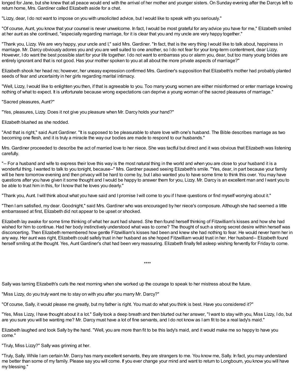longed for Jane, but she knew that all peace would end with the arrival of her mother and younger sisters. On Sunday evening after the Darcys left to return home, Mrs. Gardiner called Elizabeth aside for a chat.

"Lizzy, dear, I do not want to impose on you with unsolicited advice, but Iwould like to speak with you seriously."

"Of course, Aunt, you know that your counsel is never unwelcome. In fact, Iwould be most grateful for any advice you have for me," Elizabeth smiled at her aunt as she continued, "especially regarding marriage, for it is clear that you and my uncle are very happy together."

"Thank you, Lizzy. We are very happy, your uncle and I," said Mrs. Gardiner. "In fact, that is the very thing I would like to talk about, happiness in marriage. Mr. Darcy obviously adores you and you are well suited to one another, so I do not fear for your long-term contentment, dear Lizzy. However, I do want the best possible start for your life together. I do not want to embarrass you or alarm you, dear, but too many young brides are entirely ignorant and that is not good. Has your mother spoken to you at all about the more private aspects of marriage?"

Elizabeth shook her head no; however, her uneasy expression confirmed Mrs. Gardiner's supposition that Elizabeth's mother had probably planted seeds of fear and uncertainty in her girls regarding marital intimacy.

"Well, Lizzy, Iwould like to enlighten you then, if that is agreeable to you. Too many young women are either misinformed or enter marriage knowing nothing of what to expect. It is unfortunate because wrong expectations can deprive a young woman of the sacred pleasures of marriage."

"Sacred pleasures, Aunt?"

"Yes, pleasures, Lizzy. Does it not give you pleasure when Mr. Darcy holds your hand?"

Elizabeth blushed as she nodded.

"And that is right," said Aunt Gardiner. "It is supposed to be pleasurable to share love with one's husband. The Bible describes marriage as two becoming one flesh, and it is truly a miracle the way our bodies are made to respond to our husbands."

Mrs. Gardiner proceeded to describe the act of married love to her niece. She was tactful but direct and it was obvious that Elizabeth was listening carefully.

"-- For a husband and wife to express their love this way is the most natural thing in the world and when you are close to your husband it is a wonderful thing. I wanted to talk to you tonight, because--" Mrs. Gardner paused seeing Elizabeth's smile. "Yes, dear, in part because your family will be here tomorrow evening and then privacy will be hard to come by, but I also wanted you to have some time to think this over. You may have questions after you have given it some thought and Iwould be happy to answer them for you, Lizzy. Mr. Darcy is an excellent man and Iwant you to be able to trust him in this, for I know that he loves you dearly."

"Thank you, Aunt. Iwill think about what you have said and I promise Iwill come to you if I have questions or find myself worrying about it."

"Then I am satisfied, my dear. Goodnight," said Mrs. Gardiner who was encouraged by her niece's composure. Although she had seemed a little embarrassed at first, Elizabeth did not appear to be upset or shocked.

Elizabeth lay awake for some time thinking of what her aunt had shared. She then found herself thinking of Fitzwilliam's kisses and how she had wished for him to continue. Had her body instinctively understood what was to come? The thought of such a strong secret desire within herself was disconcerting. Then Elizabeth remembered how gentle Fitzwilliam's kisses had been and knew she had nothing to fear. He would never harm her in any way. Her aunt was right, Elizabeth could safely trust in her husband as she hoped Fitzwilliam would trust in her. Her husband-- Elizabeth found herself smiling at the thought. Yes, Aunt Gardiner's chat had been very reassuring. Elizabeth finally fell asleep wishing fervently for Friday to come.

\*\*\*\*

Sally was taming Elizabeth's curls the next morning when she worked up the courage to speak to her mistress about the future.

"Miss Lizzy, do you truly want me to stay on with you after you marry Mr. Darcy?"

"Of course, Sally, it would please me greatly, but my father is right. You must do what you think is best. Have you considered it?"

"Yes, Miss Lizzy, I have thought about it a lot." Sally took a deep breath and then blurted out her answer, "Iwant to stay with you, Miss Lizzy, I do, but are you sure you will be wanting me? Mr. Darcy must have a lot of fine servants, and I do not know as I am fit to be a real lady's maid."

Elizabeth laughed and took Sally by the hand. "Well, you are more than fit to be this lady's maid, and it would make me so happy to have you come."

"Truly, Miss Lizzy?" Sally was grinning at her.

"Truly, Sally. While I am certain Mr. Darcy has many excellent servants, they are strangers to me. You know me, Sally. In fact, you may understand me better than some of my family. Please say you will come. If you ever change your mind and want to return to Longbourn, you know you will have my blessing."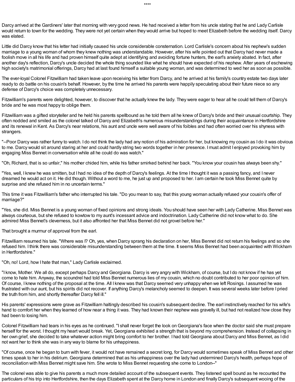Darcy arrived at the Gardiners' later that morning with very good news. He had received a letter from his uncle stating that he and Lady Carlisle would return to town for the wedding. They were not yet certain when they would arrive but hoped to meet Elizabeth before the wedding itself. Darcy was elated.

Little did Darcy know that his letter had initially caused his uncle considerable consternation. Lord Carlisle's concern about his nephew's sudden marriage to a young woman of whom they knew nothing was understandable. However, after his wife pointed out that Darcy had never made a foolish move in all his life and had proven himself quite adept at identifying and avoiding fortune hunters, the earl's anxiety abated. In fact, after another day's reflection, Darcy's uncle decided the whole thing sounded like what he should have expected of his nephew. After years of eschewing high society's matrimonial offerings, Darcy had at last found himself a suitable young woman, and was determined to wed her as soon as possible.

The ever-loyal Colonel Fitzwilliam had taken leave upon receiving his letter from Darcy, and he arrived at his family's country estate two days later ready to do battle on his cousin's behalf. However, by the time he arrived his parents were happily speculating about their future niece so any defense of Darcy's choice was completely unnecessary.

Fitzwilliam's parents were delighted, however, to discover that he actually knew the lady. They were eager to hear all he could tell them of Darcy's bride and he was most happy to oblige them.

Fitzwilliam was a gifted storyteller and he held his parents spellbound as he told them all he knew of Darcy's bride and their unusual courtship. They often nodded and smiled as the colonel talked of Darcy and Elizabeth's numerous misunderstandings during their acquaintance in Hertfordshire and its renewal in Kent. As Darcy's near relations, his aunt and uncle were well aware of his foibles and had often worried over his shyness with strangers.

"--Poor Darcy was rather funny to watch. I do not think the lady had any notion of his admiration for her, but knowing my cousin as I do it was obvious to me. Darcy would sit around staring at her and could hardly string two words together in her presence. Imust admit I enjoyed provoking him by engaging Miss Bennet in conversation while all he could do was watch."

"Oh, Richard, that is so unfair," his mother chided him, while his father smirked behind her back. "You know your cousin has always been shy."

"Yes, well, I knew he was smitten, but I had no idea of the depth of Darcy's feelings. At the time I thought it was a passing fancy, and I never dreamed he would act on it. He did though. Without a word to me, he just up and proposed to her. I am certain he took Miss Bennet quite by surprise and she refused him in no uncertain terms."

This time it was Fitzwilliam's father who interrupted his tale. "Do you mean to say, that this young woman actually refused your cousin's offer of marriage?"

"Yes, she did. Miss Bennet is a young woman of fixed opinions and strong ideals. You should have seen her with Lady Catherine. Miss Bennet was always courteous, but she refused to kowtow to my aunt's incessant advice and indoctrination. Lady Catherine did not know what to do. She admired Miss Bennet's cleverness, but it also affronted her that Miss Bennet did not grovel before her."

That brought a murmur of approval from the earl.

Fitzwilliam resumed his tale. "Where was I? Oh, yes, when Darcy sprang his declaration on her, Miss Bennet did not return his feelings and so she refused him. I think there was considerable misunderstanding between them at the time. It seems Miss Bennet had been acquainted with Wickham in Hertfordshire."

"Oh, no! Lord, how I hate that man," Lady Carlisle exclaimed.

"I know, Mother. We all do, except perhaps Darcy and Georgiana. Darcy is very angry with Wickham, of course, but I do not know if he has yet come to hate him. Anyway, the scoundrel had told Miss Bennet numerous lies of my cousin, which no doubt contributed to her poor opinion of him. Of course, I knew nothing of the proposal at the time. All I knew was that Darcy seemed very unhappy when we left Rosings. I assumed he was frustrated with our aunt, but his spirits did not recover. If anything Darcy's melancholy seemed to deepen. It was several weeks later before I pried the truth from him, and shortly thereafter Darcy fell ill."

His parents' expressions were grave as Fitzwilliam haltingly described his cousin's subsequent decline. The earl instinctively reached for his wife's hand to comfort her when they learned of how near a thing it was. They had known their nephew was gravelly ill, but had not realized how close they had been to losing him.

Colonel Fitzwilliam had tears in his eyes as he continued. "I shall never forget the look onGeorgiana's face when the doctor said she must prepare herself for the worst. I thought my heart would break. Yet, Georgiana exhibited a strength that is beyond my comprehension. Instead of collapsing in her own grief, she decided to take whatever action might bring comfort to her brother. I had told Georgiana about Darcy and Miss Bennet, as I did not want her to think she was in any way to blame for his unhappiness.

"Of course, once he began to burn with fever, it would not have remained a secret long, for Darcy would sometimes speak of Miss Bennet and other times speak to her in his delirium. Georgiana determined that as his unhappiness over the lady had undermined Darcy's health, perhaps hope of reconciliation with Miss Bennet might save him. She wrote to Miss Bennet requesting she come to London--"

The colonel was able to give his parents a much more detailed account of the subsequent events. They listened spell bound as he recounted the particulars of his trip into Hertfordshire, then the days Elizabeth spent at the Darcy home in London and finally Darcy's subsequent wooing of the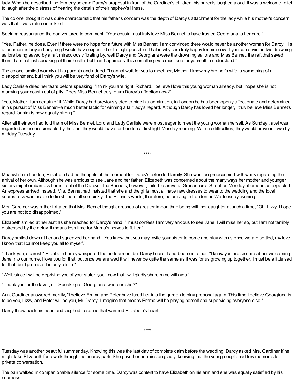lady. When he described the formerly solemn Darcy's proposal in front of the Gardiner's children, his parents laughed aloud. It was a welcome relief to laugh after the distress of hearing the details of their nephew's illness.

The colonel thought it was quite characteristic that his father's concern was the depth of Darcy's attachment for the lady while his mother's concern was that it was returned in kind.

Seeking reassurance the earl ventured to comment, "Your cousin must truly love Miss Bennet to have trusted Georgiana to her care."

"Yes, Father, he does. Even if there were no hope for a future with Miss Bennet, I am convinced there would never be another woman for Darcy. His attachment is beyond anything Iwould have expected or thought possible. That is why I am truly happy for him now. If you can envision two drowning sailors being saved by a raft miraculously floating by, well Darcy and Georgiana were the drowning sailors and Miss Bennet, the raft that saved them. I am not just speaking of their health, but their happiness. It is something you must see for yourself to understand."

The colonel smiled warmly at his parents and added, "I cannot wait for you to meet her, Mother. I know my brother's wife is something of a disappointment, but I think you will be very fond of Darcy's wife."

Lady Carlisle dried her tears before speaking, "I think you are right, Richard. I believe I love this young woman already, but I hope she is not marrying your cousin out of pity. Does Miss Bennet truly return Darcy's affection now?"

"Yes, Mother, I am certain of it. While Darcy had previously tried to hide his admiration, in London he has been openly affectionate and determined in his pursuit of Miss Bennet--a much better tactic for winning a fair lady's regard. Although Darcy has loved her longer, I truly believe Miss Bennet's regard for him is now equally strong."

After all their son had told them of Miss Bennet, Lord and Lady Carlisle were most eager to meet the young woman herself. As Sunday travel was regarded as unconscionable by the earl, they would leave for London at first light Monday morning. With no difficulties, they would arrive in town by midday Tuesday.

\*\*\*\*

Meanwhile in London, Elizabeth had no thoughts at the moment for Darcy's extended family. She was too preoccupied with worry regarding the arrival of her own. Although she was anxious to see Jane and her father, Elizabeth was concerned about the many ways her mother and younger sisters might embarrass her in front of the Darcys. The Bennets, however, failed to arrive at Gracechurch Street on Monday afternoon as expected. An express arrived instead. Mrs. Bennet had insisted that she and the girls must all have new dresses to wear to the wedding and the local seamstress was unable to finish them all so quickly. The Bennets would, therefore, be arriving in London on Wednesday evening.

Mrs. Gardiner was rather irritated that Mrs. Bennet thought dresses of greater import than being with her daughter at such a time, "Oh, Lizzy, I hope you are not too disappointed."

Elizabeth smiled at her aunt as she reached for Darcy's hand. "Imust confess I am very anxious to see Jane. Iwill miss her so, but I am not terribly distressed by the delay. It means less time for Mama's nerves to flutter."

Darcy smiled down at her and squeezed her hand, "You know that you may invite your sister to come and stay with us once we are settled, my love. I know that I cannot keep you all to myself."

"Thank you, dearest," Elizabeth barely whispered the endearment but Darcy heard it and beamed at her. "I know you are sincere about welcoming Jane into our home. I love you for that, but once we are wed it will never be quite the same as it was for us growing up together. I must be a little sad for that, but I promise it is only a little."

"Well, since Iwill be depriving you of your sister, you know that Iwill gladly share mine with you."

"I thank you for the favor, sir. Speaking of Georgiana, where is she?"

Aunt Gardiner answered merrily, "I believe Emma and Peter have lured her into the garden to play proposal again. This time I believe Georgiana is to be you, Lizzy, and Peter will be you, Mr. Darcy. I imagine that means Emma will be playing herself and supervising everyone else."

Darcy threw back his head and laughed, a sound that warmed Elizabeth's heart.

Tuesday was another beautiful summer day. Knowing this was the last day of complete calm before the wedding, Darcy asked Mrs. Gardiner if he might take Elizabeth for a walk through the nearby park. She gave her permission gladly, knowing that the young couple had few moments for private conversation.

\*\*\*\*

The pair walked in companionable silence for some time. Darcy was content to have Elizabeth on his arm and she was equally satisfied by his nearness.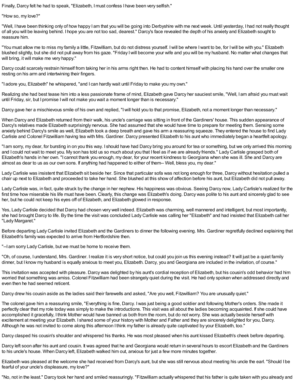Finally, Darcy felt he had to speak, "Elizabeth, Imust confess I have been very selfish."

"How so, my love?"

"Well, I have been thinking only of how happy I am that you will be going into Derbyshire with me next week. Until yesterday, I had not really thought of all you will be leaving behind. I hope you are not too sad, dearest." Darcy's face revealed the depth of his anxiety and Elizabeth sought to reassure him.

"You must allow me to miss my family a little, Fitzwilliam, but do not distress yourself. Iwill be where Iwant to be, for Iwill be with you." Elizabeth blushed slightly, but she did not pull away from his gaze. "Friday Iwill become your wife and you will be my husband. No matter what changes that will bring, it will make me very happy."

Darcy could scarcely restrain himself from taking her in his arms right then. He had to content himself with placing his hand over the smaller one resting on his arm and intertwining their fingers.

"I adore you, Elizabeth" he whispered, "and I can hardly wait until Friday to make you my own."

Realizing she had best tease him into a less passionate frame of mind, Elizabeth gave Darcy her sauciest smile, "Well, I am afraid you must wait until Friday, sir, but I promise Iwill not make you wait a moment longer than is necessary."

Darcy gave her a mischievous smile of his own and replied, "Iwill hold you to that promise, Elizabeth, not a moment longer than necessary."

When Darcy and Elizabeth returned from their walk, his uncle's carriage was sitting in front of the Gardiners' house. This sudden appearance of Darcy's relatives made Elizabeth surprisingly nervous. She had assumed that she would have time to prepare for meeting them. Sensing some anxiety behind Darcy's smile as well, Elizabeth took a deep breath and gave his arm a reassuring squeeze. They entered the house to find Lady Carlisle and Colonel Fitzwilliam having tea with Mrs. Gardiner. Darcy presented Elizabeth to his aunt who immediately began a heartfelt apology.

"I am sorry, my dear, for bursting in on you this way. I should have had Darcy bring you around for tea or something, but we only arrived this morning and I could not wait to meet you. My son has told us so much about you that I feel as if we are already friends." Lady Carlisle grasped both of Elizabeth's hands in her own. "I cannot thank you enough, my dear, for your recent kindness to Georgiana when she was ill. She and Darcy are almost as dear to us as our own sons. If anything had happened to either of them-- Well, bless you, my dear."

Lady Carlisle was insistent that Elizabeth sit beside her. Since that particular sofa was not long enough for three, Darcy without hesitation pulled a chair up next to Elizabeth and proceeded to take her hand. She blushed at this show of affection before his aunt, but Elizabeth did not pull away.

Lady Carlisle was, in fact, quite struck by the change in her nephew. His happiness was obvious. Seeing Darcy now, Lady Carlisle's realized for the first time how miserable his life must have been. Clearly, this change was Elizabeth's doing. Darcy was polite to his aunt and sincerely glad to see her, but he could not keep his eyes off of Elizabeth, and Elizabeth glowed in response.

Yes, Lady Carlisle decided that Darcy had chosen very well indeed. Elizabeth was charming, well mannered and intelligent, but most importantly, she had brought Darcy to life. By the time the visit was concluded Lady Carlisle was calling her "Elizabeth" and had insisted that Elizabeth call her "Lady Margaret."

Before departing Lady Carlisle invited Elizabeth and the Gardiners to dinner the following evening. Mrs. Gardiner regretfully declined explaining that Elizabeth's family was expected to arrive from Hertfordshire then.

"--I am sorry Lady Carlisle, but we must be home to receive them.

"Oh, of course, I understand, Mrs. Gardiner. Irealize it is very short notice, but could you join us this evening instead? It will just be a quiet family dinner, but I know my husband is equally anxious to meet you, Elizabeth. Darcy, you and Georgiana are included in the invitation, of course."

This invitation was accepted with pleasure. Darcy was delighted by his aunt's cordial reception of Elizabeth, but his cousin's odd behavior had him worried that something was amiss. Colonel Fitzwilliam had been strangely quiet during the visit. He had only spoken when addressed directly and even then he had seemed reticent.

Darcy drew his cousin aside as the ladies said their farewells and asked, "Are you well, Fitzwilliam? You are unusually quiet."

The colonel gave him a reassuring smile, "Everything is fine, Darcy. Iwas just being a good soldier and following Mother's orders. She made it perfectly clear that my role today was simply to make the introductions. This visit was all about the ladies becoming acquainted. If she could have accomplished it gracefully, I think Mother would have banned us both from the room, but do not worry. She was actually beside herself with excitement at meeting your Elizabeth. I shared some of your history with Mother and Father and they are sincerely delighted for you, Darcy. Although he was not invited to come along this afternoon I think my father is already quite captivated by your Elizabeth, too."

Darcy clasped his cousin's shoulder and whispered his thanks. He was most pleased when his aunt kissed Elizabeth's cheek before departing.

Darcy left soon after his aunt and cousin. It was agreed that he and Georgiana would return in several hours to escort Elizabeth and the Gardiners to his uncle's house. When Darcy left, Elizabeth walked him out, anxious for just a few more minutes together.

Elizabeth was pleased at the welcome she had received from Darcy's aunt, but she was still nervous about meeting his uncle the earl. "Should I be fearful of your uncle's displeasure, my love?"

"No, not in the least." Darcy took her hand and smiled reassuringly. "Fitzwilliam actually whispered that his father is quite taken with you already and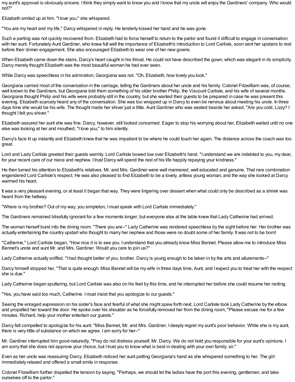my aunt's approval is obviously sincere. I think they simply want to know you and I know that my uncle will enjoy the Gardiners' company. Who would not?"

Elizabeth smiled up at him. "I love you," she whispered.

"You are my heart and my life," Darcy whispered in reply. He tenderly kissed her hand and he was gone.

Such a parting was not quickly recovered from. Elizabeth had to force herself to return to the parlor and found it difficult to engage in conversation with her aunt. Fortunately Aunt Gardiner, who knew full well the importance of Elizabeth's introduction to Lord Carlisle, soon sent her upstairs to rest before their dinner engagement. She also encouraged Elizabeth to wear one of her new gowns.

When Elizabeth came down the stairs, Darcy's heart caught in his throat. He could not have described the gown, which was elegant in its simplicity. Darcy merely thought Elizabeth was the most beautiful woman he had ever seen.

While Darcy was speechless in his admiration, Georgiana was not. "Oh, Elizabeth, how lovely you look."

Georgiana carried most of the conversation in the carriage, telling the Gardiners about her uncle and his family. Colonel Fitzwilliam was, of course, well known to the Gardiners, but Georgiana told them something of his older brother Philip, the Viscount Carlisle, and his wife of several months. Georgiana thought Philip and his wife were probably still in the country, but she wanted their guests to be prepared in case he was present this evening. Elizabeth scarcely heard any of the conversation. She was too wrapped up in Darcy to even be nervous about meeting his uncle. In three days time she would be his wife. The thought made her shiver just a little. Aunt Gardiner who was seated beside her asked, "Are you cold, Lizzy? I thought I felt you shiver."

Elizabeth assured her aunt she was fine. Darcy, however, still looked concerned. Eager to stop his worrying about her, Elizabeth waited until no one else was looking at her and mouthed, "I love you," to him silently.

Darcy's face lit up instantly and Elizabeth knew that he was impatient to be where he could touch her again. The distance across the coach was too great.

Lord and Lady Carlisle greeted their guests warmly. Lord Carlisle bowed low over Elizabeth's hand. "I understand we are indebted to you, my dear, for your recent care of our niece and nephew. I trust Darcy will spend the rest of his life happily repaying your kindness."

He then turned his attention to Elizabeth's relatives. Mr. and Mrs. Gardiner were well mannered, well educated and genuine. That rare combination engendered Lord Carlisle's respect. He was also pleased to find Elizabeth to be a lovely, artless young woman, and the way she looked at Darcy warmed his heart.

It was a very pleasant evening, or at least it began that way. They were lingering over dessert when what could only be described as a shriek was heard from the hallway.

"Where is my brother? Out of my way, you simpleton, Imust speak with Lord Carlisle immediately."

The Gardiners remained blissfully ignorant for a few moments longer, but everyone else at the table knew that Lady Catherine had arrived.

The woman herself burst into the dining room. "There you are--" Lady Catherine was rendered speechless by the sight before her. Her brother was actually entertaining the country upstart who thought to marry her nephew and those were no doubt some of her family. It was not to be born!

"Catherine," Lord Carlisle began, "How nice it is to see you. I understand that you already know Miss Bennet. Please allow me to introduce Miss Bennet's uncle and aunt Mr. and Mrs. Gardiner. Would you care to join us?"

Lady Catherine actually sniffed. "I had thought better of you, brother. Darcy is young enough to be taken in by the arts and allurements--"

Darcy himself stopped her, "That is quite enough. Miss Bennet will be my wife in three days time, Aunt, and I expect you to treat her with the respect she is due."

Lady Catherine began sputtering, but Lord Carlisle was also on his feet by this time, and he interrupted her before she could resume her ranting.

"Yes, you have said too much, Catherine. Imust insist that you apologize to our guests."

Seeing the enraged expression on his sister's face and fearful of what she might spew forth next, Lord Carlisle took Lady Catherine by the elbow and propelled her toward the door. He spoke over his shoulder as he forcefully removed her from the dining room, "Please excuse me for a few minutes. Richard, help your mother entertain our guests."

Darcy felt compelled to apologize for his aunt. "Miss Bennet, Mr. and Mrs. Gardiner, I deeply regret my aunt's poor behavior. While she is my aunt, there is very little of substance on which we agree. I am sorry for her--"

Mr. Gardiner interrupted him good-naturedly, "Pray do not distress yourself, Mr. Darcy. We do not hold you responsible for your aunt's opinions. I am sorry that she does not approve your choice, but I trust you to know what is best in dealing with your own family, sir."

Even as her uncle was reassuring Darcy, Elizabeth noticed her aunt patting Georgiana's hand as she whispered something to her. The girl immediately relaxed and offered a small smile in response.

Colonel Fitzwilliam further dispelled the tension by saying, "Perhaps, we should let the ladies have the port this evening, gentlemen, and take ourselves off to the parlor."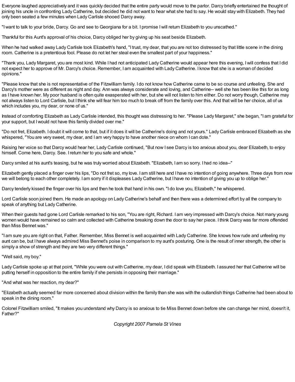Everyone laughed appreciatively and it was quickly decided that the entire party would move to the parlor. Darcy briefly entertained the thought of joining his uncle in confronting Lady Catherine, but decided he did not want to hear what she had to say. He would stay with Elizabeth. They had only been seated a few minutes when Lady Carlisle shooed Darcy away.

"Iwant to talk to your bride, Darcy. Go and see to Georgiana for a bit. I promise Iwill return Elizabeth to you unscathed."

Thankful for this Aunt's approval of his choice, Darcy obliged her by giving up his seat beside Elizabeth.

When he had walked away Lady Carlisle took Elizabeth's hand, "I trust, my dear, that you are not too distressed by that little scene in the dining room. Catherine is a pretentious fool. Please do not let her steal even the smallest part of your happiness."

"Thank you, Lady Margaret, you are most kind. While I had not anticipated Lady Catherine would appear here this evening, Iwill confess that I did not expect her to approve of Mr. Darcy's choice. Remember, I am acquainted with Lady Catherine. I know that she is a woman of decided opinions."

"Please know that she is not representative of the Fitzwilliam family. I do not know how Catherine came to be so course and unfeeling. She and Darcy's mother were as different as night and day. Ann was always considerate and loving, and Catherine-- well she has been like this for as long as I have known her. My poor husband is often quite exasperated with her, but she will not listen to him either. Do not worry though, Catherine may not always listen to Lord Carlisle, but I think she will fear him too much to break off from the family over this. And that will be her choice, all of us which includes you, my dear, or none of us."

Instead of comforting Elizabeth as Lady Carlisle intended, this thought was distressing to her. "Please Lady Margaret," she began, "I am grateful for your support, but Iwould not have this family divided over me."

"Do not fret, Elizabeth. I doubt it will come to that, but if it does it will be Catherine's doing and not yours." Lady Carlisle embraced Elizabeth as she whispered, "You are very sweet, my dear, and I am very happy to have another niece on whom I can dote."

Raising her voice so that Darcy would hear her, Lady Carlisle continued, "But now I see Darcy is too anxious about you, dear Elizabeth, to enjoy himself. Come here, Darcy. See. Ireturn her to you safe and whole."

Darcy smiled at his aunt's teasing, but he was truly worried about Elizabeth. "Elizabeth, I am so sorry. I had no idea--"

Elizabeth gently placed a finger over his lips, "Do not fret so, my love. I am still here and I have no intention of going anywhere. Three days from now we will belong to each other completely. I am sorry if it displeases Lady Catherine, but I have no intention of giving you up to oblige her."

Darcy tenderly kissed the finger over his lips and then he took that hand in his own. "I do love you, Elizabeth," he whispered.

Lord Carlisle soon joined them. He made an apology on Lady Catherine's behalf and then there was a determined effort by all the company to speak of anything but Lady Catherine.

When their guests had gone Lord Carlisle remarked to his son, "You are right, Richard. I am very impressed with Darcy's choice. Not many young women would have remained so calm and collected with Catherine breaking down the door to say her piece. I think Darcy was far more offended than Miss Bennet was."

"I am sure you are right on that, Father. Remember, Miss Bennet is well acquainted with Lady Catherine. She knows how rude and unfeeling my aunt can be, but I have always admired Miss Bennet's poise in comparison to my aunt's posturing. One is the result of inner strength, the other is simply a show of strength and they are two very different things."

"Well said, my boy."

Lady Carlisle spoke up at that point, "While you were out with Catherine, my dear, I did speak with Elizabeth. I assured her that Catherine will be putting herself in opposition to the entire family if she persists in opposing their marriage."

"And what was her reaction, my dear?"

"Elizabeth actually seemed far more concerned about division within the family than she was with the outlandish things Catherine had been about to speak in the dining room."

Colonel Fitzwilliam smiled, "It makes you understand why Darcy is so anxious to tie Miss Bennet down before she can change her mind, doesn't it, Father?"

*Copyright 2007 Pamela St Vines*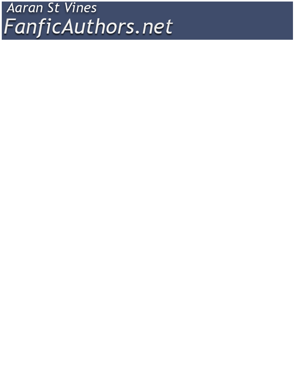# **Aaran St Vines** FanficAuthors.net

- 
- 
- 
- -
	-
	-
	-
- - -
- -
	-
- 
- 
- -
	-
	-
- 
- 
- 
- 
- 
- 
- - -
		-
		-
- -
- 
- 
- - -
		- -
	-
	-
	- -
		-
		-
		-
		-
- 
- 
- 
- 
- 
- 
- -
- -
	- -
- 
- 
- 
- 
- 
- 
- 
- 
- 
- 
- 
- 
- 
- 
- 
- 
- 
- 
- 
- 
- 
- 
- 
- 
- 
- 
-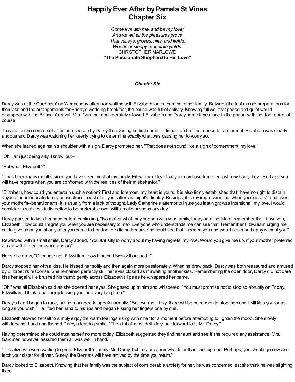## **HappilyEver After byPamela St Vines Chapter Six**

*Come live with me, and be my love; And we will all the pleasures prove That valleys, groves, hills, and fields, Woods or steepy mountain yields.* CHRISTOPHER MARLOWE **"The Passionate Shepherd to His Love"**

### *Chapter Six*

Darcy was at the Gardiners' on Wednesday afternoon waiting with Elizabeth for the coming of her family. Between the last minute preparations for their visit and the arrangements for Friday's wedding breakfast, the house was full of activity. Knowing full well that peace and quiet would disappear with the Bennets' arrival, Mrs. Gardiner considerately allowed Elizabeth and Darcy some time alone in the parlor--with the door open, of course.

They sat on the corner sofa--the one chosen by Darcy the evening he first came to dinner--and neither spoke for a moment. Elizabeth was clearly anxious and Darcy was watching her keenly trying to determine exactly what was causing her to worry so.

When she leaned against his shoulder with a sigh, Darcy prompted her, "That does not sound like a sigh of contentment, my love."

"Oh, I am just being silly, I know, but--"

"But what, Elizabeth?"

"It has been many months since you have seen most of my family, Fitzwilliam. I fear that you may have forgotten just how badly they-- Perhaps you will have regrets when you are confronted with the realities of their misbehavior."

"Elizabeth, how could you entertain such a notion? First and foremost, my heart is yours. It is also firmly established that I have no right to distain anyone for unfortunate family connections--least of all you--after last night's display. Besides, it is my impression that when your sisters'--and even your mother's--behavior errs, it is usually from a lack of thought. Lady Catherine's attempt to injure you last night was intentional, my love. Iwould consider thoughtless indiscretion to be preferable over willful maliciousness any day."

Darcy paused to kiss her hand before continuing, "No matter what may happen with your family, today or in the future, remember this--I love you, Elizabeth. How could Iregret you when you are necessary to me? Everyone who understands me can see that. Iremember Fitzwilliam urging me not to give up on you shortly after you came to London. He did so because he could see that I needed you and would never be happy without you."

Rewarded with a small smile, Darcy added, "You *are* silly to worry about my having regrets, my love. Would you give me up, if your mother preferred a man with fifteen thousand a year?"

Her smile grew, "Of course not, Fitzwilliam, now if he had twenty thousand--"

Darcy stopped her with a kiss. He kissed her softly and then again more passionately. When he drew back, Darcy was both reassured and amused by Elizabeth's response. She remained perfectly still, her eyes closed as if awaiting another kiss. Remembering the open door, Darcy did not dare kiss her again. He brushed his thumb gently across Elizabeth's lips as he whispered her name.

"Oh," was all Elizabeth said as she opened her eyes. She gazed up at him and whispered, "You must promise not to stop so abruptly on Friday, Fitzwilliam. I think I shall enjoy kissing you for a very long time."

Darcy's heart began to race, but he managed to speak normally. "Believe me, Lizzy, there will be no reason to stop then and Iwill kiss you for as long as you wish." He lifted her hand to his lips and began kissing her fingers one by one.

Elizabeth allowed herself to simply enjoy the warm feelings rising within her for a moment before attempting to lighten the mood. She slowly withdrew her hand and flashed Darcy a teasing smile. "Then I shall most definitely look forward to it, Mr. Darcy."

Having determined she could trust herself no more today, Elizabeth suggested they find her aunt and see if she required any assistance. Mrs. Gardiner, however, assured them all was well in hand.

"--Irealize you were waiting to greet Elizabeth's family, Mr. Darcy, but they are somewhat later than I anticipated. Perhaps, you should go now and fetch your sister for dinner. Surely, the Bennets will have arrived by the time you return."

Darcy looked to Elizabeth. Knowing that her family was the subject of considerable anxiety for her, he was concerned lest she think he was slighting them.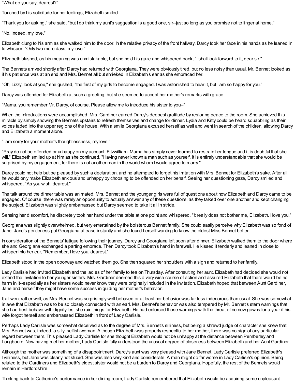"What do you say, dearest?"

Touched by his solicitude for her feelings, Elizabeth smiled.

"Thank you for asking," she said, "but I do think my aunt's suggestion is a good one, sir--just so long as you promise not to linger at home."

"No, indeed, my love."

Elizabeth clung to his arm as she walked him to the door. In the relative privacy of the front hallway, Darcy took her face in his hands as he leaned in to whisper, "Only two more days, my love."

Elizabeth blushed, as his meaning was unmistakable, but she held his gaze and whispered back, "I shall look forward to it, dear sir."

The Bennets arrived shortly after Darcy had returned with Georgiana. They were obviously tired, but no less noisy than usual. Mr. Bennet looked as if his patience was at an end and Mrs. Bennet all but shrieked in Elizabeth's ear as she embraced her.

"Oh, Lizzy, look at you," she gushed, "the first of my girls to become engaged. Iwas astonished to hear it, but I am so happy for you."

Darcy was offended for Elizabeth at such a greeting, but she seemed to accept her mother's remarks with grace.

"Mama, you remember Mr. Darcy, of course. Please allow me to introduce his sister to you--"

When the introductions were accomplished, Mrs. Gardiner earned Darcy's deepest gratitude by restoring peace to the room. She achieved this miracle by simply showing the Bennets upstairs to refresh themselves and change for dinner. Lydia and Kitty could be heard squabbling as their voices faded into the upper regions of the house. With a smile Georgiana excused herself as well and went in search of the children, allowing Darcy and Elizabeth a moment alone.

"I am sorry for your mother's thoughtlessness, my love."

"Pray do not be offended or unhappy on my account, Fitzwilliam. Mama has simply never learned to restrain her tongue and it is doubtful that she will." Elizabeth smiled up at him as she continued, "Having never known a man such as yourself, it is entirely understandable that she would be surprised by my engagement, for there is not another man in the world whom I would agree to marry."

Darcy could not help but be pleased by such a declaration, and he attempted to forget his irritation with Mrs. Bennet for Elizabeth's sake. After all, he would only make Elizabeth anxious and unhappy by choosing to be offended on her behalf. Seeing her questioning gaze, Darcy smiled and whispered, "As you wish, dearest."

The talk around the dinner table was animated. Mrs. Bennet and the younger girls were full of questions about how Elizabeth and Darcy came to be engaged. Of course, there was rarely an opportunity to actually answer any of these questions, as they talked over one another and kept changing the subject. Elizabeth was slightly embarrassed but Darcy seemed to take it all in stride.

Sensing her discomfort, he discretely took her hand under the table at one point and whispered, "It really does not bother me, Elizabeth. I love you."

Georgiana was slightly overwhelmed, but very entertained by the boisterous Bennet family. She could easily perceive why Elizabeth was so fond of Jane. Jane's gentleness put Georgiana at ease instantly and she found herself wanting to know the eldest Miss Bennet better.

In consideration of the Bennets' fatigue following their journey, Darcy and Georgiana left soon after dinner. Elizabeth walked them to the door where she and Georgiana exchanged a parting embrace. Then Darcy took Elizabeth's hand in farewell. He kissed it tenderly and leaned in close to whisper into her ear, "Remember, I love you, dearest."

Elizabeth stood in the open doorway and watched them go. She then squared her shoulders with a sigh and returned to her family.

Lady Carlisle had invited Elizabeth and the ladies of her family to tea on Thursday. After consulting her aunt, Elizabeth had decided she would not extend the invitation to her younger sisters. Mrs. Gardiner deemed this a very wise course of action and assured Elizabeth that there would be no harm in it--especially as her sisters would never know they were originally included in the invitation. Elizabeth hoped that between Aunt Gardiner, Jane and herself they might have some success in guiding her mother's behavior.

It all went rather well, as Mrs. Bennet was surprisingly well behaved or at least her behavior was far less indecorous than usual. She was somewhat in awe that Elizabeth was to be so closely connected with an earl. Mrs. Bennet's behavior was also tempered by Mr. Bennet's stern warnings that she had best behave with dignity lest she ruin things for Elizabeth. He had enforced those warnings with the threat of no new gowns for a year if his wife forgot herself and embarrassed Elizabeth in front of Lady Carlisle.

Perhaps Lady Carlisle was somewhat deceived as to the degree of Mrs. Bennet's silliness, but being a shrewd judge of character she knew that Mrs. Bennet was, indeed, a silly, selfish woman. Although Elizabeth was properly respectful to her mother, there was no sign of any particular regard between them. This pleased Lady Carlisle for she thought Elizabeth would not be unhappy at the distance between Pemberley and Longbourn. Now having met her mother, Lady Carlisle fully understood the unusual degree of closeness between Elizabeth and her Aunt Gardiner.

Although the mother was something of a disappointment, Darcy's aunt was very pleased with Jane Bennet. Lady Carlisle preferred Elizabeth's liveliness, but Jane was clearly not stupid. She was also very kind and considerate. A man might do far worse in Lady Carlisle's opinion. Being related to the Gardiners and Elizabeth's eldest sister would not be a burden to Darcy and Georgiana. Hopefully, the rest of the Bennets would remain in Hertfordshire.

Thinking back to Catherine's performance in her dining room, Lady Carlisle remembered that Elizabeth would be acquiring some unpleasant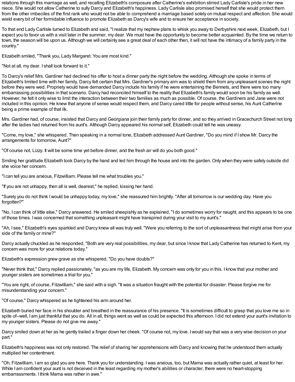relations through this marriage as well, and recalling Elizabeth's composure after Catherine's exhibition stirred Lady Carlisle's pride in her new niece. She would not allow Catherine to sully Darcy and Elizabeth's happiness. Lady Carlisle also promised herself that she would protect them from the other imbeciles of the first rank who would not be able to comprehend a marriage based solely on mutual respect and affection. She would wield every bit of her formidable influence to promote Elizabeth as Darcy's wife and to ensure her acceptance in society.

To that end Lady Carlisle turned to Elizabeth and said, "Irealize that my nephew plans to whisk you away to Derbyshire next week, Elizabeth, but I expect you to favor us with a visit later in the summer, my dear. We must have the opportunity to become better acquainted. By the time we return to town, the season will be upon us. Although we will certainly see a great deal of each other then, it will not have the intimacy of a family party in the country."

Elizabeth smiled, "Thank you, Lady Margaret. You are most kind."

"Not at all, my dear. I shall look forward to it."

To Darcy's relief Mrs. Gardiner had declined his offer to host a dinner party the night before the wedding. Although she spoke in terms of Elizabeth's limited time with her family, Darcy felt certain that Mrs. Gardiner's primary aim was to shield them from any unpleasant scenes the night before they were wed. Propriety would have demanded Darcy include his family if he were entertaining the Bennets, and there were too many embarrassing possibilities in that scenario. Darcy had reconciled himself to the reality that Elizabeth's family would soon be his family as well. However, he felt it only wise to limit the interaction between their two families as much as possible. Of course, the Gardiners and Jane were not included in this opinion. He knew that anyone of sense would respect them, and Darcy cared little for people without sense, his Aunt Catherine being a prime example of that ilk.

Mrs. Gardiner had, of course, insisted that Darcy and Georgiana join their family party for dinner, and so they arrived inGracechurch Street not long after the ladies had returned from his aunt's. Although Darcy appeared his normal self, Elizabeth could tell he was uneasy.

"Come, my love," she whispered. Then speaking in a normal tone, Elizabeth addressed Aunt Gardiner, "Do you mind if I show Mr. Darcy the arrangements for tomorrow, Aunt?"

"Of course not, Lizzy. It will be some time yet before dinner, and the fresh air will do you both good."

Smiling her gratitude Elizabeth took Darcy by the hand and led him through the house and into the garden. Only when they were safely outside did she voice her concern.

"I can tell you are anxious, Fitzwilliam. Please tell me what troubles you."

"If you are not unhappy, then all is well, dearest," he replied, kissing her hand.

"Surely you do not think Iwould be unhappy today, my love," she reassured him brightly. "After all tomorrow is our wedding day. Have you forgotten?"

"No, I can think of little else," Darcy answered. He smiled sheepishly as he explained, "I do sometimes worry for naught, and this appears to be one of those times. Iwas concerned that something unpleasant might have transpired during your visit to my aunt's."

"Ah, I see," Elizabeth's eyes sparkled and Darcy knew all was truly well. "Were you referring to the sort of unpleasantness that might arise from your side of the family or mine?"

Darcy actually chuckled as he responded, "Both are very real possibilities, my dear, but since I know that Lady Catherine has returned to Kent, my concern was more for your relations today."

Elizabeth's expression grew grave as she whispered, "Do you have doubts?"

"Never think that," Darcy replied passionately, "as you are my life, Elizabeth. My concern was only for you in this. I know that your mother and younger sisters are sometimes a trial for you."

"You are right, of course, Fitzwilliam," she said with a sigh. "It was a situation fraught with the potential for disaster. Please forgive me for misunderstanding your concern."

"Of course," Darcy whispered as he tightened his arm around her.

Elizabeth buried her face in his shoulder and breathed in the reassurance of his presence. "It is sometimes difficult to grasp that you love me so in spite of--well, I am just thankful that you do. All in all, things went as well as could be expected this afternoon. I did not extend your aunt's invitation to my younger sisters. Please do not give me away."

Darcy smiled down at her as he gently trailed a finger down her cheek. "Of course not, my love. Iwould say that was a very wise decision on your part."

Elizabeth's happiness was not only restored. The relief of sharing her apprehensions with Darcy and knowing that he understood them actually multiplied her contentment.

"Oh, Fitzwilliam, I am so glad you are here. Thank you for understanding. Iwas anxious, too, but Mama was actually rather quiet, at least for her. While I am confident your aunt is not deceived in the least regarding my mother's abilities or character, there were no heart-stopping embarrassments. I think Mama was rather in awe."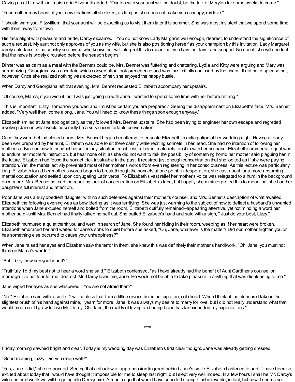Gazing up at him with an impish grin Elizabeth added, "Our tea with your aunt will, no doubt, be the talk of Meryton for some weeks to come."

"Your mother may boast of your new relations all she likes, as long as she does not make you unhappy, my love."

"I should warn you, Fitzwilliam, that your aunt will be expecting us to visit them later this summer. She was most insistent that we spend some time with them away from town."

His face alight with pleasure and pride, Darcy explained, "You do not know Lady Margaret well enough, dearest, to understand the significance of such a request. My aunt not only approves of you as my wife, but she is also positioning herself as your champion by this invitation. Lady Margaret rarely entertains in the country so anyone who knows her will interpret this to mean that you have her favor and support. No doubt, she will see to it that the news is widely circulated before the season begins."

Dinner was as calm as a meal with the Bennets could be. Mrs. Bennet was fluttering and chattering. Lydia and Kitty were arguing and Mary was sermonizing. Georgiana was uncertain which conversation took precedence and was thus initially confused by the chaos. It did not displease her, however. Once she realized nothing was expected of her, she enjoyed the happy bustle.

When Darcy and Georgiana left that evening, Mrs. Bennet requested Elizabeth accompany her upstairs.

"Of course, Mama, if you wish it, but Iwas just going up with Jane. Iwanted to spend some time with her before retiring."

"This is important, Lizzy. Tomorrow you wed and Imust be certain you are prepared." Seeing the disappointment on Elizabeth's face, Mrs. Bennet added, "Very well then, come along, Jane. You will need to know these things soon enough anyway."

Elizabeth smiled at Jane apologetically as they followed Mrs. Bennet upstairs. She had been trying to engineer her own escape and regretted involving Jane in what would assuredly be a very uncomfortable conversation.

Once they were behind closed doors, Mrs. Bennet began her attempt to educate Elizabeth in anticipation of her wedding night. Having already been well prepared by her aunt, Elizabeth was able to sit there calmly while reciting sonnets in her head. She had no intention of following her mother's advice on how to conduct herself in any situation, much less in her intimate relationship with her husband. Elizabeth's immediate goal was to endure her mother's instruction, but hear none of it, as she did not want to risk the possibility of something horrid her mother said plaguing her in the future. Elizabeth had found the sonnet trick invaluable in the past. It required just enough concentration that she looked as if she were paying attention. Yet, the mental activity prevented most of her mother's words from even registering in her consciousness. As this lecture was particularly long, Elizabeth found her mother's words began to break through the sonnets at one point. In desperation, she cast about for a more absorbing mental occupation and settled upon conjugating Latin verbs. To Elizabeth's vast relief her mother's voice was relegated to a hum in the background once more. Mrs. Bennet noticed the resulting look of concentration on Elizabeth's face, but happily she misinterpreted this to mean that she had her daughter's full interest and attention.

Poor Jane was a truly obedient daughter with no such defenses against their mother's counsel, and Mrs. Bennet's description of what awaited Elizabeth the following evening was as bewildering as it was terrifying. She was just warming to the subject of how to deflect a husband's unwanted attentions when Jane excused herself and bolted from the room. Elizabeth dutifully remained--appearing attentive, yet not minding a word her mother said--until Mrs. Bennet had finally talked herself out. She patted Elizabeth's hand and said with a sigh, " Just do your best, Lizzy."

Elizabeth murmured a quiet thank you and went in search of Jane. She found her hiding in their room, weeping as if her heart were broken. Elizabeth embraced her and waited for Jane's sobs to quiet before she asked, "Oh, Jane, whatever is the matter? Did our mother frighten you or has something else occurred to cause your unhappiness?"

When Jane raised her eyes and Elizabeth saw the terror in them, she knew this was definitely their mother's handiwork. "Oh, Jane, you must not think on Mama's words."

"But, Lizzy, how can you bear it?"

"Truthfully, I did my best not to hear a word she said," Elizabeth confessed, "as I have already had the benefit of Aunt Gardiner's counsel on marriage. Do not fear for me, dearest. Mr. Darcy loves me, Jane. He would not be able to take pleasure in anything that was displeasing to me."

Jane wiped her eyes as she whispered, "You are not afraid then?"

"No," Elizabeth said with a smile. "Iwill confess that I am a little nervous but in anticipation, not dread. When I think of the pleasure I take in the slightest brush of his hand against mine, I yearn for more, Jane. It was always my desire to marry for love, but I did not really understand what that would mean until I grew to love Mr. Darcy. Oh, Jane, the reality of loving and being loved has far exceeded my expectations."

**\*\*\*\***

Friday morning dawned bright and clear. Today is my wedding day was Elizabeth's first clear thought. Jane was already getting dressed.

"Good morning, Lizzy. Did you sleep well?"

"Yes, Jane, I did," she responded. Seeing that a shadow of apprehension lingered behind Jane's smile Elizabeth hastened to add, "I have been so excited about today that Iwould have thought it impossible for me to sleep last night, but I slept very well indeed. In a few hours I shall be Mr. Darcy's wife and next week we will be going into Derbyshire. A month ago that would have sounded strange, unbelievable, in fact, but now it seems so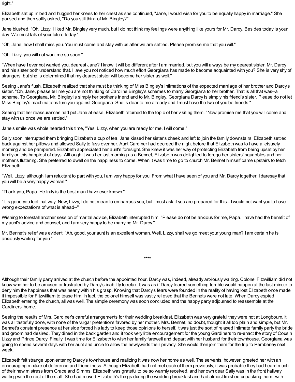right."

Elizabeth sat up in bed and hugged her knees to her chest as she continued, "Jane, Iwould wish for you to be equally happy in marriage." She paused and then softly asked, "Do you still think of Mr. Bingley?"

Jane blushed, "Oh, Lizzy, I liked Mr. Bingley very much, but I do not think my feelings were anything like yours for Mr. Darcy. Besides today is your day. We must talk of your future today."

"Oh, Jane, how I shall miss you. You must come and stay with us after we are settled. Please promise me that you will."

"Oh, Lizzy, you will not want me so soon."

"When have I ever not wanted you, dearest Jane? I know it will be different after I am married, but you will always be my dearest sister. Mr. Darcy and his sister both understand that. Have you not noticed how much effort Georgiana has made to become acquainted with you? She is very shy of strangers, but she is determined that my dearest sister will become her sister as well."

Seeing Jane's flush, Elizabeth realized that she must be thinking of Miss Bingley's intimations of the expected marriage of her brother and Darcy's sister. "Oh, Jane, please tell me you are not thinking of Caroline Bingley's schemes to marryGeorgiana to her brother. That is all that was--a scheme. To Georgiana, Mr. Bingley is simply her brother's friend and to Mr. Bingley, Georgiana Darcy is simply his friend's sister. Please do not let Miss Bingley's machinations turn you against Georgiana. She is dear to me already and Imust have the two of you be friends."

Seeing that her reassurances had put Jane at ease, Elizabeth returned to the topic of her visiting them. "Now promise me that you will come and stay with us once we are settled."

Jane's smile was whole hearted this time, "Yes, Lizzy, when you are ready for me, Iwill come."

Sally soon interrupted them bringing Elizabeth a cup of tea. Jane kissed her sister's cheek and left to join the family downstairs. Elizabeth settled back against her pillows and allowed Sally to fuss over her. Aunt Gardiner had decreed the night before that Elizabeth was to have a leisurely morning and be pampered. Elizabeth appreciated her aunt's foresight. She knew it was her way of protecting Elizabeth from being upset by her family on this happiest of days. Although it was her last morning as a Bennet, Elizabeth was delighted to forego her sisters' squabbles and her mother's fluttering. She preferred to dwell on the happiness to come. When it was time to go to church Mr. Bennet himself came upstairs to fetch Elizabeth.

"Well, Lizzy, although I am reluctant to part with you, I am very happy for you. From what I have seen of you and Mr. Darcy together, I daresay that you will be a very happy woman."

"Thank you, Papa. He truly is the best man I have ever known."

"It is good you feel that way. Now, Lizzy, I do not mean to embarrass you, but Imust ask if you are prepared for this-- Iwould not want you to have wrong expectations of what is ahead--"

Wishing to forestall another session of marital advice, Elizabeth interrupted him, "Please do not be anxious for me, Papa. I have had the benefit of my aunt's advice and counsel, and I am very happy to be marrying Mr. Darcy."

Mr. Bennet's relief was evident. "Ah, good, your aunt is an excellent woman. Well, Lizzy, shall we go meet your young man? I am certain he is anxiously waiting for you."

Although their family party arrived at the church before the appointed hour, Darcy was, indeed, already anxiously waiting. Colonel Fitzwilliam did not know whether to be amused or frustrated by Darcy's inability to relax. It was as if Darcy feared something terrible would happen at the last minute to deny him the happiness that was nearly within his grasp. Knowing that Darcy's fears were founded in the reality of having lost Elizabeth once made it impossible for Fitzwilliam to tease him. In fact, the colonel himself was vastly relieved that the Bennets were not late. When Darcy espied Elizabeth entering the church, all was well. The simple ceremony was soon concluded and the happy party adjourned to reassemble at the Gardiners' home.

**\*\*\*\***

Seeing the results of Mrs. Gardiner's careful arrangements for their wedding breakfast, Elizabeth was very grateful they were not at Longbourn. It was all tastefully done, with none of the vulgar pretentions favored by her mother. Mrs. Bennet, no doubt, thought it all too plain and simple, but Mr. Bennet's constant presence at her side forced his lady to keep those opinions to herself. It was just the sort of relaxed intimate family party the bride and groom had desired. They dined in the back garden and it took very little encouragement for the young Gardiners to re-enact the story of Cousin Lizzy and Prince Darcy. Finally it was time for Elizabeth to wish her family farewell and depart with her husband for their townhouse. Georgiana was going to spend several days with her aunt and uncle to allow the newlyweds their privacy. She would then join them for the trip to Pemberley next week.

Elizabeth felt strange upon entering Darcy's townhouse and realizing it was now her home as well. The servants, however, greeted her with an encouraging mixture of deference and friendliness. Although Elizabeth had not met each of them previously, it was probable they had heard much of their new mistress from Grace and Simms. Elizabeth was grateful to be so warmly received, and her own dear Sally was in the front hallway waiting with the rest of the staff. She had moved Elizabeth's things during the wedding breakfast and had almost finished unpacking them--with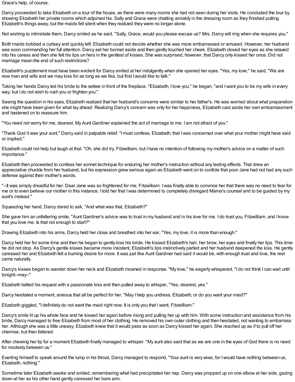Grace's help, of course.

Darcy proceeded to take Elizabeth on a tour of the house, as there were many rooms she had not seen during her visits. He concluded the tour by showing Elizabeth her private rooms which adjoined his. Sally and Grace were chatting amiably in the dressing room as they finished putting Elizabeth's things away, but the maids fell silent when they realized they were no longer alone.

Not wishing to intimidate them, Darcy smiled as he said, "Sally, Grace, would you please excuse us? Mrs. Darcy will ring when she requires you."

Both maids bobbed a curtsey and quickly left. Elizabeth could not decide whether she was more embarrassed or amused. However, her husband was soon commanding her full attention. Darcy set her bonnet aside and then gently touched her cheek. Elizabeth closed her eyes as she relaxed into his caress and then she felt his lips on hers in the gentlest of kisses. She was surprised, however, that Darcy only kissed her once. Did not marriage mean the end of such restrictions?

Elizabeth's puzzlement must have been evident for Darcy smiled at her indulgently when she opened her eyes. "Yes, my love," he said, "We are now man and wife and we may kiss for as long as we like, but first Iwould like to talk."

Taking her hands Darcy led his bride to the settee in front of the fireplace. "Elizabeth, I love you," he began, "and Iwant you to be my wife in every way, but I do not wish to rush you or frighten you."

Seeing the question in his eyes, Elizabeth realized that her husband's concerns were similar to her father's. He was worried about what preparation she might have been given for what lay ahead. Realizing Darcy's concern was only for her happiness, Elizabeth cast aside her own embarrassment and hastened on to reassure him.

"You need not worry for me, dearest. My Aunt Gardiner explained the act of marriage to me. I am not afraid of you."

"Thank God it was your aunt," Darcy said in palpable relief. "Imust confess, Elizabeth, that Iwas concerned over what your mother might have said or implied."

Elizabeth could not help but laugh at that. "Oh, she did try, Fitzwilliam, but I have no intention of following my mother's advice on a matter of such importance."

Elizabeth then proceeded to confess her sonnet technique for enduring her mother's instruction without any lasting effects. That drew an appreciative chuckle from her husband, but his expression grew serious again as Elizabeth went on to confide that poor Jane had not had any such defense against their mother's words.

"--It was simply dreadful for her. Dear Jane was so frightened for me, Fitzwilliam. Iwas finally able to convince her that there was no need to fear for me or to even believe our mother in this instance. I told her that Iwas determined to completely disregard Mama's counsel and to be guided by my aunt's instead."

Squeezing her hand, Darcy dared to ask, "And what was that, Elizabeth?"

She gave him an unfaltering smile, "Aunt Gardiner's advice was to trust in my husband and in his love for me. I do trust you, Fitzwilliam, and I know that you love me. Is that not enough to start?"

Drawing Elizabeth into his arms, Darcy held her close and breathed into her ear, "Yes, my love, it is more than enough."

Darcy held her for some time and then he began to gently kiss his bride. He kissed Elizabeth's hair, her brow, her eyes and finally her lips. This time he did not stop. As Darcy's gentle kisses became more insistent, Elizabeth's lips instinctively parted and her husband deepened the kiss. He gently caressed her and Elizabeth felt a burning desire for more. It was just like Aunt Gardiner had said it would be, with enough trust and love, the rest came naturally.

Darcy's kisses began to wander down her neck and Elizabeth moaned in response. "My love," he eagerly whispered, "I do not think I can wait until tonight--may--"

Elizabeth halted his request with a passionate kiss and then pulled away to whisper, "Yes, dearest, yes."

Darcy hesitated a moment, anxious that all be perfect for her, "May I help you undress, Elizabeth, or do you want your maid?"

Elizabeth giggled, "I definitely do not want the maid right now. It is only you that Iwant, Fitzwilliam."

Darcy's smile lit up his whole face and he kissed her again before rising and pulling her up with him. With some instruction and assistance from his bride, Darcy managed to free Elizabeth from most of her clothing. He removed his own outer clothing and then hesitated, not wanting to embarrass her. Although she was a little uneasy, Elizabeth knew that it would pass as soon as Darcy kissed her again. She reached up as if to pull off her chemise, but then faltered.

After chewing her lip for a moment Elizabeth finally managed to whisper. "My aunt also said that as we are one in the eyes of God there is no need for modesty between us."

Exerting himself to speak around the lump in his throat, Darcy managed to respond, "Your aunt is very wise, for Iwould have nothing between us, Elizabeth, nothing."

Sometime later Elizabeth awoke and smiled, remembering what had precipitated her nap. Darcy was propped up on one elbow at her side, gazing down at her as his other hand gently caressed her bare arm.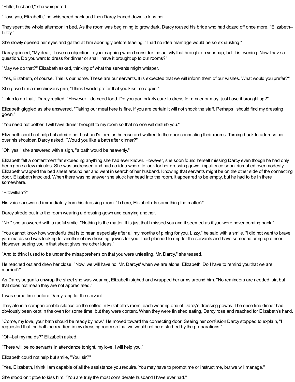"Hello, husband," she whispered.

"I love you, Elizabeth," he whispered back and then Darcy leaned down to kiss her.

They spent the whole afternoon in bed. As the room was beginning to grow dark, Darcy roused his bride who had dozed off once more, "Elizabeth-- Lizzy."

She slowly opened her eyes and gazed at him adoringly before teasing, "I had no idea marriage would be so exhausting."

Darcy grinned, "My dear, I have no objection to your napping when I consider the activity that brought on your nap, but it is evening. Now I have a question. Do you want to dress for dinner or shall I have it brought up to our rooms?"

"May we do that?" Elizabeth asked, thinking of what the servants might whisper.

"Yes, Elizabeth, of course. This is our home. These are our servants. It is expected that we will inform them of our wishes. What would you prefer?"

She gave him a mischievous grin, "I think Iwould prefer that you kiss me again."

"I plan to do that," Darcy replied. "However, I do need food. Do you particularly care to dress for dinner or may I just have it brought up?"

Elizabeth giggled as she answered, "Taking our meal here is fine, if you are certain it will not shock the staff. Perhaps I should find my dressing gown."

"You need not bother. Iwill have dinner brought to my room so that no one will disturb you."

Elizabeth could not help but admire her husband's form as he rose and walked to the door connecting their rooms. Turning back to address her over his shoulder, Darcy asked, "Would you like a bath after dinner?"

"Oh, yes," she answered with a sigh, "a bath would be heavenly."

Elizabeth felt a contentment far exceeding anything she had ever known. However, she soon found herself missing Darcy even though he had only been gone a few minutes. She was undressed and had no idea where to look for her dressing gown. Impatience soon triumphed over modesty. Elizabeth wrapped the bed sheet around her and went in search of her husband. Knowing that servants might be on the other side of the connecting door, Elizabeth knocked. When there was no answer she stuck her head into the room. It appeared to be empty, but he had to be in there somewhere.

"Fitzwilliam?"

His voice answered immediately from his dressing room. "In here, Elizabeth. Is something the matter?"

Darcy strode out into the room wearing a dressing gown and carrying another.

"No," she answered with a rueful smile. "Nothing is the matter. It is just that Imissed you and it seemed as if you were never coming back."

"You cannot know how wonderful that is to hear, especially after all my months of pining for you, Lizzy," he said with a smile. "I did not want to brave your maids so Iwas looking for another of my dressing gowns for you. I had planned to ring for the servants and have someone bring up dinner. However, seeing you in that sheet gives me other ideas."

"And to think I used to be under the misapprehension that you were unfeeling, Mr. Darcy," she teased.

He reached out and drew her close, "Now, we will have no 'Mr. Darcys' when we are alone, Elizabeth. Do I have to remind you that we are married?"

As Darcy began to unwrap the sheet she was wearing, Elizabeth sighed and wrapped her arms around him. "No reminders are needed, sir, but that does not mean they are not appreciated."

It was some time before Darcy rang for the servant.

They ate in a companionable silence on the settee in Elizabeth's room, each wearing one of Darcy's dressing gowns. The once fine dinner had obviously been kept in the oven for some time, but they were content. When they were finished eating, Darcy rose and reached for Elizabeth's hand.

"Come, my love, your bath should be ready by now." He moved toward the connecting door. Seeing her confusion Darcy stopped to explain, "I requested that the bath be readied in my dressing room so that we would not be disturbed by the preparations."

"Oh--but my maids?" Elizabeth asked.

"There will be no servants in attendance tonight, my love, Iwill help you."

Elizabeth could not help but smile, "You, sir?"

"Yes, Elizabeth, I think I am capable of all the assistance you require. You may have to prompt me or instruct me, but we will manage."

She stood on tiptoe to kiss him. "You are truly the most considerate husband I have ever had."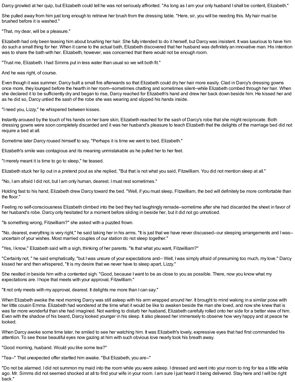Darcy growled at her quip, but Elizabeth could tell he was not seriously affronted. "As long as I am your only husband I shall be content, Elizabeth."

She pulled away from him just long enough to retrieve her brush from the dressing table. "Here, sir, you will be needing this. My hair must be brushed before it is washed."

"That, my dear, will be a pleasure."

Elizabeth had only been teasing him about brushing her hair. She fully intended to do it herself, but Darcy was insistent. It was luxurious to have him do such a small thing for her. When it came to the actual bath, Elizabeth discovered that her husband was definitely an innovative man. His intention was to share the bath with her. Elizabeth, however, was concerned that there would not be enough room.

"Trust me, Elizabeth. I had Simms put in less water than usual so we will both fit."

And he was right, of course.

Even though it was summer, Darcy built a small fire afterwards so that Elizabeth could dry her hair more easily. Clad in Darcy's dressing gowns once more, they lounged before the hearth in her room--sometimes chatting and sometimes silent--while Elizabeth combed through her hair. When she declared it to be sufficiently dry and began to rise, Darcy reached for Elizabeth's hand and drew her back down beside him. He kissed her and as he did so, Darcy untied the sash of the robe she was wearing and slipped his hands inside.

"I need you, Lizzy," he whispered between kisses.

Instantly aroused by the touch of his hands on her bare skin, Elizabeth reached for the sash of Darcy's robe that she might reciprocate. Both dressing gowns were soon completely discarded and it was her husband's pleasure to teach Elizabeth that the delights of the marriage bed did not require a bed at all.

Sometime later Darcy roused himself to say, "Perhaps it is time we went to bed, Elizabeth."

Elizabeth's smile was contagious and its meaning unmistakable as he pulled her to her feet.

"Imerely meant it is time to go to sleep," he teased.

Elizabeth stuck her lip out in a pretend pout as she replied, "But that is not what you said, Fitzwilliam. You did not mention sleep at all."

"No, I am afraid I did not, but I am only human, dearest. Imust rest sometimes."

Holding fast to his hand, Elizabeth drew Darcy toward the bed. "Well, if you must sleep, Fitzwilliam, the bed will definitely be more comfortable than the floor."

Feeling no self-consciousness Elizabeth climbed into the bed they had laughingly remade--sometime after she had discarded the sheet in favor of her husband's robe. Darcy only hesitated for a moment before sliding in beside her, but it did not go unnoticed.

"Is something wrong, Fitzwilliam?" she asked with a puzzled frown.

"No, dearest, everything is very right," he said taking her in his arms. "It is just that we have never discussed--our sleeping arrangements and Iwas- uncertain of your wishes. Most married couples of our station do not sleep together."

"Yes, I know," Elizabeth said with a sigh, thinking of her parents. "Is that what you want, Fitzwilliam?"

"Certainly not, " he said emphatically, "but Iwas unsure of your expectations and-- Well, Iwas simply afraid of presuming too much, my love." Darcy kissed her and then whispered, "It is my desire that we never have to sleep apart, Lizzy."

She nestled in beside him with a contented sigh. "Good, because Iwant to be as close to you as possible. There, now you know what my expectations are. I hope that meets with your approval, Fitzwilliam."

"It not only meets with my approval, dearest. It delights me more than I can say."

When Elizabeth awoke the next morning Darcy was still asleep with his arm wrapped around her. It brought to mind waking in a similar pose with her little cousin Emma. Elizabeth had wondered at the time what it would be like to awaken beside the man she loved, and now she knew that is was far more wonderful than she had imagined. Not wanting to disturb her husband, Elizabeth carefully rolled onto her side for a better view of him. Even with the shadow of his beard, Darcy looked younger in his sleep. It also pleased her immensely to observe how very happy and at peace he looked.

When Darcy awoke some time later, he smiled to see her watching him. It was Elizabeth's lovely, expressive eyes that had first commanded his attention. To see those beautiful eyes now gazing at him with such obvious love nearly took his breath away.

"Good morning, husband. Would you like some tea?"

"Tea--" That unexpected offer startled him awake. "But Elizabeth, you are--"

"Do not be alarmed. I did not summon my maid into the room while you were asleep. I dressed and went into your room to ring for tea a little while ago. Mr. Simms did not seemed shocked at all to find your wife in your room. I am sure I just heard it being delivered. Stay here and Iwill be right back."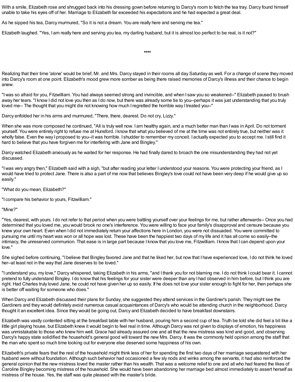With a smile, Elizabeth rose and shrugged back into his dressing gown before returning to Darcy's room to fetch the tea tray. Darcy found himself unable to take his eyes off of her. Marriage to Elizabeth far exceeded his expectations and he had expected a great deal.

As he sipped his tea, Darcy murmured, "So it is not a dream. You are really here and serving me tea."

Elizabeth laughed. "Yes, I am really here and serving you tea, my darling husband, but it is almost too perfect to be real, is it not?"

Realizing that their time 'alone' would be brief, Mr. and Mrs. Darcy stayed in their rooms all day Saturday as well. For a change of scene they moved into Darcy's room at one point. Elizabeth's mood grew more somber as being there raised memories of Darcy's illness and their chance to begin anew.

**\*\*\*\***

"Iwas so afraid for you, Fitzwilliam. You had always seemed strong and invincible, and when I saw you so weakened--" Elizabeth paused to brush away her tears. "I know I did not love you then as I do now, but there was already some tie to you--perhaps it was just understanding that you truly loved me-- The thought that you might die not knowing how much I regretted the horrible way I treated you--"

Darcy enfolded her in his arms and murmured, "There, there, dearest. Do not cry, Lizzy."

When she was more composed he continued, "All is truly well now. I am healthy again, and a much better man than I was in April. Do not torment yourself. You were entirely right to refuse me at Hunsford. I know that what you believed of me at the time was not entirely true, but neither was it wholly false. Even the way I proposed to you--it was horrible. I shudder to remember my conceit. I actually expected you to accept me. I still find it hard to believe that you have forgiven me for interfering with Jane and Bingley."

Darcy watched Elizabeth anxiously as he waited for her response. He had finally dared to broach the one misunderstanding they had not yet discussed.

"Iwas very angry then," Elizabeth said with a sigh, "but after reading your letter I understood your reasons. You were protecting your friend, as I would have tried to protect Jane. There is also a part of me now that believes Bingley's love could not have been very deep if he would give up so easily."

"What do you mean, Elizabeth?"

"I compare his behavior to yours, Fitzwilliam."

"Mine?"

"Yes, dearest, with yours. I do not refer to that period when you were battling yourself over your feelings for me, but rather afterwards-- Once you had determined that you loved me, you would brook no one's interference. You were willing to face your family's disapproval and censure because you knew your own heart. Even when I did not immediately return your affections here in London, you were not dissuaded. You were committed to pursuing me until my heart was won or all hope was lost. These have been the happiest two days of my life and it has all come so easily--the intimacy, the unreserved communion. That ease is in large part because I know that you love me, Fitzwilliam. I know that I can depend upon your love."

She sighed before continuing, "I believe that Bingley favored Jane and that he liked her, but now that I have experienced love, I do not think he loved her--at least not in the way that Jane deserves to be loved."

"I understand you, my love," Darcy whispered, taking Elizabeth in his arms, "and I thank you for not blaming me. I do not think I could bear it. I cannot pretend to fully understand Bingley. I do know that his feelings for your sister were deeper than any I had observed in him before, but I think you are right. Had Charles truly loved Jane, he could not have given her up so easily. If he does not love your sister enough to fight for her, then perhaps she is better off waiting for someone who does."

When Darcy and Elizabeth discussed their plans for Sunday, she suggested they attend services in the Gardiner's parish. They might see the Gardiners and they would definitely avoid numerous casual acquaintances of Darcy's who would be attending church in the neighborhood. Darcy thought it an excellent idea. Since they would be going out, Darcy and Elizabeth decided to have breakfast downstairs.

Elizabeth was vastly contented sitting at the breakfast table with her husband, pouring him a second cup of tea. Truth be told she did feel a bit like a little girl playing house, but Elizabeth knew it would begin to feel real in time. Although Darcy was not given to displays of emotion, his happiness was unmistakable to those who knew him well. Grace had already assured one and all that the new mistress was kind and good, and observing Darcy's happy state solidified the household's general good will toward the new Mrs. Darcy. It was the commonly held opinion among the staff that the man who spent so much time looking out for everyone else deserved some happiness of his own.

Elizabeth's private fears that the rest of the household might think less of her for spending the first two days of her marriage sequestered with her husband were without foundation. Although such behavior had occasioned a few sly nods and winks among the servants, it had also reinforced the general opinion that the new mistress loved the master rather than his wealth. That was a welcome relief to one and all who had feared the likes of Caroline Bingley becoming mistress of the household. She would have been abandoning her marriage bed almost immediately to assert herself as mistress of the house. Yes, the staff was quite pleased with the master's bride.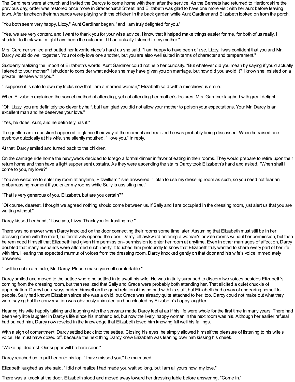The Gardiners were at church and invited the Darcys to come home with them after the service. As the Bennets had returned to Hertfordshire the previous day, order was restored once more inGracechurch Street, and Elizabeth was glad to have one more visit with her aunt before leaving town. After luncheon their husbands were playing with the children in the back garden while Aunt Gardiner and Elizabeth looked on from the porch.

"You both seem very happy, Lizzy," Aunt Gardiner began, "and I am truly delighted for you."

"Yes, we are very content, and Iwant to thank you for your wise advice. I know that it helped make things easier for me, for both of us really. I shudder to think what might have been the outcome if I had actually listened to my mother."

Mrs. Gardiner smiled and patted her favorite niece's hand as she said, "I am happy to have been of use, Lizzy. Iwas confident that you and Mr. Darcy would do well together. You not only love one another, but you are also well suited in terms of character and temperament."

Suddenly realizing the import of Elizabeth's words, Aunt Gardiner could not help her curiosity. "But whatever did you mean by saying if you'd actually listened to your mother? I shudder to consider what advice she may have given you on marriage, but how did you avoid it? I know she insisted on a private interview with you."

"I suppose it is safe to own my tricks now that I am a married woman," Elizabeth said with a mischievous smile.

When Elizabeth explained the sonnet method of attending, yet not attending her mother's lectures, Mrs. Gardiner laughed with great delight.

"Oh, Lizzy, you are definitely too clever by half, but I am glad you did not allow your mother to poison your expectations. Your Mr. Darcy is an excellent man and he deserves your love."

"Yes, he does, Aunt, and he definitely has it."

The gentleman in question happened to glance their way at the moment and realized he was probably being discussed. When he raised one eyebrow quizzically at his wife, she silently mouthed, "I love you," in reply.

At that, Darcy smiled and turned back to the children.

On the carriage ride home the newlyweds decided to forego a formal dinner in favor of eating in their rooms. They would prepare to retire upon their return home and then have a light supper sent upstairs. As they were ascending the stairs Darcy took Elizabeth's hand and asked, "When shall I come to you, my love?"

"You are welcome to enter my room at anytime, Fitzwilliam," she answered. "I plan to use my dressing room as such, so you need not fear an embarrassing moment if you enter my rooms while Sally is assisting me."

"That is very generous of you, Elizabeth, but are you certain?"

"Of course, dearest. I thought we agreed nothing should come between us. If Sally and I are occupied in the dressing room, just alert us that you are waiting without."

Darcy kissed her hand, "I love you, Lizzy. Thank you for trusting me."

There was no answer when Darcy knocked on the door connecting their rooms some time later. Assuming that Elizabeth must still be in her dressing room with the maid, he tentatively opened the door. Darcy felt awkward entering a woman's private rooms without her permission, but then he reminded himself that Elizabeth had given him permission--permission to enter her room at anytime. Even in other marriages of affection, Darcy doubted that many husbands were afforded such liberty. It touched him profoundly to know that Elizabeth truly wanted to share every part of her life with him. Hearing the expected murmur of voices from the dressing room, Darcy knocked gently on that door and his wife's voice immediately answered.

"Iwill be out in a minute, Mr. Darcy. Please make yourself comfortable."

Darcy smiled and moved to the settee where he settled in to await his wife. He was initially surprised to discern two voices besides Elizabeth's coming from the dressing room, but then realized that Sally and Grace were probably both attending her. That elicited a quiet chuckle of appreciation. Darcy had always prided himself on the good relationships he had with his staff, but Elizabeth had a way of endearing herself to people. Sally had known Elizabeth since she was a child, but Grace was already quite attached to her, too. Darcy could not make out what they were saying but the conversation was obviously animated and punctuated by Elizabeth's happy laughter.

Hearing his wife happily talking and laughing with the servants made Darcy feel at as if his life were whole for the first time in many years. There had been very little laughter in Darcy's life since his mother died, but now the lively, happy woman in the next room was his. Although her earlier refusal had pained him, Darcy now reveled in the knowledge that Elizabeth loved him knowing full well his failings.

With a sigh of contentment, Darcy settled back into the settee. Closing his eyes, he simply allowed himself the pleasure of listening to his wife's voice. He must have dozed off, because the next thing Darcy knew Elizabeth was leaning over him kissing his cheek.

"Wake up, dearest. Our supper will be here soon."

Darcy reached up to pull her onto his lap. "I have missed you," he murmured.

Elizabeth laughed as she said, "I did not realize I had made you wait so long, but I am all yours now, my love."

There was a knock at the door. Elizabeth stood and moved away toward her dressing table before answering, "Come in."